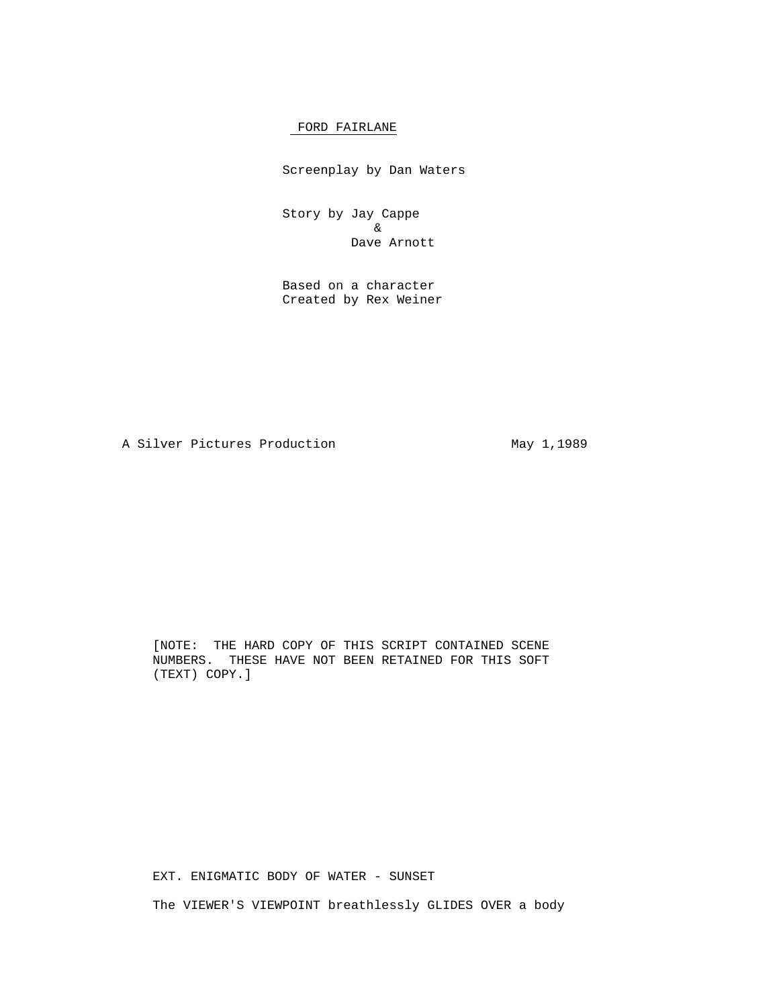## FORD FAIRLANE

Screenplay by Dan Waters

 Story by Jay Cappe & Dave Arnott

> Based on a character Created by Rex Weiner

A Silver Pictures Production May 1,1989

 [NOTE: THE HARD COPY OF THIS SCRIPT CONTAINED SCENE NUMBERS. THESE HAVE NOT BEEN RETAINED FOR THIS SOFT (TEXT) COPY.]

EXT. ENIGMATIC BODY OF WATER - SUNSET

The VIEWER'S VIEWPOINT breathlessly GLIDES OVER a body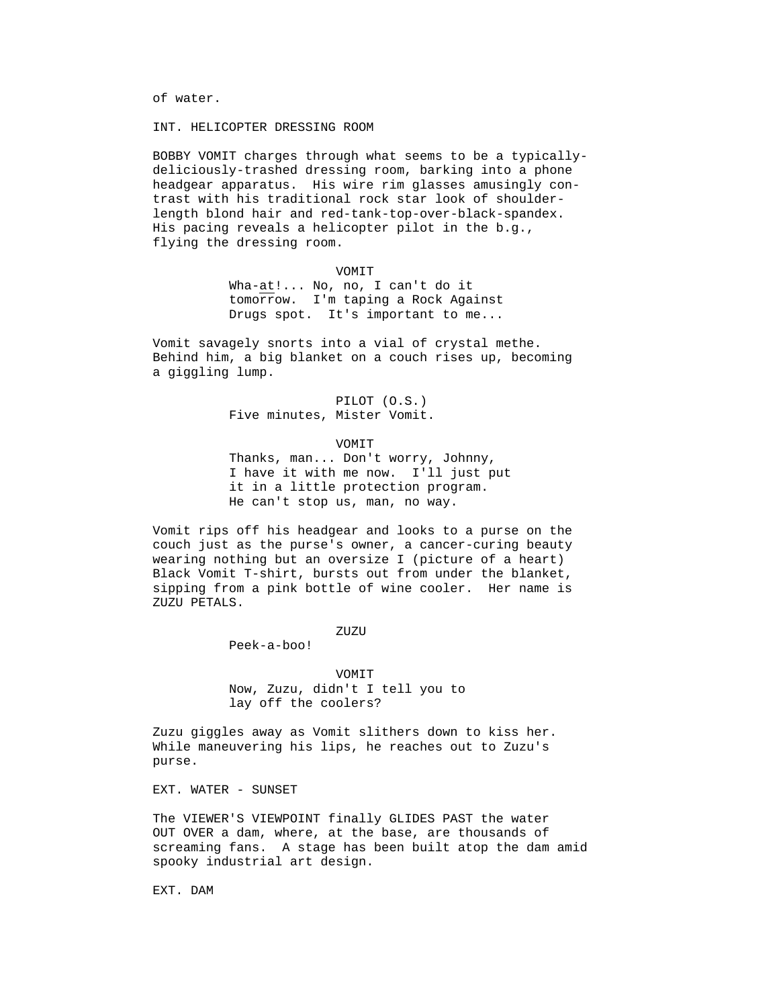of water.

INT. HELICOPTER DRESSING ROOM

 BOBBY VOMIT charges through what seems to be a typically deliciously-trashed dressing room, barking into a phone headgear apparatus. His wire rim glasses amusingly con trast with his traditional rock star look of shoulder length blond hair and red-tank-top-over-black-spandex. His pacing reveals a helicopter pilot in the b.g., flying the dressing room.

VOMIT

 Wha-at!... No, no, I can't do it tomorrow. I'm taping a Rock Against Drugs spot. It's important to me...

 Vomit savagely snorts into a vial of crystal methe. Behind him, a big blanket on a couch rises up, becoming a giggling lump.

> PILOT (O.S.) Five minutes, Mister Vomit.

 VOMIT Thanks, man... Don't worry, Johnny, I have it with me now. I'll just put it in a little protection program. He can't stop us, man, no way.

 Vomit rips off his headgear and looks to a purse on the couch just as the purse's owner, a cancer-curing beauty wearing nothing but an oversize I (picture of a heart) Black Vomit T-shirt, bursts out from under the blanket, sipping from a pink bottle of wine cooler. Her name is ZUZU PETALS.

zuzu za zamani za zamani za zamani za zamani za zamani za zamani za zamani za zamani za zamani za zamani za za

Peek-a-boo!

 VOMIT Now, Zuzu, didn't I tell you to lay off the coolers?

 Zuzu giggles away as Vomit slithers down to kiss her. While maneuvering his lips, he reaches out to Zuzu's purse.

EXT. WATER - SUNSET

 The VIEWER'S VIEWPOINT finally GLIDES PAST the water OUT OVER a dam, where, at the base, are thousands of screaming fans. A stage has been built atop the dam amid spooky industrial art design.

EXT. DAM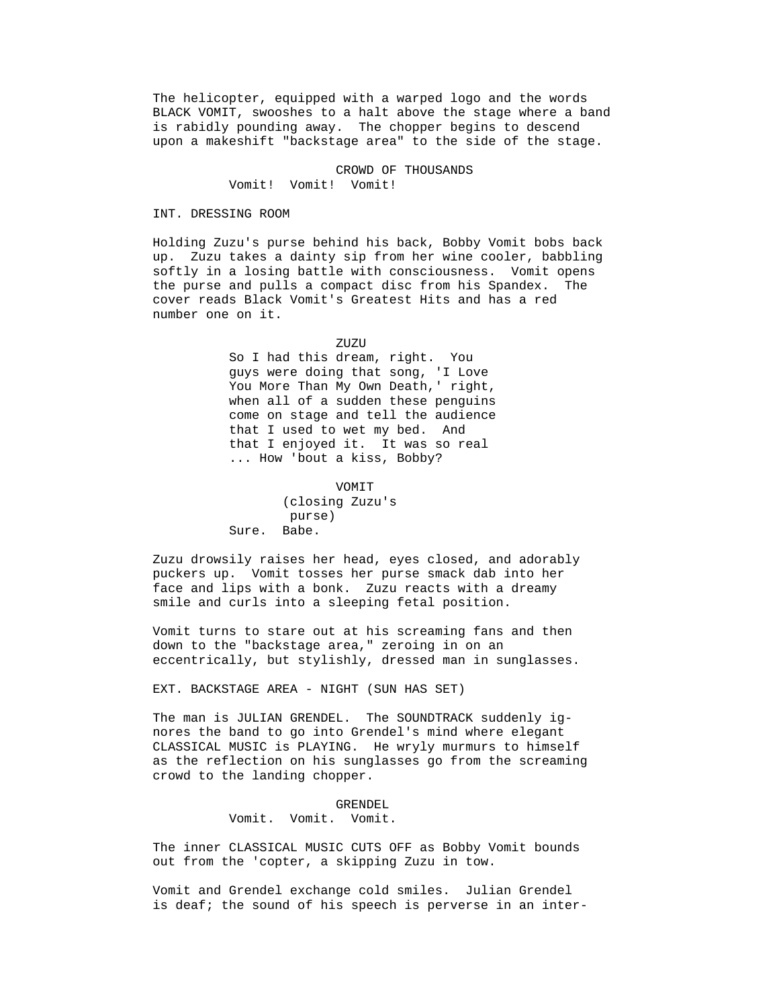The helicopter, equipped with a warped logo and the words BLACK VOMIT, swooshes to a halt above the stage where a band is rabidly pounding away. The chopper begins to descend upon a makeshift "backstage area" to the side of the stage.

#### CROWD OF THOUSANDS Vomit! Vomit! Vomit!

## INT. DRESSING ROOM

 Holding Zuzu's purse behind his back, Bobby Vomit bobs back up. Zuzu takes a dainty sip from her wine cooler, babbling softly in a losing battle with consciousness. Vomit opens the purse and pulls a compact disc from his Spandex. The cover reads Black Vomit's Greatest Hits and has a red number one on it.

## zuzu za zamani za zamani za zamani za zamani za zamani za zamani za zamani za zamani za zamani za zamani za za

 So I had this dream, right. You guys were doing that song, 'I Love You More Than My Own Death, ' right, when all of a sudden these penguins come on stage and tell the audience that I used to wet my bed. And that I enjoyed it. It was so real ... How 'bout a kiss, Bobby?

 VOMIT (closing Zuzu's purse) Sure. Babe.

 Zuzu drowsily raises her head, eyes closed, and adorably puckers up. Vomit tosses her purse smack dab into her face and lips with a bonk. Zuzu reacts with a dreamy smile and curls into a sleeping fetal position.

 Vomit turns to stare out at his screaming fans and then down to the "backstage area," zeroing in on an eccentrically, but stylishly, dressed man in sunglasses.

EXT. BACKSTAGE AREA - NIGHT (SUN HAS SET)

 The man is JULIAN GRENDEL. The SOUNDTRACK suddenly ig nores the band to go into Grendel's mind where elegant CLASSICAL MUSIC is PLAYING. He wryly murmurs to himself as the reflection on his sunglasses go from the screaming crowd to the landing chopper.

# GRENDEL Vomit. Vomit. Vomit.

 The inner CLASSICAL MUSIC CUTS OFF as Bobby Vomit bounds out from the 'copter, a skipping Zuzu in tow.

 Vomit and Grendel exchange cold smiles. Julian Grendel is deaf; the sound of his speech is perverse in an inter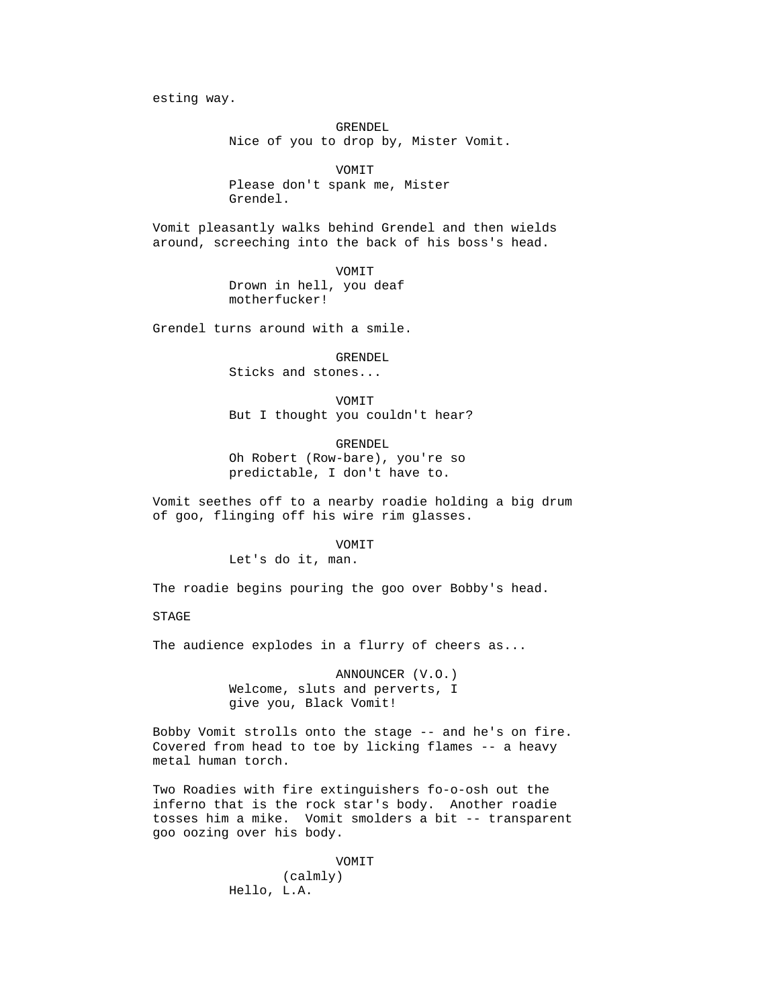esting way.

 GRENDEL Nice of you to drop by, Mister Vomit.

 VOMIT Please don't spank me, Mister Grendel.

 Vomit pleasantly walks behind Grendel and then wields around, screeching into the back of his boss's head.

> VOMIT Drown in hell, you deaf motherfucker!

Grendel turns around with a smile.

 GRENDEL Sticks and stones...

 VOMIT But I thought you couldn't hear?

 GRENDEL Oh Robert (Row-bare), you're so predictable, I don't have to.

 Vomit seethes off to a nearby roadie holding a big drum of goo, flinging off his wire rim glasses.

VOMIT

Let's do it, man.

The roadie begins pouring the goo over Bobby's head.

STAGE

The audience explodes in a flurry of cheers as...

 ANNOUNCER (V.O.) Welcome, sluts and perverts, I give you, Black Vomit!

 Bobby Vomit strolls onto the stage -- and he's on fire. Covered from head to toe by licking flames -- a heavy metal human torch.

 Two Roadies with fire extinguishers fo-o-osh out the inferno that is the rock star's body. Another roadie tosses him a mike. Vomit smolders a bit -- transparent goo oozing over his body.

> VOMIT (calmly) Hello, L.A.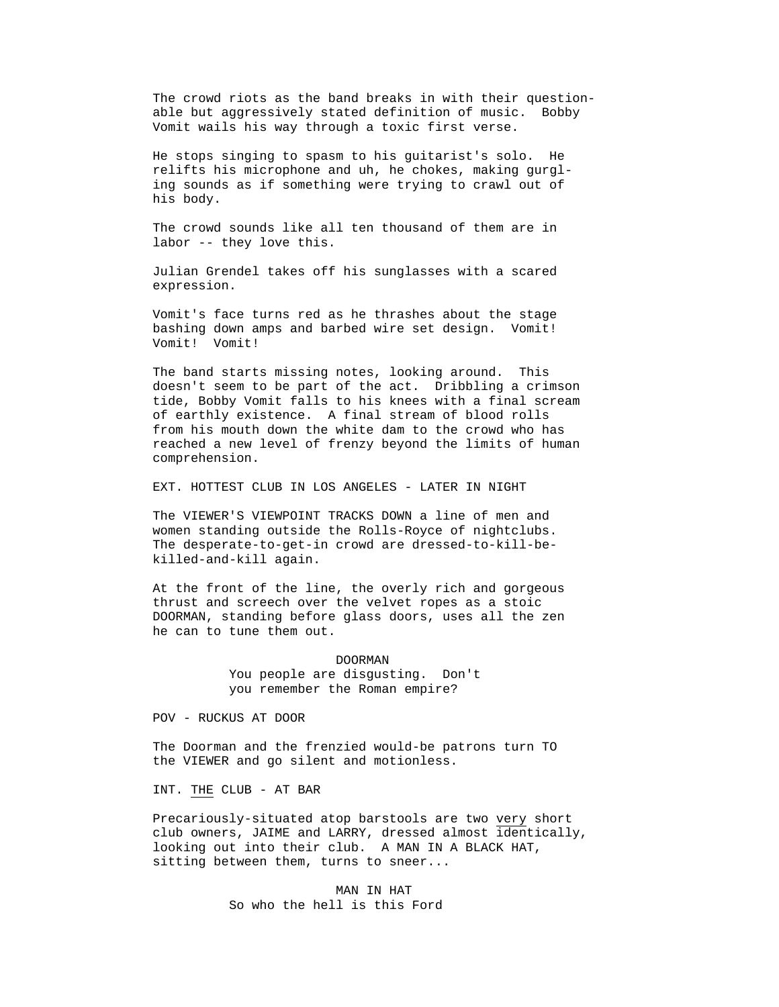The crowd riots as the band breaks in with their question able but aggressively stated definition of music. Bobby Vomit wails his way through a toxic first verse.

 He stops singing to spasm to his guitarist's solo. He relifts his microphone and uh, he chokes, making gurgl ing sounds as if something were trying to crawl out of his body.

 The crowd sounds like all ten thousand of them are in labor -- they love this.

 Julian Grendel takes off his sunglasses with a scared expression.

 Vomit's face turns red as he thrashes about the stage bashing down amps and barbed wire set design. Vomit! Vomit! Vomit!

 The band starts missing notes, looking around. This doesn't seem to be part of the act. Dribbling a crimson tide, Bobby Vomit falls to his knees with a final scream of earthly existence. A final stream of blood rolls from his mouth down the white dam to the crowd who has reached a new level of frenzy beyond the limits of human comprehension.

EXT. HOTTEST CLUB IN LOS ANGELES - LATER IN NIGHT

 The VIEWER'S VIEWPOINT TRACKS DOWN a line of men and women standing outside the Rolls-Royce of nightclubs. The desperate-to-get-in crowd are dressed-to-kill-be killed-and-kill again.

 At the front of the line, the overly rich and gorgeous thrust and screech over the velvet ropes as a stoic DOORMAN, standing before glass doors, uses all the zen he can to tune them out.

> DOORMAN You people are disgusting. Don't you remember the Roman empire?

POV - RUCKUS AT DOOR

 The Doorman and the frenzied would-be patrons turn TO the VIEWER and go silent and motionless.

INT. THE CLUB - AT BAR

 Precariously-situated atop barstools are two very short club owners, JAIME and LARRY, dressed almost identically, looking out into their club. A MAN IN A BLACK HAT, sitting between them, turns to sneer...

> MAN IN HAT So who the hell is this Ford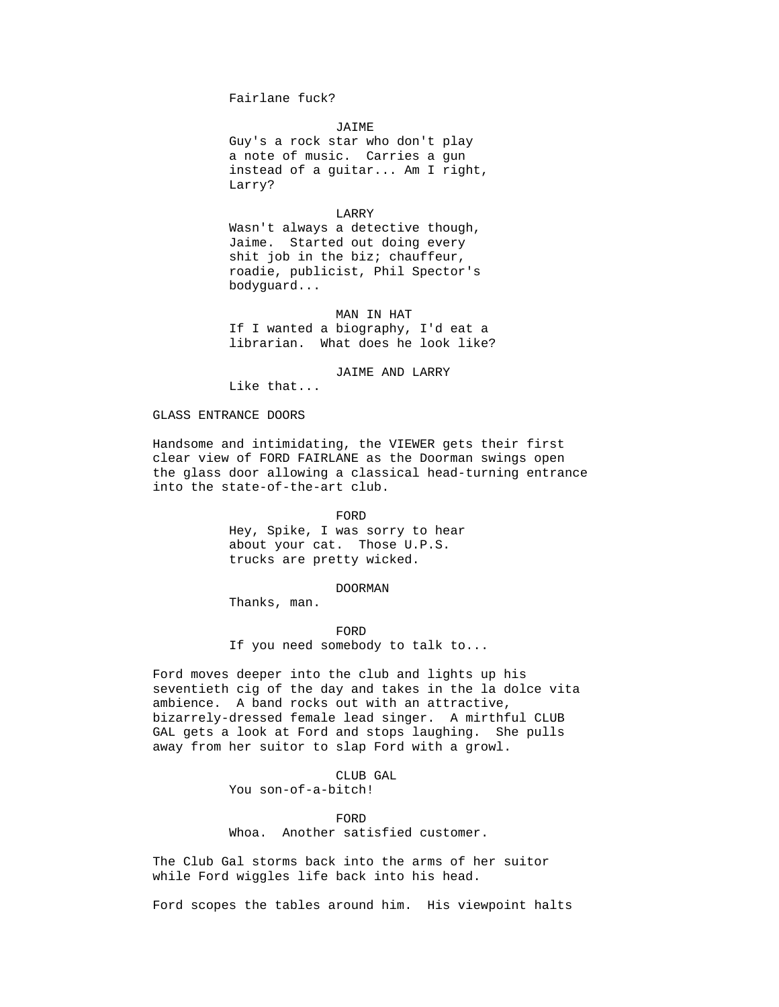Fairlane fuck?

 JAIME Guy's a rock star who don't play a note of music. Carries a gun instead of a guitar... Am I right, Larry?

 LARRY Wasn't always a detective though, Jaime. Started out doing every shit job in the biz; chauffeur, roadie, publicist, Phil Spector's bodyguard...

 MAN IN HAT If I wanted a biography, I'd eat a librarian. What does he look like?

JAIME AND LARRY

Like that...

GLASS ENTRANCE DOORS

 Handsome and intimidating, the VIEWER gets their first clear view of FORD FAIRLANE as the Doorman swings open the glass door allowing a classical head-turning entrance into the state-of-the-art club.

> FORD Hey, Spike, I was sorry to hear about your cat. Those U.P.S. trucks are pretty wicked.

> > DOORMAN

Thanks, man.

 FORD If you need somebody to talk to...

 Ford moves deeper into the club and lights up his seventieth cig of the day and takes in the la dolce vita ambience. A band rocks out with an attractive, bizarrely-dressed female lead singer. A mirthful CLUB GAL gets a look at Ford and stops laughing. She pulls away from her suitor to slap Ford with a growl.

> CLUB GAL You son-of-a-bitch!

 FORD Whoa. Another satisfied customer.

 The Club Gal storms back into the arms of her suitor while Ford wiggles life back into his head.

Ford scopes the tables around him. His viewpoint halts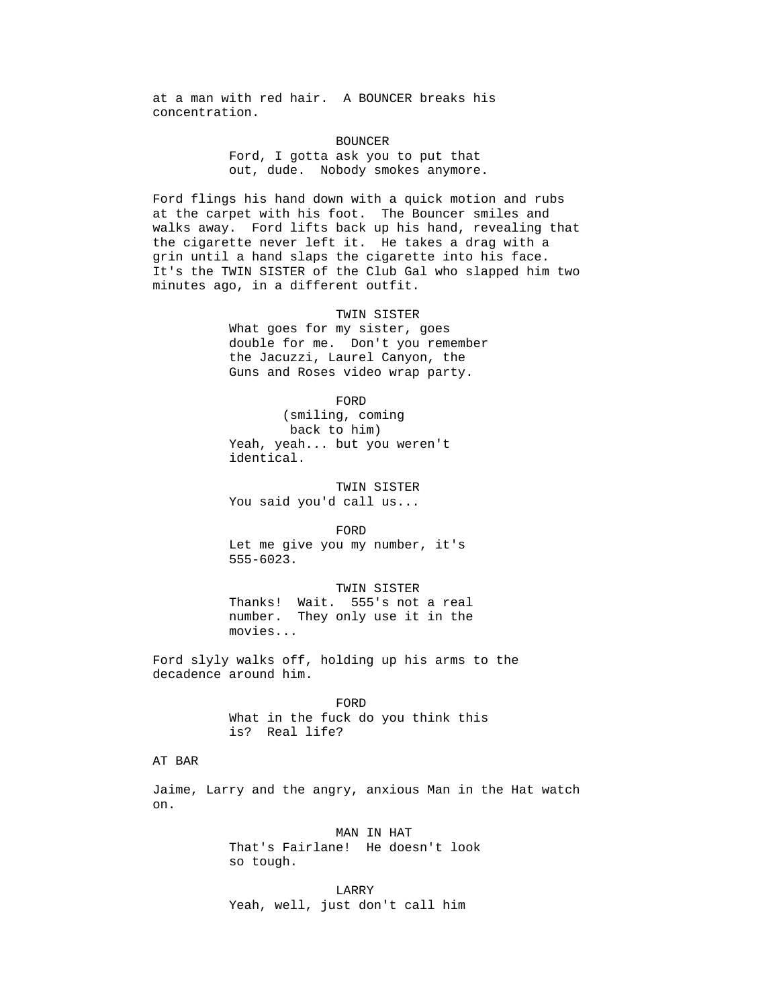at a man with red hair. A BOUNCER breaks his concentration.

BOUNCER

 Ford, I gotta ask you to put that out, dude. Nobody smokes anymore.

 Ford flings his hand down with a quick motion and rubs at the carpet with his foot. The Bouncer smiles and walks away. Ford lifts back up his hand, revealing that the cigarette never left it. He takes a drag with a grin until a hand slaps the cigarette into his face. It's the TWIN SISTER of the Club Gal who slapped him two minutes ago, in a different outfit.

> TWIN SISTER What goes for my sister, goes double for me. Don't you remember the Jacuzzi, Laurel Canyon, the Guns and Roses video wrap party.

 FORD (smiling, coming back to him) Yeah, yeah... but you weren't identical.

 TWIN SISTER You said you'd call us...

 FORD Let me give you my number, it's 555-6023.

> TWIN SISTER Thanks! Wait. 555's not a real number. They only use it in the movies...

 Ford slyly walks off, holding up his arms to the decadence around him.

 FORD What in the fuck do you think this is? Real life?

AT BAR

 Jaime, Larry and the angry, anxious Man in the Hat watch on.

> MAN IN HAT That's Fairlane! He doesn't look so tough.

 LARRY Yeah, well, just don't call him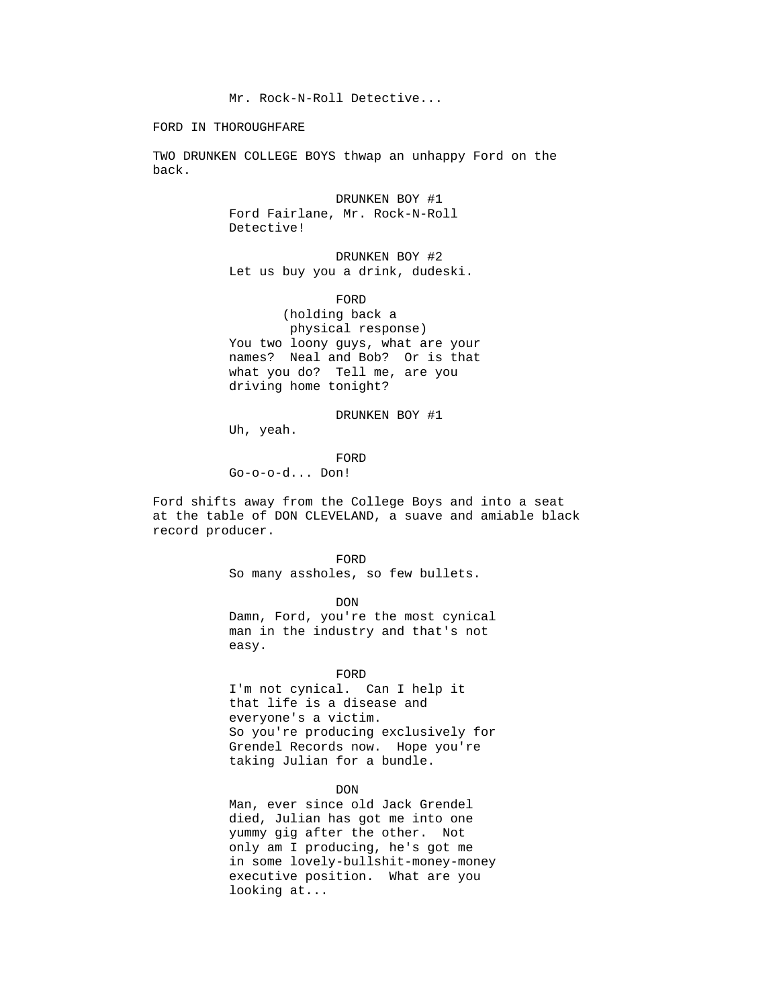Mr. Rock-N-Roll Detective...

FORD IN THOROUGHFARE

 TWO DRUNKEN COLLEGE BOYS thwap an unhappy Ford on the back.

> DRUNKEN BOY #1 Ford Fairlane, Mr. Rock-N-Roll Detective!

 DRUNKEN BOY #2 Let us buy you a drink, dudeski.

FORD

 (holding back a physical response) You two loony guys, what are your names? Neal and Bob? Or is that what you do? Tell me, are you driving home tonight?

DRUNKEN BOY #1

Uh, yeah.

 FORD Go-o-o-d... Don!

> Ford shifts away from the College Boys and into a seat at the table of DON CLEVELAND, a suave and amiable black record producer.

> > FORD So many assholes, so few bullets.

**DON**  Damn, Ford, you're the most cynical man in the industry and that's not easy.

#### FORD

 I'm not cynical. Can I help it that life is a disease and everyone's a victim. So you're producing exclusively for Grendel Records now. Hope you're taking Julian for a bundle.

DON

 Man, ever since old Jack Grendel died, Julian has got me into one yummy gig after the other. Not only am I producing, he's got me in some lovely-bullshit-money-money executive position. What are you looking at...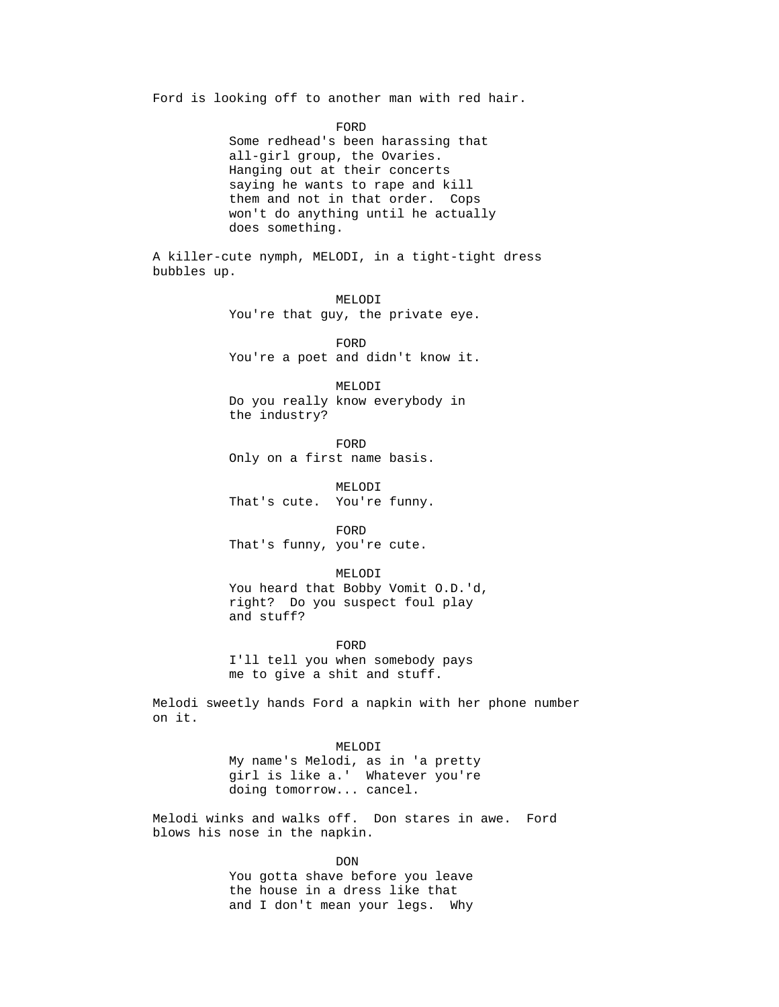Ford is looking off to another man with red hair.

**FORD**  Some redhead's been harassing that all-girl group, the Ovaries. Hanging out at their concerts saying he wants to rape and kill them and not in that order. Cops won't do anything until he actually does something.

> A killer-cute nymph, MELODI, in a tight-tight dress bubbles up.

> > MELODI You're that guy, the private eye.

**FORD** You're a poet and didn't know it.

> MELODI Do you really know everybody in the industry?

 FORD Only on a first name basis.

> MELODI That's cute. You're funny.

 FORD That's funny, you're cute.

> MELODI You heard that Bobby Vomit O.D.'d, right? Do you suspect foul play and stuff?

 FORD I'll tell you when somebody pays me to give a shit and stuff.

> Melodi sweetly hands Ford a napkin with her phone number on it.

> > MELODI My name's Melodi, as in 'a pretty girl is like a.' Whatever you're doing tomorrow... cancel.

 Melodi winks and walks off. Don stares in awe. Ford blows his nose in the napkin.

 DON You gotta shave before you leave the house in a dress like that and I don't mean your legs. Why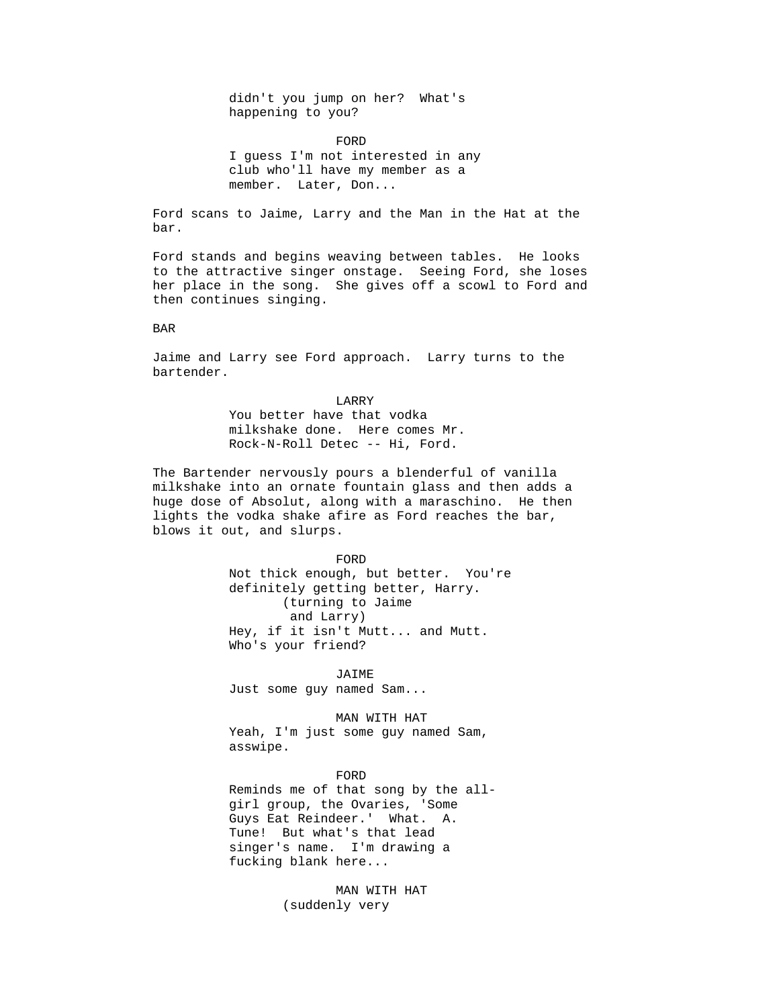didn't you jump on her? What's happening to you?

**FORD**  I guess I'm not interested in any club who'll have my member as a member. Later, Don...

> Ford scans to Jaime, Larry and the Man in the Hat at the bar.

 Ford stands and begins weaving between tables. He looks to the attractive singer onstage. Seeing Ford, she loses her place in the song. She gives off a scowl to Ford and then continues singing.

BAR

 Jaime and Larry see Ford approach. Larry turns to the bartender.

> LARRY You better have that vodka milkshake done. Here comes Mr. Rock-N-Roll Detec -- Hi, Ford.

 The Bartender nervously pours a blenderful of vanilla milkshake into an ornate fountain glass and then adds a huge dose of Absolut, along with a maraschino. He then lights the vodka shake afire as Ford reaches the bar, blows it out, and slurps.

FORD

 Not thick enough, but better. You're definitely getting better, Harry. (turning to Jaime and Larry) Hey, if it isn't Mutt... and Mutt. Who's your friend?

 JAIME Just some guy named Sam...

 MAN WITH HAT Yeah, I'm just some guy named Sam, asswipe.

FORD

 Reminds me of that song by the allgirl group, the Ovaries, 'Some Guys Eat Reindeer.' What. A. Tune! But what's that lead singer's name. I'm drawing a fucking blank here...

> MAN WITH HAT (suddenly very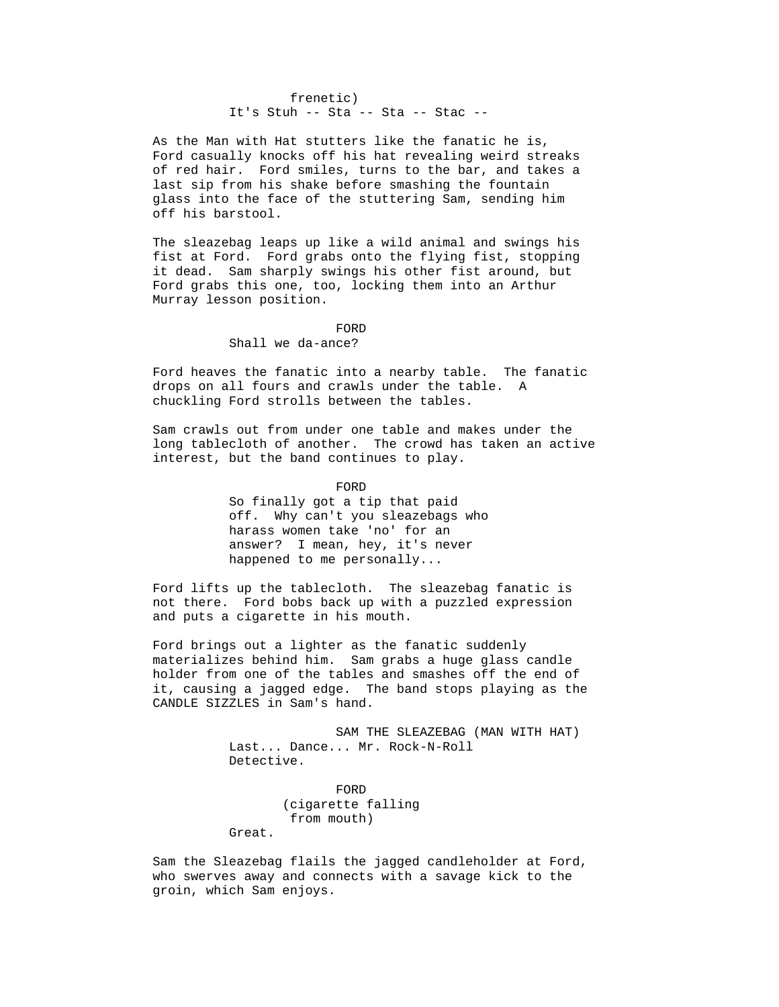frenetic) It's Stuh -- Sta -- Sta -- Stac --

 As the Man with Hat stutters like the fanatic he is, Ford casually knocks off his hat revealing weird streaks of red hair. Ford smiles, turns to the bar, and takes a last sip from his shake before smashing the fountain glass into the face of the stuttering Sam, sending him off his barstool.

 The sleazebag leaps up like a wild animal and swings his fist at Ford. Ford grabs onto the flying fist, stopping it dead. Sam sharply swings his other fist around, but Ford grabs this one, too, locking them into an Arthur Murray lesson position.

## FORD

## Shall we da-ance?

 Ford heaves the fanatic into a nearby table. The fanatic drops on all fours and crawls under the table. A chuckling Ford strolls between the tables.

 Sam crawls out from under one table and makes under the long tablecloth of another. The crowd has taken an active interest, but the band continues to play.

**FORD**  So finally got a tip that paid off. Why can't you sleazebags who harass women take 'no' for an answer? I mean, hey, it's never happened to me personally...

> Ford lifts up the tablecloth. The sleazebag fanatic is not there. Ford bobs back up with a puzzled expression and puts a cigarette in his mouth.

 Ford brings out a lighter as the fanatic suddenly materializes behind him. Sam grabs a huge glass candle holder from one of the tables and smashes off the end of it, causing a jagged edge. The band stops playing as the CANDLE SIZZLES in Sam's hand.

> SAM THE SLEAZEBAG (MAN WITH HAT) Last... Dance... Mr. Rock-N-Roll Detective.

 FORD (cigarette falling from mouth) Great.

> Sam the Sleazebag flails the jagged candleholder at Ford, who swerves away and connects with a savage kick to the groin, which Sam enjoys.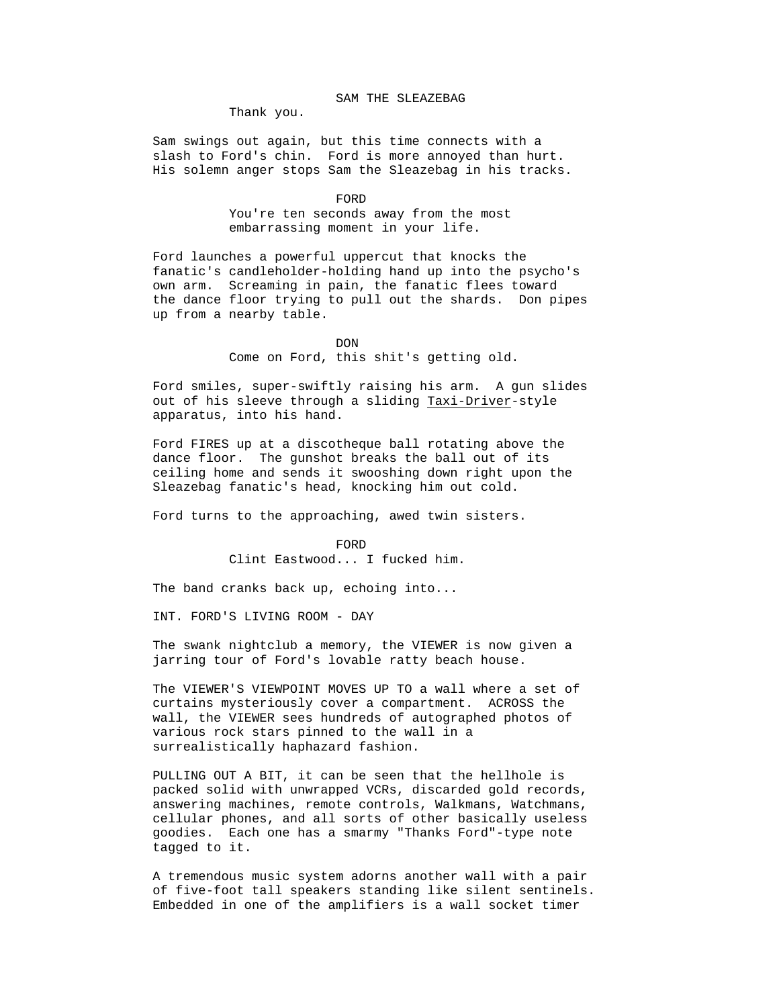## SAM THE SLEAZEBAG

Thank you.

 Sam swings out again, but this time connects with a slash to Ford's chin. Ford is more annoyed than hurt. His solemn anger stops Sam the Sleazebag in his tracks.

## **FORD**

 You're ten seconds away from the most embarrassing moment in your life.

 Ford launches a powerful uppercut that knocks the fanatic's candleholder-holding hand up into the psycho's own arm. Screaming in pain, the fanatic flees toward the dance floor trying to pull out the shards. Don pipes up from a nearby table.

**DON** Come on Ford, this shit's getting old.

> Ford smiles, super-swiftly raising his arm. A gun slides out of his sleeve through a sliding Taxi-Driver-style apparatus, into his hand.

 Ford FIRES up at a discotheque ball rotating above the dance floor. The gunshot breaks the ball out of its ceiling home and sends it swooshing down right upon the Sleazebag fanatic's head, knocking him out cold.

Ford turns to the approaching, awed twin sisters.

## **FORD**

Clint Eastwood... I fucked him.

The band cranks back up, echoing into...

INT. FORD'S LIVING ROOM - DAY

 The swank nightclub a memory, the VIEWER is now given a jarring tour of Ford's lovable ratty beach house.

 The VIEWER'S VIEWPOINT MOVES UP TO a wall where a set of curtains mysteriously cover a compartment. ACROSS the wall, the VIEWER sees hundreds of autographed photos of various rock stars pinned to the wall in a surrealistically haphazard fashion.

 PULLING OUT A BIT, it can be seen that the hellhole is packed solid with unwrapped VCRs, discarded gold records, answering machines, remote controls, Walkmans, Watchmans, cellular phones, and all sorts of other basically useless goodies. Each one has a smarmy "Thanks Ford"-type note tagged to it.

 A tremendous music system adorns another wall with a pair of five-foot tall speakers standing like silent sentinels. Embedded in one of the amplifiers is a wall socket timer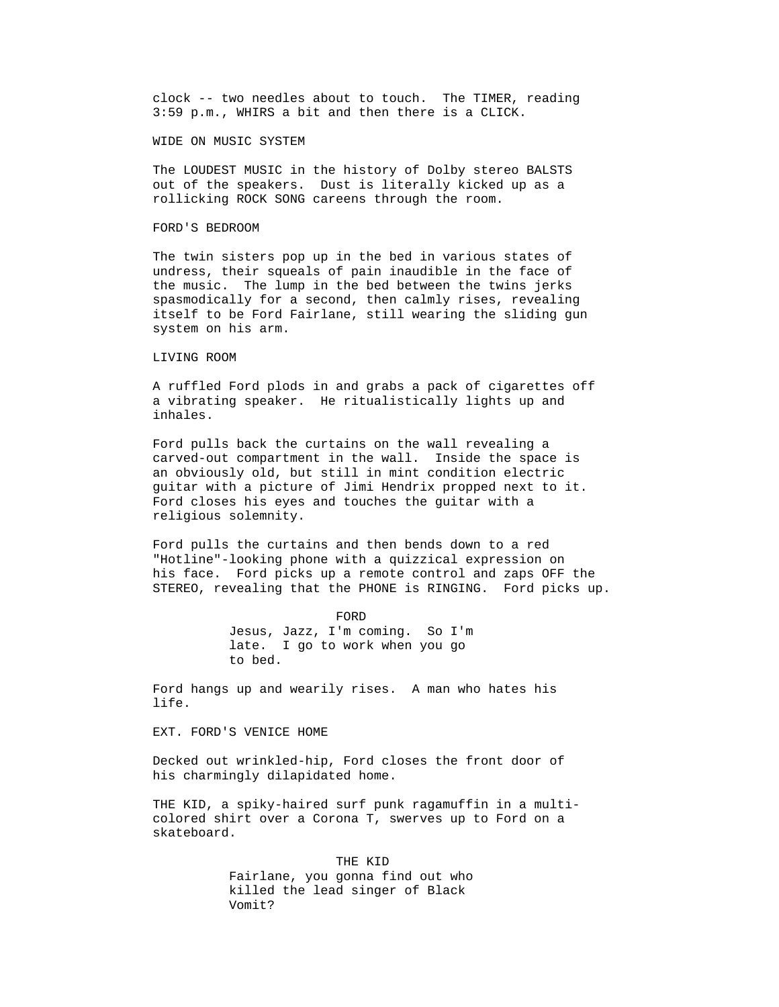clock -- two needles about to touch. The TIMER, reading 3:59 p.m., WHIRS a bit and then there is a CLICK.

### WIDE ON MUSIC SYSTEM

 The LOUDEST MUSIC in the history of Dolby stereo BALSTS out of the speakers. Dust is literally kicked up as a rollicking ROCK SONG careens through the room.

## FORD'S BEDROOM

 The twin sisters pop up in the bed in various states of undress, their squeals of pain inaudible in the face of the music. The lump in the bed between the twins jerks spasmodically for a second, then calmly rises, revealing itself to be Ford Fairlane, still wearing the sliding gun system on his arm.

## LIVING ROOM

 A ruffled Ford plods in and grabs a pack of cigarettes off a vibrating speaker. He ritualistically lights up and inhales.

 Ford pulls back the curtains on the wall revealing a carved-out compartment in the wall. Inside the space is an obviously old, but still in mint condition electric guitar with a picture of Jimi Hendrix propped next to it. Ford closes his eyes and touches the guitar with a religious solemnity.

 Ford pulls the curtains and then bends down to a red "Hotline"-looking phone with a quizzical expression on his face. Ford picks up a remote control and zaps OFF the STEREO, revealing that the PHONE is RINGING. Ford picks up.

> FORD Jesus, Jazz, I'm coming. So I'm late. I go to work when you go to bed.

 Ford hangs up and wearily rises. A man who hates his life.

EXT. FORD'S VENICE HOME

 Decked out wrinkled-hip, Ford closes the front door of his charmingly dilapidated home.

 THE KID, a spiky-haired surf punk ragamuffin in a multi colored shirt over a Corona T, swerves up to Ford on a skateboard.

> THE KID Fairlane, you gonna find out who killed the lead singer of Black Vomit?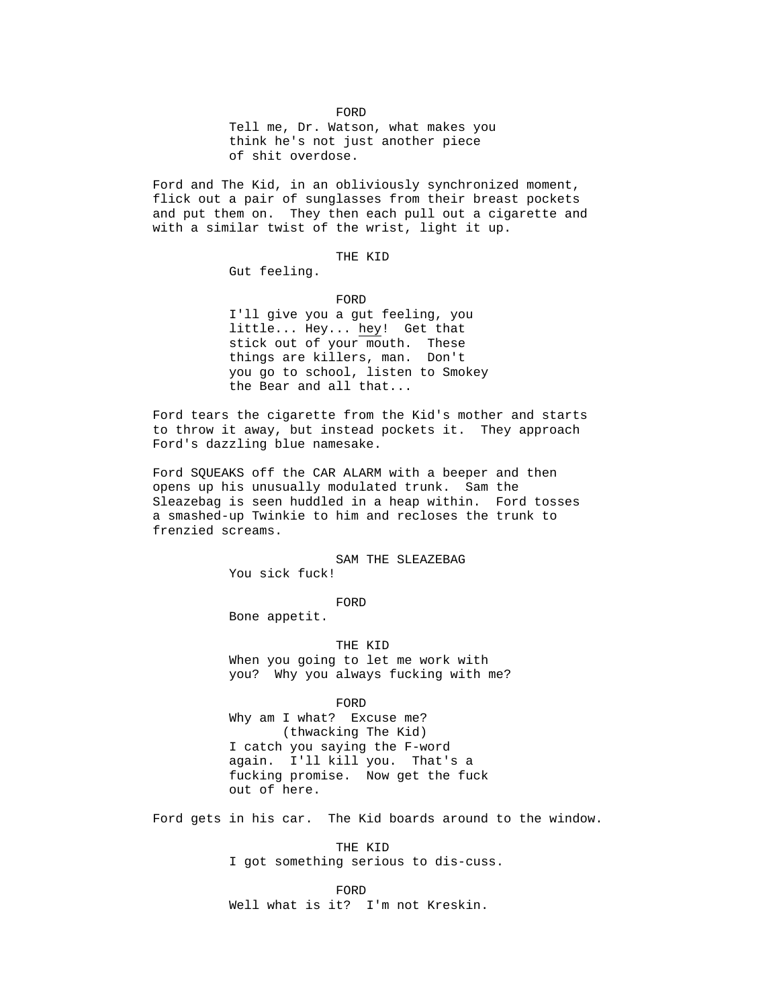FORD Tell me, Dr. Watson, what makes you think he's not just another piece of shit overdose.

> Ford and The Kid, in an obliviously synchronized moment, flick out a pair of sunglasses from their breast pockets and put them on. They then each pull out a cigarette and with a similar twist of the wrist, light it up.

## THE KID

Gut feeling.

FORD

 I'll give you a gut feeling, you little... Hey... hey! Get that stick out of your mouth. These things are killers, man. Don't you go to school, listen to Smokey the Bear and all that...

 Ford tears the cigarette from the Kid's mother and starts to throw it away, but instead pockets it. They approach Ford's dazzling blue namesake.

 Ford SQUEAKS off the CAR ALARM with a beeper and then opens up his unusually modulated trunk. Sam the Sleazebag is seen huddled in a heap within. Ford tosses a smashed-up Twinkie to him and recloses the trunk to frenzied screams.

> SAM THE SLEAZEBAG You sick fuck!

> > FORD

Bone appetit.

 THE KID When you going to let me work with you? Why you always fucking with me?

 FORD Why am I what? Excuse me? (thwacking The Kid) I catch you saying the F-word again. I'll kill you. That's a fucking promise. Now get the fuck out of here.

Ford gets in his car. The Kid boards around to the window.

 THE KID I got something serious to dis-cuss.

**FORD** Well what is it? I'm not Kreskin.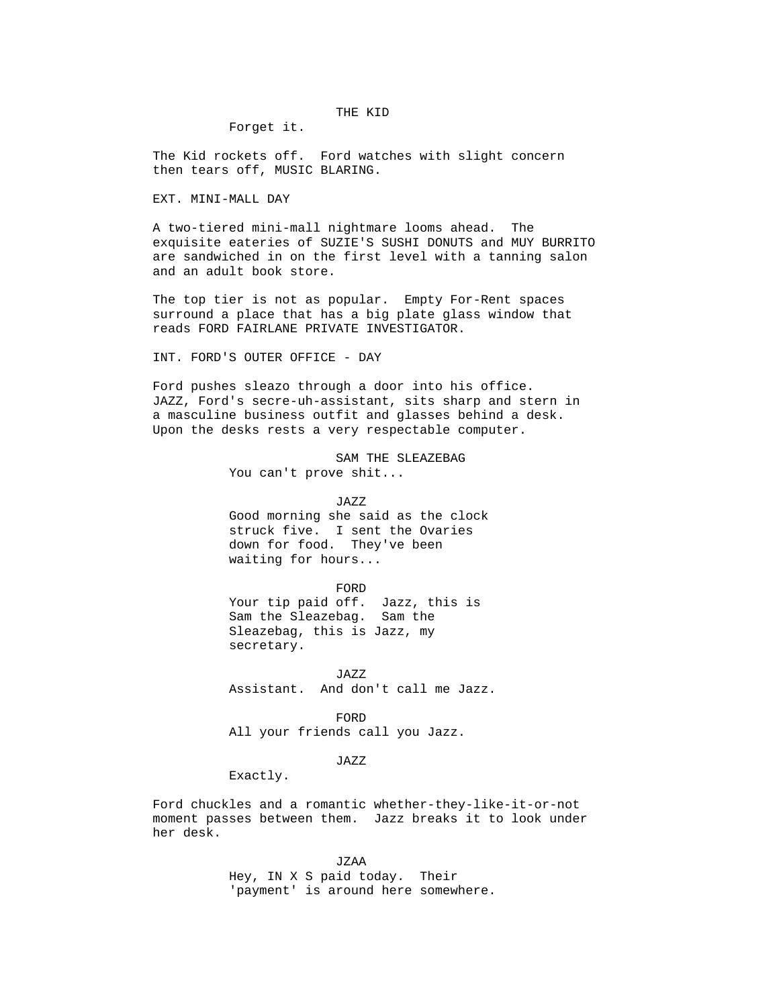### THE KID

Forget it.

 The Kid rockets off. Ford watches with slight concern then tears off, MUSIC BLARING.

EXT. MINI-MALL DAY

 A two-tiered mini-mall nightmare looms ahead. The exquisite eateries of SUZIE'S SUSHI DONUTS and MUY BURRITO are sandwiched in on the first level with a tanning salon and an adult book store.

 The top tier is not as popular. Empty For-Rent spaces surround a place that has a big plate glass window that reads FORD FAIRLANE PRIVATE INVESTIGATOR.

INT. FORD'S OUTER OFFICE - DAY

 Ford pushes sleazo through a door into his office. JAZZ, Ford's secre-uh-assistant, sits sharp and stern in a masculine business outfit and glasses behind a desk. Upon the desks rests a very respectable computer.

> SAM THE SLEAZEBAG You can't prove shit...

> > JAZZ

 Good morning she said as the clock struck five. I sent the Ovaries down for food. They've been waiting for hours...

 FORD Your tip paid off. Jazz, this is Sam the Sleazebag. Sam the Sleazebag, this is Jazz, my secretary.

> JAZZ Assistant. And don't call me Jazz.

 FORD All your friends call you Jazz.

JAZZ

Exactly.

 Ford chuckles and a romantic whether-they-like-it-or-not moment passes between them. Jazz breaks it to look under her desk.

> JZAA Hey, IN X S paid today. Their 'payment' is around here somewhere.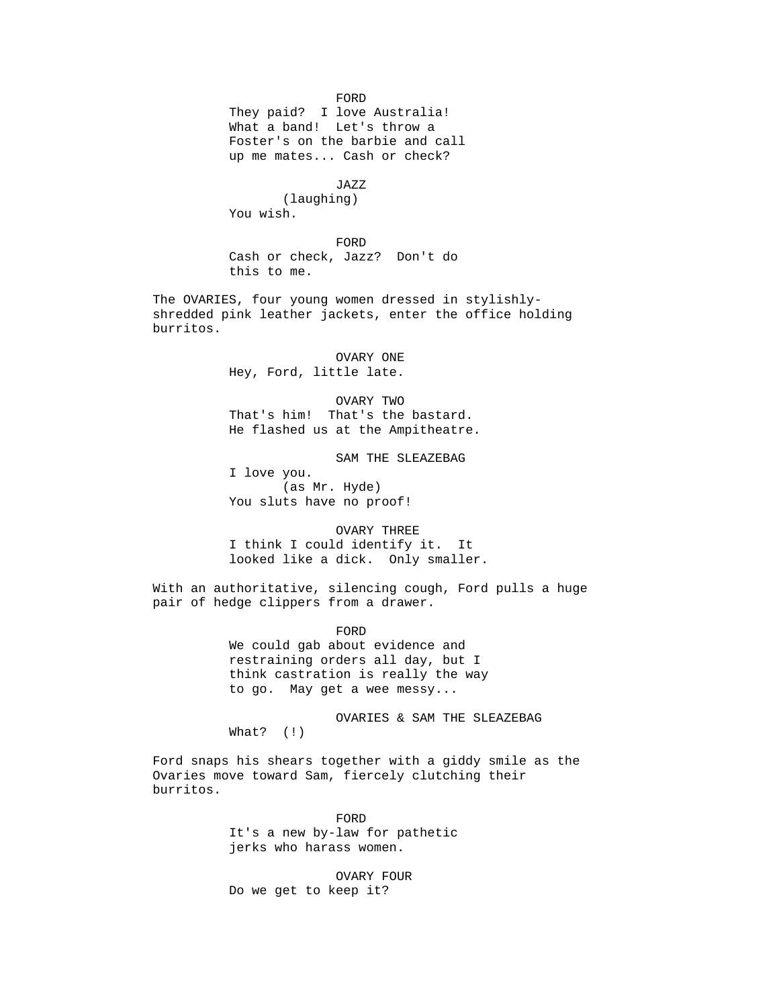FORD They paid? I love Australia! What a band! Let's throw a Foster's on the barbie and call up me mates... Cash or check?

 JAZZ (laughing)

You wish.

 FORD Cash or check, Jazz? Don't do this to me.

> The OVARIES, four young women dressed in stylishly shredded pink leather jackets, enter the office holding burritos.

> > OVARY ONE Hey, Ford, little late.

 OVARY TWO That's him! That's the bastard. He flashed us at the Ampitheatre.

 SAM THE SLEAZEBAG I love you. (as Mr. Hyde) You sluts have no proof!

 OVARY THREE I think I could identify it. It looked like a dick. Only smaller.

 With an authoritative, silencing cough, Ford pulls a huge pair of hedge clippers from a drawer.

> FORD We could gab about evidence and restraining orders all day, but I think castration is really the way to go. May get a wee messy...

> > OVARIES & SAM THE SLEAZEBAG

What? (!)

 Ford snaps his shears together with a giddy smile as the Ovaries move toward Sam, fiercely clutching their burritos.

> FORD It's a new by-law for pathetic jerks who harass women.

 OVARY FOUR Do we get to keep it?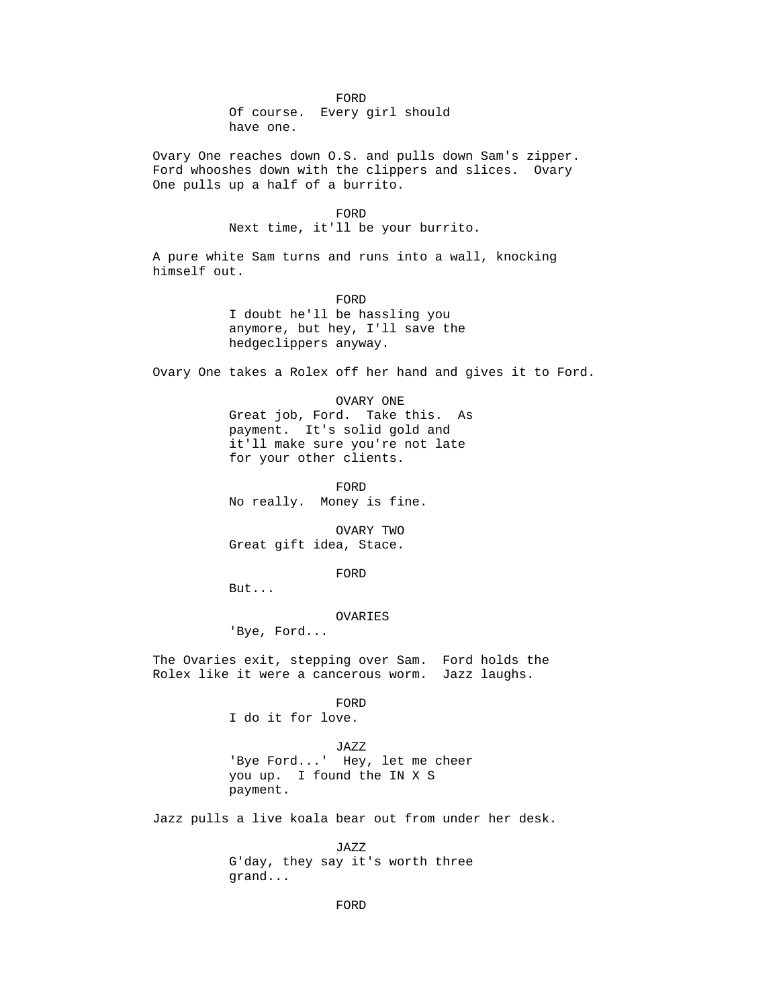FORD Of course. Every girl should have one.

> Ovary One reaches down O.S. and pulls down Sam's zipper. Ford whooshes down with the clippers and slices. Ovary One pulls up a half of a burrito.

> > FORD Next time, it'll be your burrito.

 A pure white Sam turns and runs into a wall, knocking himself out.

> FORD I doubt he'll be hassling you anymore, but hey, I'll save the hedgeclippers anyway.

Ovary One takes a Rolex off her hand and gives it to Ford.

 OVARY ONE Great job, Ford. Take this. As payment. It's solid gold and it'll make sure you're not late for your other clients.

**FORD** No really. Money is fine.

> OVARY TWO Great gift idea, Stace.

> > FORD

But...

OVARIES

'Bye, Ford...

 The Ovaries exit, stepping over Sam. Ford holds the Rolex like it were a cancerous worm. Jazz laughs.

FORD

I do it for love.

 JAZZ 'Bye Ford...' Hey, let me cheer you up. I found the IN X S payment.

Jazz pulls a live koala bear out from under her desk.

 JAZZ G'day, they say it's worth three grand...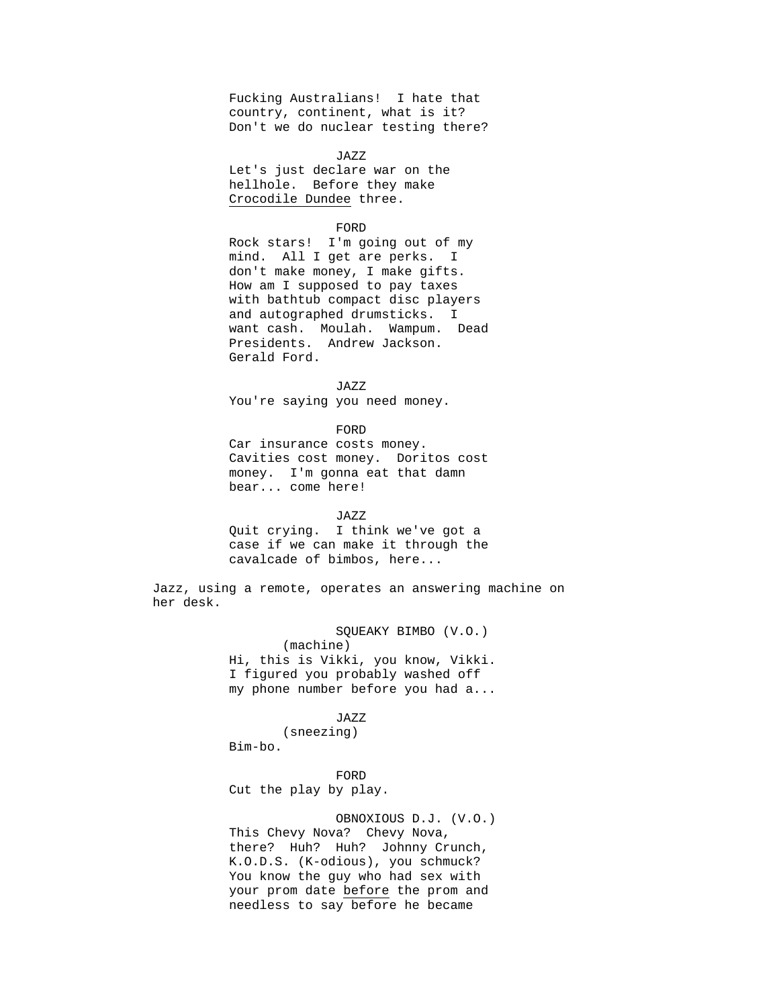Fucking Australians! I hate that country, continent, what is it? Don't we do nuclear testing there?

 JAZZ Let's just declare war on the hellhole. Before they make Crocodile Dundee three.

FORD

 Rock stars! I'm going out of my mind. All I get are perks. I don't make money, I make gifts. How am I supposed to pay taxes with bathtub compact disc players and autographed drumsticks. I want cash. Moulah. Wampum. Dead Presidents. Andrew Jackson. Gerald Ford.

JAZZ

You're saying you need money.

FORD

 Car insurance costs money. Cavities cost money. Doritos cost money. I'm gonna eat that damn bear... come here!

### JAZZ

 Quit crying. I think we've got a case if we can make it through the cavalcade of bimbos, here...

 Jazz, using a remote, operates an answering machine on her desk.

> SQUEAKY BIMBO (V.O.) (machine) Hi, this is Vikki, you know, Vikki. I figured you probably washed off my phone number before you had a...

> > JAZZ

 (sneezing) Bim-bo.

 FORD Cut the play by play.

> OBNOXIOUS D.J. (V.O.) This Chevy Nova? Chevy Nova, there? Huh? Huh? Johnny Crunch, K.O.D.S. (K-odious), you schmuck? You know the guy who had sex with your prom date before the prom and needless to say before he became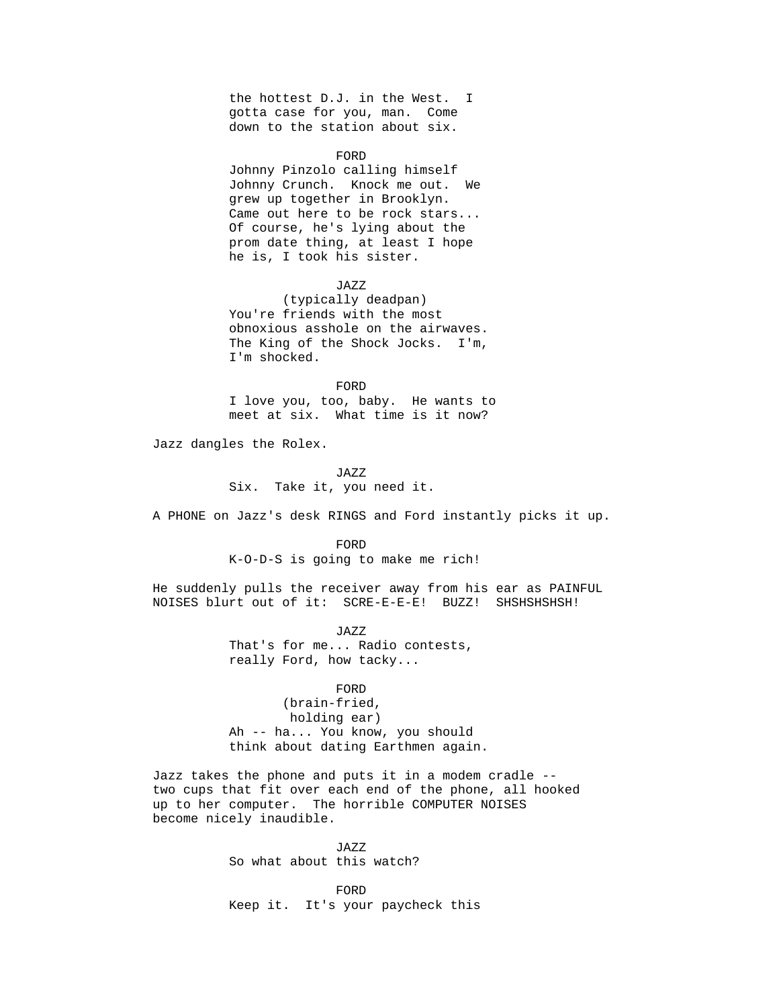the hottest D.J. in the West. I gotta case for you, man. Come down to the station about six.

FORD

 Johnny Pinzolo calling himself Johnny Crunch. Knock me out. We grew up together in Brooklyn. Came out here to be rock stars... Of course, he's lying about the prom date thing, at least I hope he is, I took his sister.

JAZZ

 (typically deadpan) You're friends with the most obnoxious asshole on the airwaves. The King of the Shock Jocks. I'm, I'm shocked.

 FORD I love you, too, baby. He wants to meet at six. What time is it now?

Jazz dangles the Rolex.

 JAZZ Six. Take it, you need it.

A PHONE on Jazz's desk RINGS and Ford instantly picks it up.

**FORD** K-O-D-S is going to make me rich!

> He suddenly pulls the receiver away from his ear as PAINFUL NOISES blurt out of it: SCRE-E-E-E! BUZZ! SHSHSHSHSH!

> > JAZZ That's for me... Radio contests, really Ford, how tacky...

**FORD**  (brain-fried, holding ear) Ah -- ha... You know, you should think about dating Earthmen again.

> Jazz takes the phone and puts it in a modem cradle - two cups that fit over each end of the phone, all hooked up to her computer. The horrible COMPUTER NOISES become nicely inaudible.

> > JAZZ So what about this watch?

**FORD** Keep it. It's your paycheck this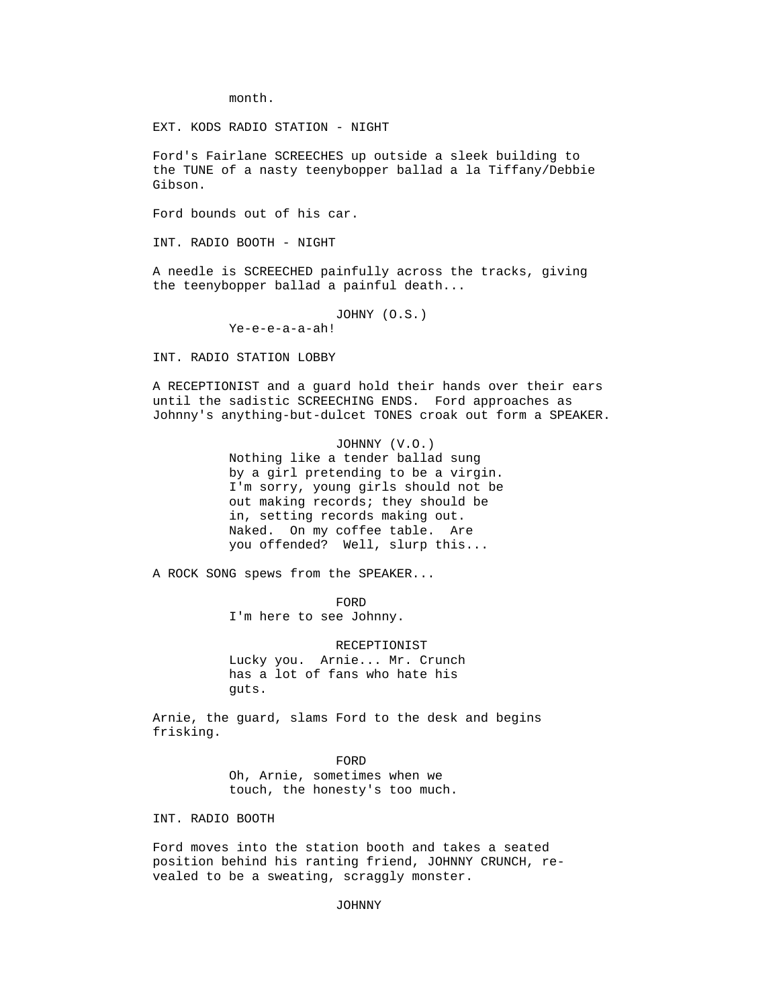month.

EXT. KODS RADIO STATION - NIGHT

 Ford's Fairlane SCREECHES up outside a sleek building to the TUNE of a nasty teenybopper ballad a la Tiffany/Debbie Gibson.

Ford bounds out of his car.

INT. RADIO BOOTH - NIGHT

 A needle is SCREECHED painfully across the tracks, giving the teenybopper ballad a painful death...

> JOHNY (O.S.) Ye-e-e-a-a-ah!

INT. RADIO STATION LOBBY

 A RECEPTIONIST and a guard hold their hands over their ears until the sadistic SCREECHING ENDS. Ford approaches as Johnny's anything-but-dulcet TONES croak out form a SPEAKER.

> JOHNNY (V.O.) Nothing like a tender ballad sung by a girl pretending to be a virgin. I'm sorry, young girls should not be out making records; they should be in, setting records making out. Naked. On my coffee table. Are you offended? Well, slurp this...

A ROCK SONG spews from the SPEAKER...

FORD

I'm here to see Johnny.

 RECEPTIONIST Lucky you. Arnie... Mr. Crunch has a lot of fans who hate his guts.

 Arnie, the guard, slams Ford to the desk and begins frisking.

**FORD** Oh, Arnie, sometimes when we

touch, the honesty's too much.

INT. RADIO BOOTH

 Ford moves into the station booth and takes a seated position behind his ranting friend, JOHNNY CRUNCH, re vealed to be a sweating, scraggly monster.

JOHNNY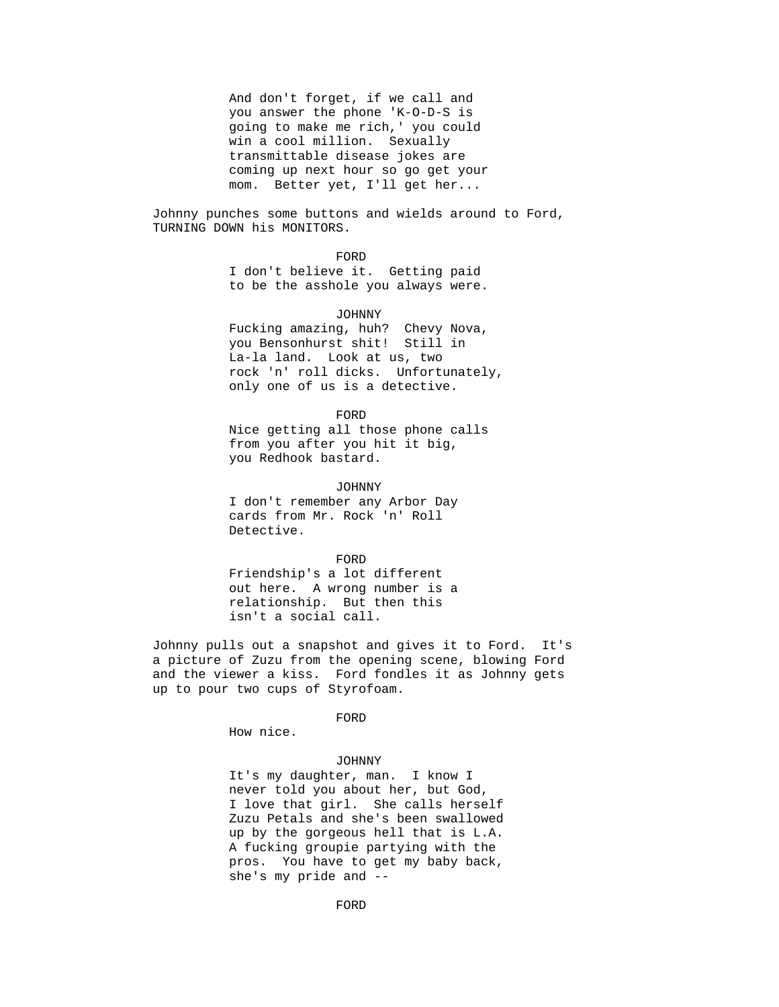And don't forget, if we call and you answer the phone 'K-O-D-S is going to make me rich,' you could win a cool million. Sexually transmittable disease jokes are coming up next hour so go get your mom. Better yet, I'll get her...

 Johnny punches some buttons and wields around to Ford, TURNING DOWN his MONITORS.

FORD

 I don't believe it. Getting paid to be the asshole you always were.

JOHNNY

 Fucking amazing, huh? Chevy Nova, you Bensonhurst shit! Still in La-la land. Look at us, two rock 'n' roll dicks. Unfortunately, only one of us is a detective.

**FORD** 

 Nice getting all those phone calls from you after you hit it big, you Redhook bastard.

 JOHNNY I don't remember any Arbor Day cards from Mr. Rock 'n' Roll Detective.

 FORD Friendship's a lot different out here. A wrong number is a relationship. But then this isn't a social call.

 Johnny pulls out a snapshot and gives it to Ford. It's a picture of Zuzu from the opening scene, blowing Ford and the viewer a kiss. Ford fondles it as Johnny gets up to pour two cups of Styrofoam.

FORD

How nice.

### JOHNNY

 It's my daughter, man. I know I never told you about her, but God, I love that girl. She calls herself Zuzu Petals and she's been swallowed up by the gorgeous hell that is L.A. A fucking groupie partying with the pros. You have to get my baby back, she's my pride and --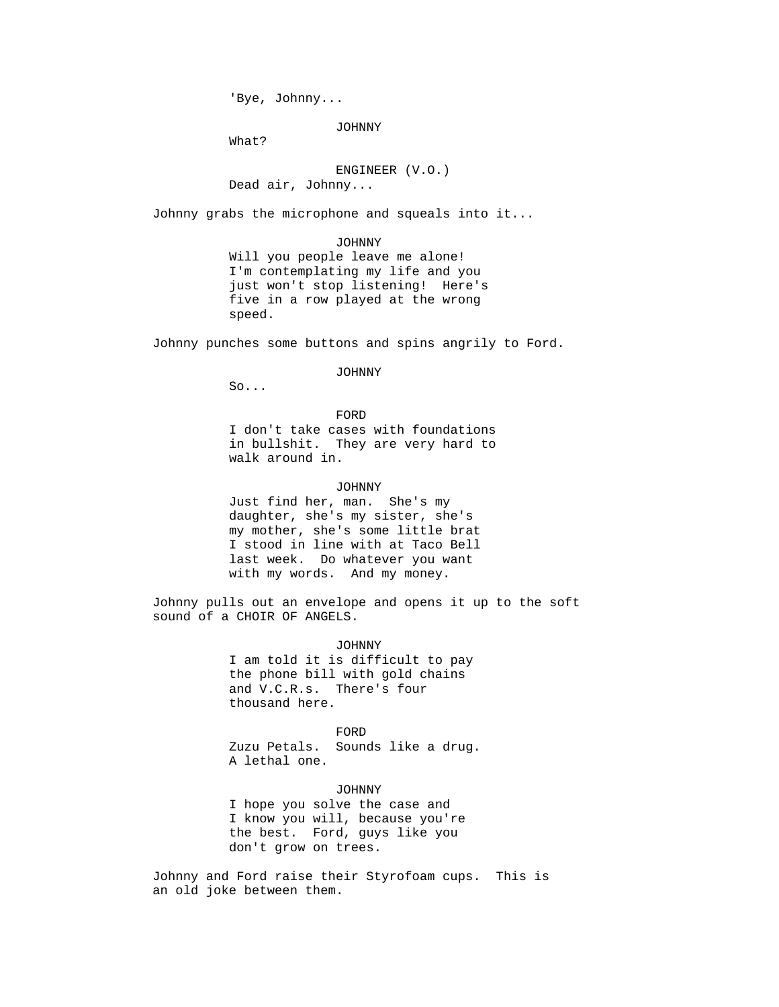'Bye, Johnny...

JOHNNY

What?

## ENGINEER (V.O.) Dead air, Johnny...

Johnny grabs the microphone and squeals into it...

#### JOHNNY

 Will you people leave me alone! I'm contemplating my life and you just won't stop listening! Here's five in a row played at the wrong speed.

Johnny punches some buttons and spins angrily to Ford.

#### JOHNNY

 $So...$ 

 FORD I don't take cases with foundations in bullshit. They are very hard to walk around in.

JOHNNY

 Just find her, man. She's my daughter, she's my sister, she's my mother, she's some little brat I stood in line with at Taco Bell last week. Do whatever you want with my words. And my money.

 Johnny pulls out an envelope and opens it up to the soft sound of a CHOIR OF ANGELS.

JOHNNY

 I am told it is difficult to pay the phone bill with gold chains and V.C.R.s. There's four thousand here.

**FORD**  Zuzu Petals. Sounds like a drug. A lethal one.

> JOHNNY I hope you solve the case and I know you will, because you're the best. Ford, guys like you don't grow on trees.

 Johnny and Ford raise their Styrofoam cups. This is an old joke between them.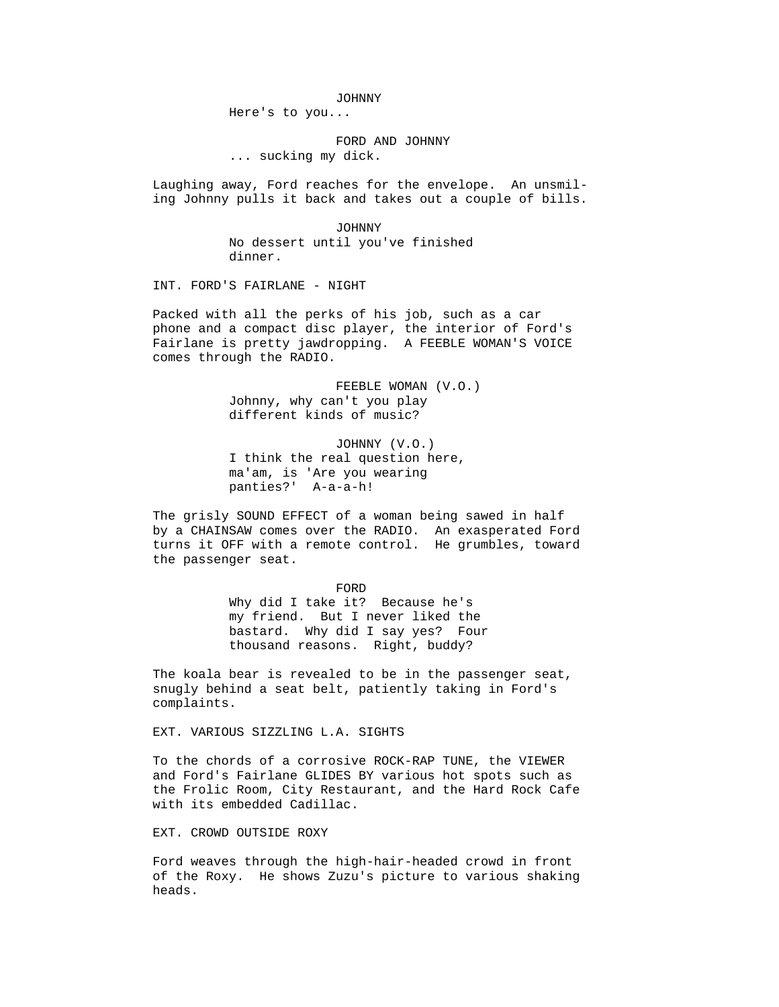JOHNNY

Here's to you...

 FORD AND JOHNNY ... sucking my dick.

 Laughing away, Ford reaches for the envelope. An unsmil ing Johnny pulls it back and takes out a couple of bills.

> JOHNNY No dessert until you've finished dinner.

INT. FORD'S FAIRLANE - NIGHT

 Packed with all the perks of his job, such as a car phone and a compact disc player, the interior of Ford's Fairlane is pretty jawdropping. A FEEBLE WOMAN'S VOICE comes through the RADIO.

> FEEBLE WOMAN (V.O.) Johnny, why can't you play different kinds of music?

 JOHNNY (V.O.) I think the real question here, ma'am, is 'Are you wearing panties?' A-a-a-h!

 The grisly SOUND EFFECT of a woman being sawed in half by a CHAINSAW comes over the RADIO. An exasperated Ford turns it OFF with a remote control. He grumbles, toward the passenger seat.

 FORD Why did I take it? Because he's my friend. But I never liked the bastard. Why did I say yes? Four thousand reasons. Right, buddy?

> The koala bear is revealed to be in the passenger seat, snugly behind a seat belt, patiently taking in Ford's complaints.

EXT. VARIOUS SIZZLING L.A. SIGHTS

 To the chords of a corrosive ROCK-RAP TUNE, the VIEWER and Ford's Fairlane GLIDES BY various hot spots such as the Frolic Room, City Restaurant, and the Hard Rock Cafe with its embedded Cadillac.

EXT. CROWD OUTSIDE ROXY

 Ford weaves through the high-hair-headed crowd in front of the Roxy. He shows Zuzu's picture to various shaking heads.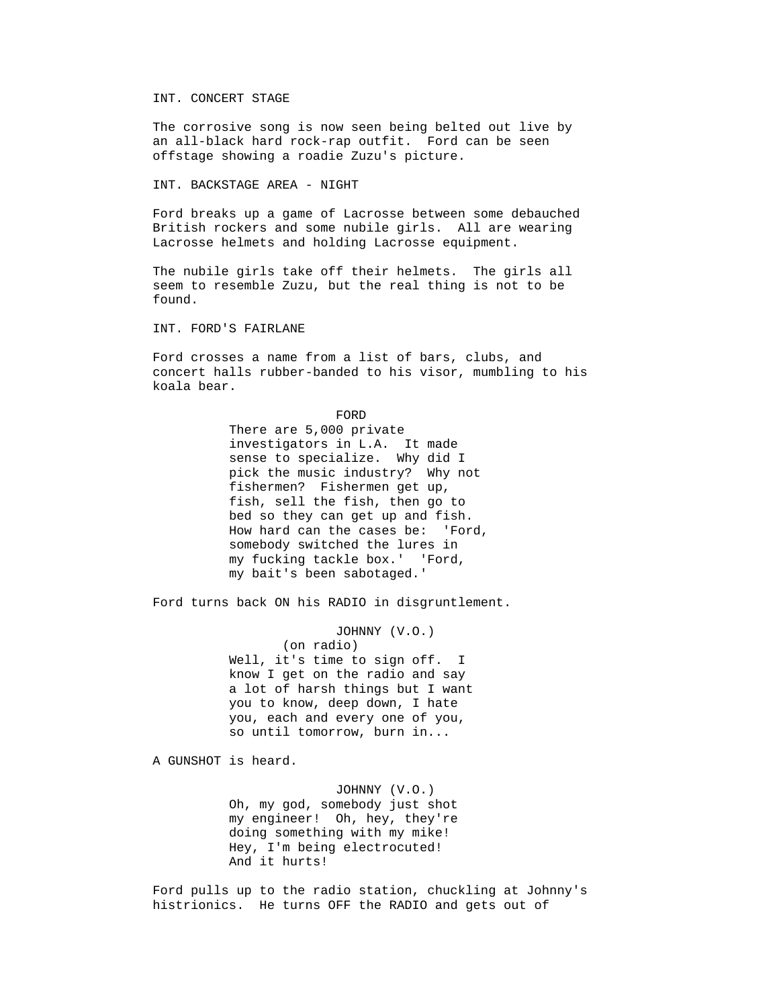## INT. CONCERT STAGE

 The corrosive song is now seen being belted out live by an all-black hard rock-rap outfit. Ford can be seen offstage showing a roadie Zuzu's picture.

INT. BACKSTAGE AREA - NIGHT

 Ford breaks up a game of Lacrosse between some debauched British rockers and some nubile girls. All are wearing Lacrosse helmets and holding Lacrosse equipment.

 The nubile girls take off their helmets. The girls all seem to resemble Zuzu, but the real thing is not to be found.

INT. FORD'S FAIRLANE

 Ford crosses a name from a list of bars, clubs, and concert halls rubber-banded to his visor, mumbling to his koala bear.

**FORD** 

 There are 5,000 private investigators in L.A. It made sense to specialize. Why did I pick the music industry? Why not fishermen? Fishermen get up, fish, sell the fish, then go to bed so they can get up and fish. How hard can the cases be: 'Ford, somebody switched the lures in my fucking tackle box.' 'Ford, my bait's been sabotaged.'

Ford turns back ON his RADIO in disgruntlement.

JOHNNY (V.O.)

 (on radio) Well, it's time to sign off. I know I get on the radio and say a lot of harsh things but I want you to know, deep down, I hate you, each and every one of you, so until tomorrow, burn in...

A GUNSHOT is heard.

JOHNNY (V.O.)

 Oh, my god, somebody just shot my engineer! Oh, hey, they're doing something with my mike! Hey, I'm being electrocuted! And it hurts!

 Ford pulls up to the radio station, chuckling at Johnny's histrionics. He turns OFF the RADIO and gets out of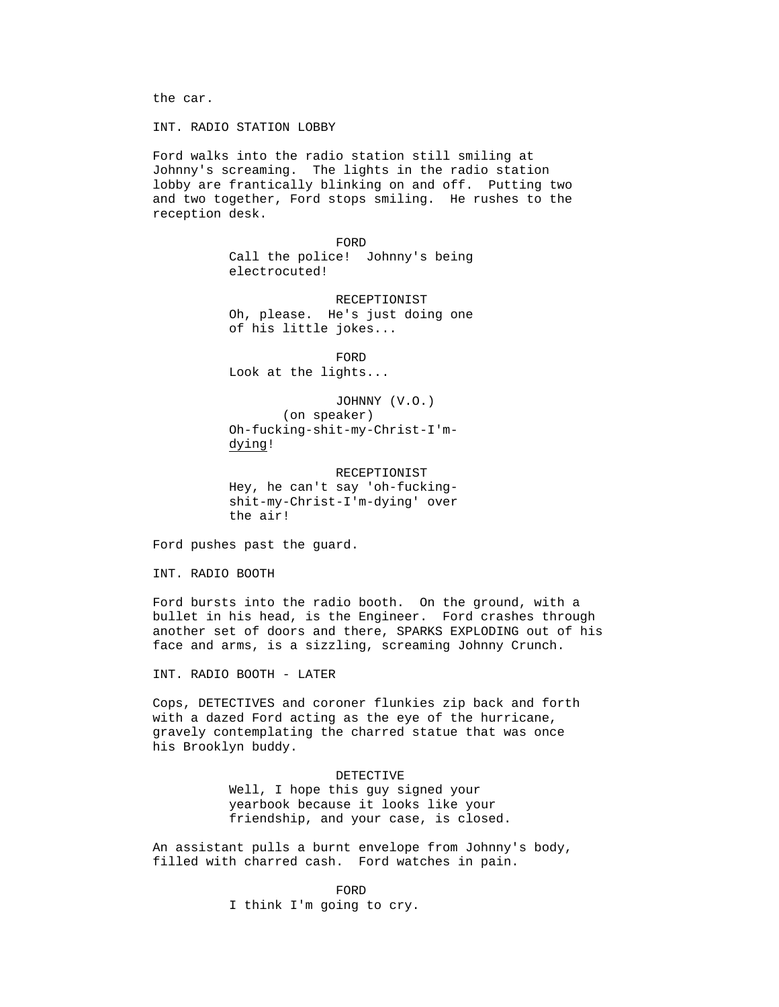the car.

INT. RADIO STATION LOBBY

 Ford walks into the radio station still smiling at Johnny's screaming. The lights in the radio station lobby are frantically blinking on and off. Putting two and two together, Ford stops smiling. He rushes to the reception desk.

 FORD Call the police! Johnny's being electrocuted!

> RECEPTIONIST Oh, please. He's just doing one of his little jokes...

**FORD** Look at the lights...

> JOHNNY (V.O.) (on speaker) Oh-fucking-shit-my-Christ-I'm dying!

> RECEPTIONIST Hey, he can't say 'oh-fucking shit-my-Christ-I'm-dying' over the air!

Ford pushes past the guard.

INT. RADIO BOOTH

 Ford bursts into the radio booth. On the ground, with a bullet in his head, is the Engineer. Ford crashes through another set of doors and there, SPARKS EXPLODING out of his face and arms, is a sizzling, screaming Johnny Crunch.

INT. RADIO BOOTH - LATER

 Cops, DETECTIVES and coroner flunkies zip back and forth with a dazed Ford acting as the eye of the hurricane, gravely contemplating the charred statue that was once his Brooklyn buddy.

## DETECTIVE

 Well, I hope this guy signed your yearbook because it looks like your friendship, and your case, is closed.

 An assistant pulls a burnt envelope from Johnny's body, filled with charred cash. Ford watches in pain.

**FORD** I think I'm going to cry.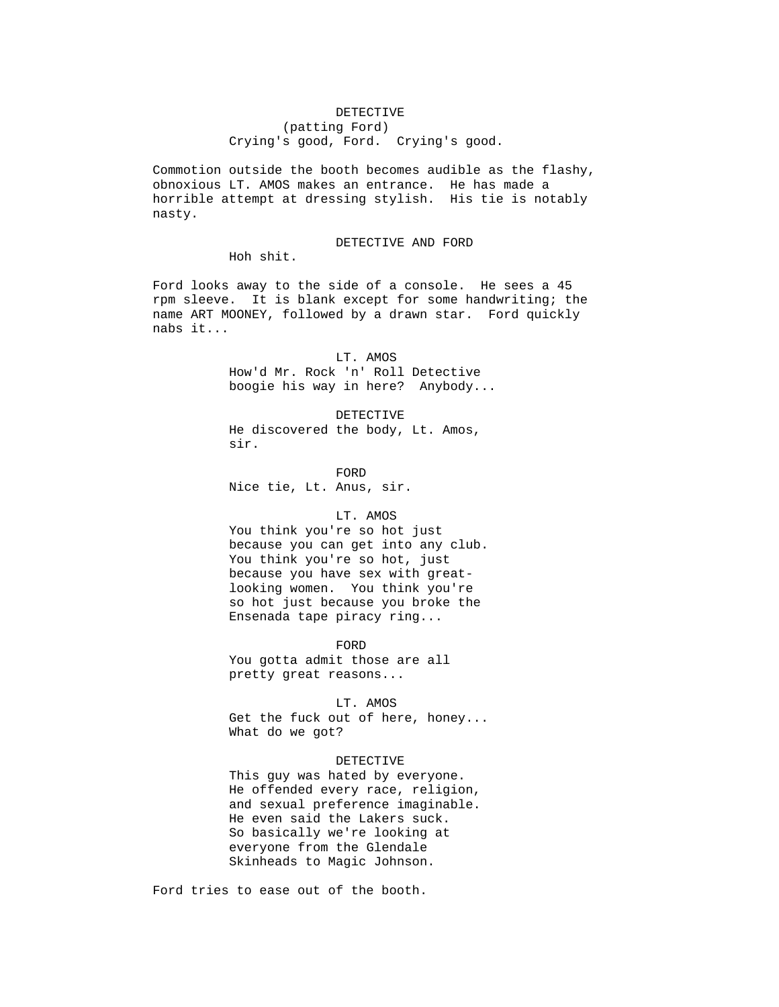# DETECTIVE (patting Ford) Crying's good, Ford. Crying's good.

 Commotion outside the booth becomes audible as the flashy, obnoxious LT. AMOS makes an entrance. He has made a horrible attempt at dressing stylish. His tie is notably nasty.

### DETECTIVE AND FORD

Hoh shit.

 Ford looks away to the side of a console. He sees a 45 rpm sleeve. It is blank except for some handwriting; the name ART MOONEY, followed by a drawn star. Ford quickly nabs it...

> LT. AMOS How'd Mr. Rock 'n' Roll Detective boogie his way in here? Anybody...

 DETECTIVE He discovered the body, Lt. Amos, sir.

**FORD** Nice tie, Lt. Anus, sir.

### LT. AMOS

 You think you're so hot just because you can get into any club. You think you're so hot, just because you have sex with greatlooking women. You think you're so hot just because you broke the Ensenada tape piracy ring...

FORD

 You gotta admit those are all pretty great reasons...

LT. AMOS

 Get the fuck out of here, honey... What do we got?

### DETECTIVE

 This guy was hated by everyone. He offended every race, religion, and sexual preference imaginable. He even said the Lakers suck. So basically we're looking at everyone from the Glendale Skinheads to Magic Johnson.

Ford tries to ease out of the booth.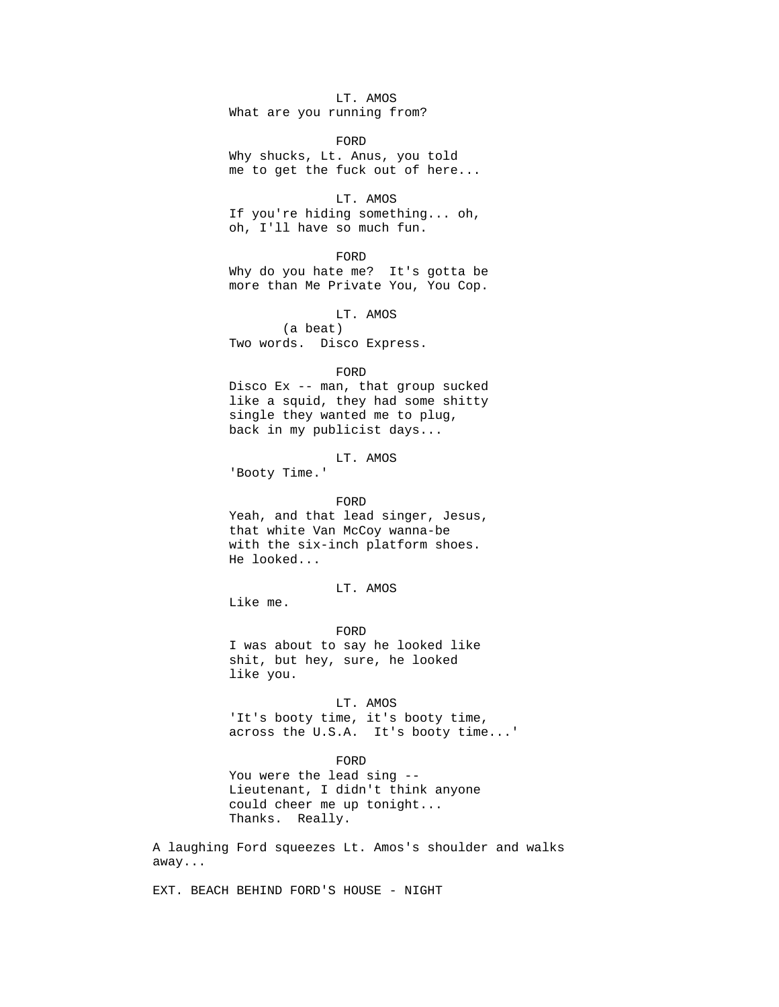LT. AMOS What are you running from?

FORD

 Why shucks, Lt. Anus, you told me to get the fuck out of here...

LT. AMOS

 If you're hiding something... oh, oh, I'll have so much fun.

FORD

 Why do you hate me? It's gotta be more than Me Private You, You Cop.

 LT. AMOS (a beat) Two words. Disco Express.

FORD

 Disco Ex -- man, that group sucked like a squid, they had some shitty single they wanted me to plug, back in my publicist days...

LT. AMOS

'Booty Time.'

 FORD Yeah, and that lead singer, Jesus, that white Van McCoy wanna-be with the six-inch platform shoes. He looked...

LT. AMOS

Like me.

 FORD I was about to say he looked like shit, but hey, sure, he looked like you.

 LT. AMOS 'It's booty time, it's booty time, across the U.S.A. It's booty time...'

FORD

 You were the lead sing -- Lieutenant, I didn't think anyone could cheer me up tonight... Thanks. Really.

 A laughing Ford squeezes Lt. Amos's shoulder and walks away...

EXT. BEACH BEHIND FORD'S HOUSE - NIGHT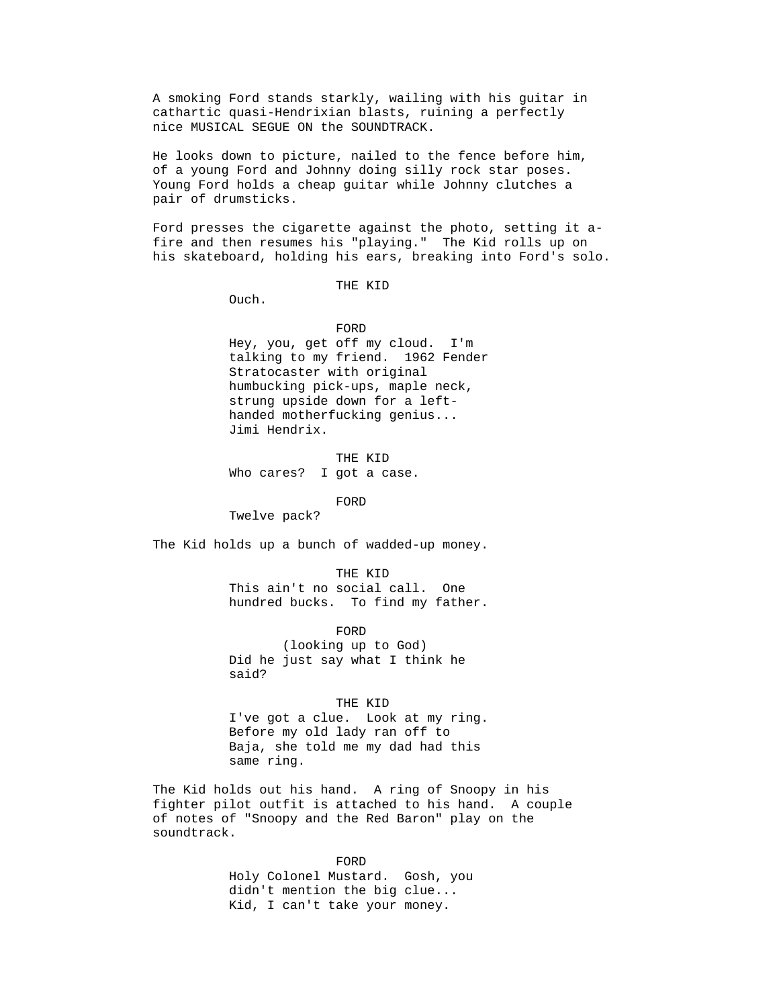A smoking Ford stands starkly, wailing with his guitar in cathartic quasi-Hendrixian blasts, ruining a perfectly nice MUSICAL SEGUE ON the SOUNDTRACK.

 He looks down to picture, nailed to the fence before him, of a young Ford and Johnny doing silly rock star poses. Young Ford holds a cheap guitar while Johnny clutches a pair of drumsticks.

 Ford presses the cigarette against the photo, setting it a fire and then resumes his "playing." The Kid rolls up on his skateboard, holding his ears, breaking into Ford's solo.

THE KID

Ouch.

 FORD Hey, you, get off my cloud. I'm talking to my friend. 1962 Fender Stratocaster with original humbucking pick-ups, maple neck, strung upside down for a lefthanded motherfucking genius... Jimi Hendrix.

 THE KID Who cares? I got a case.

FORD

Twelve pack?

The Kid holds up a bunch of wadded-up money.

 THE KID This ain't no social call. One hundred bucks. To find my father.

**FORD** 

 (looking up to God) Did he just say what I think he said?

 THE KID I've got a clue. Look at my ring. Before my old lady ran off to Baja, she told me my dad had this same ring.

 The Kid holds out his hand. A ring of Snoopy in his fighter pilot outfit is attached to his hand. A couple of notes of "Snoopy and the Red Baron" play on the soundtrack.

FORD

 Holy Colonel Mustard. Gosh, you didn't mention the big clue... Kid, I can't take your money.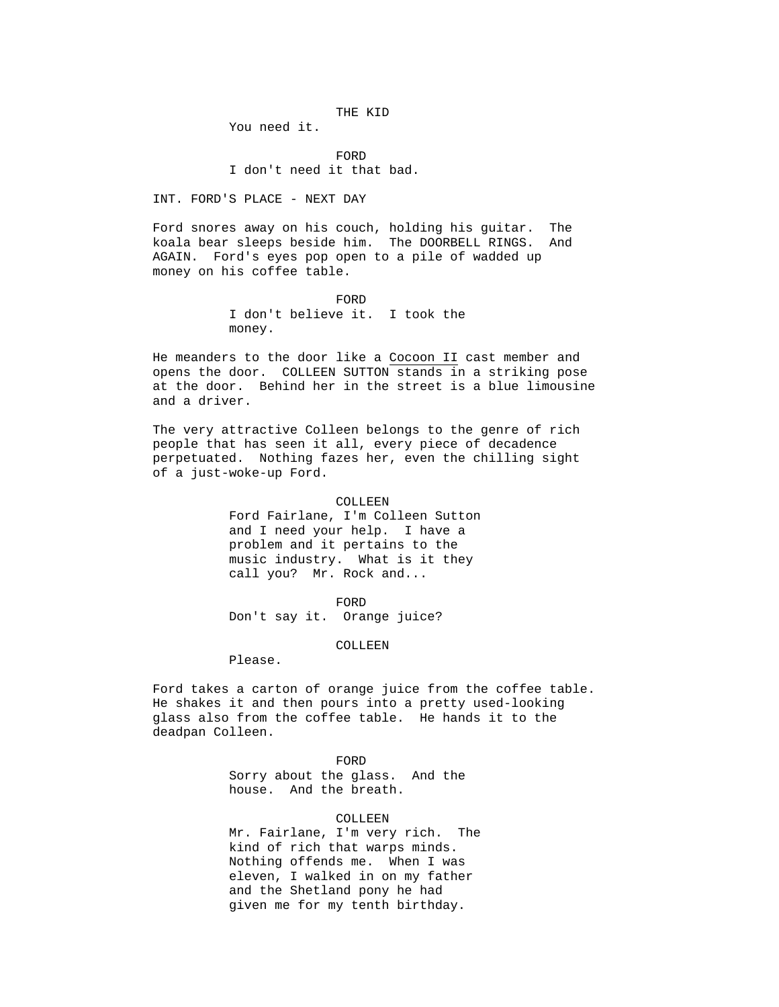THE KID

You need it.

 FORD I don't need it that bad.

INT. FORD'S PLACE - NEXT DAY

 Ford snores away on his couch, holding his guitar. The koala bear sleeps beside him. The DOORBELL RINGS. And AGAIN. Ford's eyes pop open to a pile of wadded up money on his coffee table.

> FORD I don't believe it. I took the money.

 He meanders to the door like a Cocoon II cast member and opens the door. COLLEEN SUTTON stands in a striking pose at the door. Behind her in the street is a blue limousine and a driver.

 The very attractive Colleen belongs to the genre of rich people that has seen it all, every piece of decadence perpetuated. Nothing fazes her, even the chilling sight of a just-woke-up Ford.

> COLLEEN Ford Fairlane, I'm Colleen Sutton and I need your help. I have a problem and it pertains to the music industry. What is it they call you? Mr. Rock and...

> > FORD

Don't say it. Orange juice?

COLLEEN

Please.

 Ford takes a carton of orange juice from the coffee table. He shakes it and then pours into a pretty used-looking glass also from the coffee table. He hands it to the deadpan Colleen.

**FORD**  Sorry about the glass. And the house. And the breath.

> COLLEEN Mr. Fairlane, I'm very rich. The kind of rich that warps minds. Nothing offends me. When I was eleven, I walked in on my father and the Shetland pony he had given me for my tenth birthday.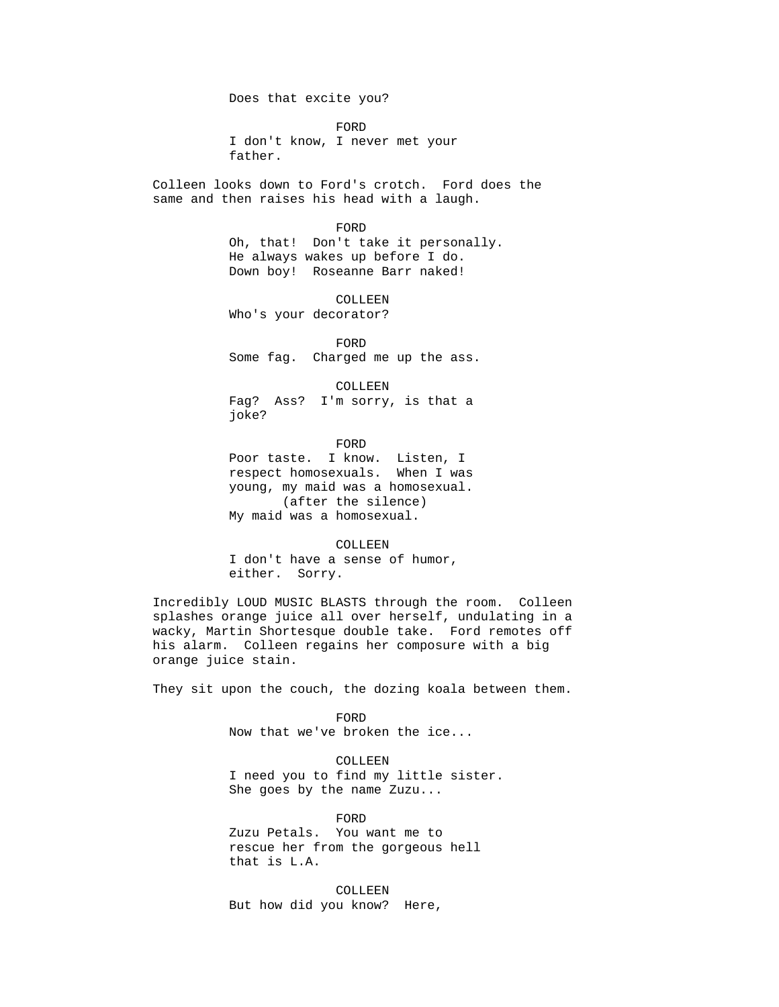Does that excite you?

 FORD I don't know, I never met your father.

 Colleen looks down to Ford's crotch. Ford does the same and then raises his head with a laugh.

FORD

 Oh, that! Don't take it personally. He always wakes up before I do. Down boy! Roseanne Barr naked!

COLLEEN

Who's your decorator?

FORD

Some fag. Charged me up the ass.

COLLEEN

 Fag? Ass? I'm sorry, is that a joke?

 FORD Poor taste. I know. Listen, I respect homosexuals. When I was young, my maid was a homosexual. (after the silence) My maid was a homosexual.

 COLLEEN I don't have a sense of humor, either. Sorry.

 Incredibly LOUD MUSIC BLASTS through the room. Colleen splashes orange juice all over herself, undulating in a wacky, Martin Shortesque double take. Ford remotes off his alarm. Colleen regains her composure with a big orange juice stain.

They sit upon the couch, the dozing koala between them.

 FORD Now that we've broken the ice...

> COLLEEN I need you to find my little sister. She goes by the name Zuzu...

 FORD Zuzu Petals. You want me to rescue her from the gorgeous hell that is L.A.

 COLLEEN But how did you know? Here,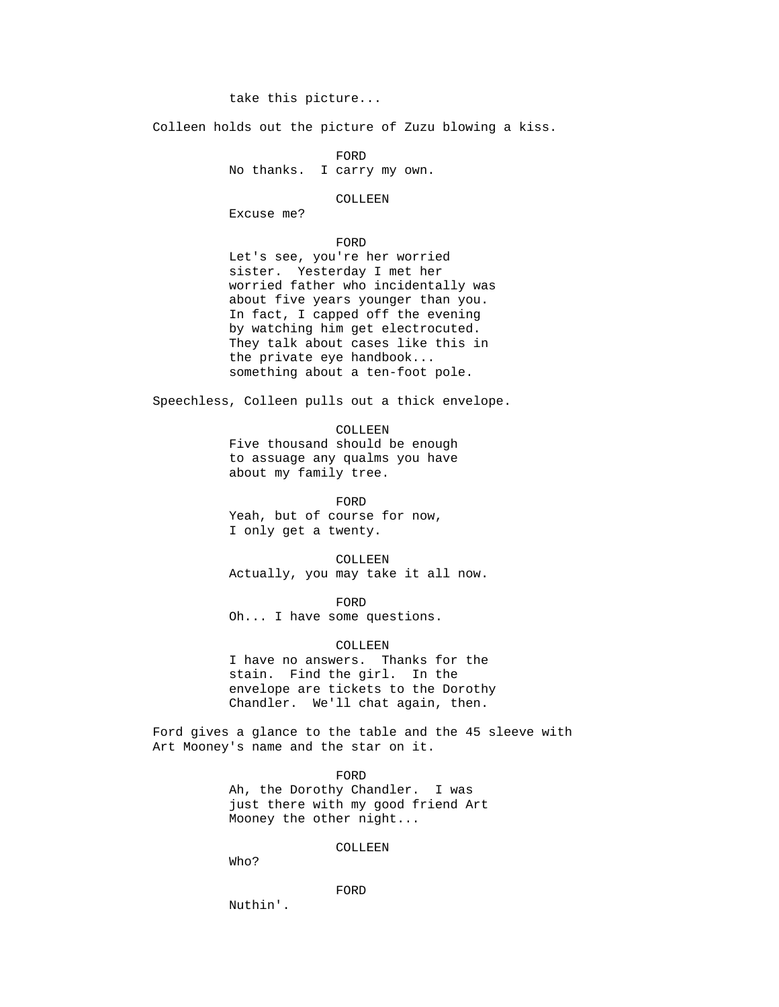take this picture...

Colleen holds out the picture of Zuzu blowing a kiss.

 FORD No thanks. I carry my own.

COLLEEN

Excuse me?

FORD

 Let's see, you're her worried sister. Yesterday I met her worried father who incidentally was about five years younger than you. In fact, I capped off the evening by watching him get electrocuted. They talk about cases like this in the private eye handbook... something about a ten-foot pole.

Speechless, Colleen pulls out a thick envelope.

 COLLEEN Five thousand should be enough to assuage any qualms you have about my family tree.

**FORD**  Yeah, but of course for now, I only get a twenty.

> COLLEEN Actually, you may take it all now.

> > FORD

Oh... I have some questions.

#### COLLEEN

 I have no answers. Thanks for the stain. Find the girl. In the envelope are tickets to the Dorothy Chandler. We'll chat again, then.

 Ford gives a glance to the table and the 45 sleeve with Art Mooney's name and the star on it.

FORD

 Ah, the Dorothy Chandler. I was just there with my good friend Art Mooney the other night...

COLLEEN

Who?

**FORD** 

Nuthin'.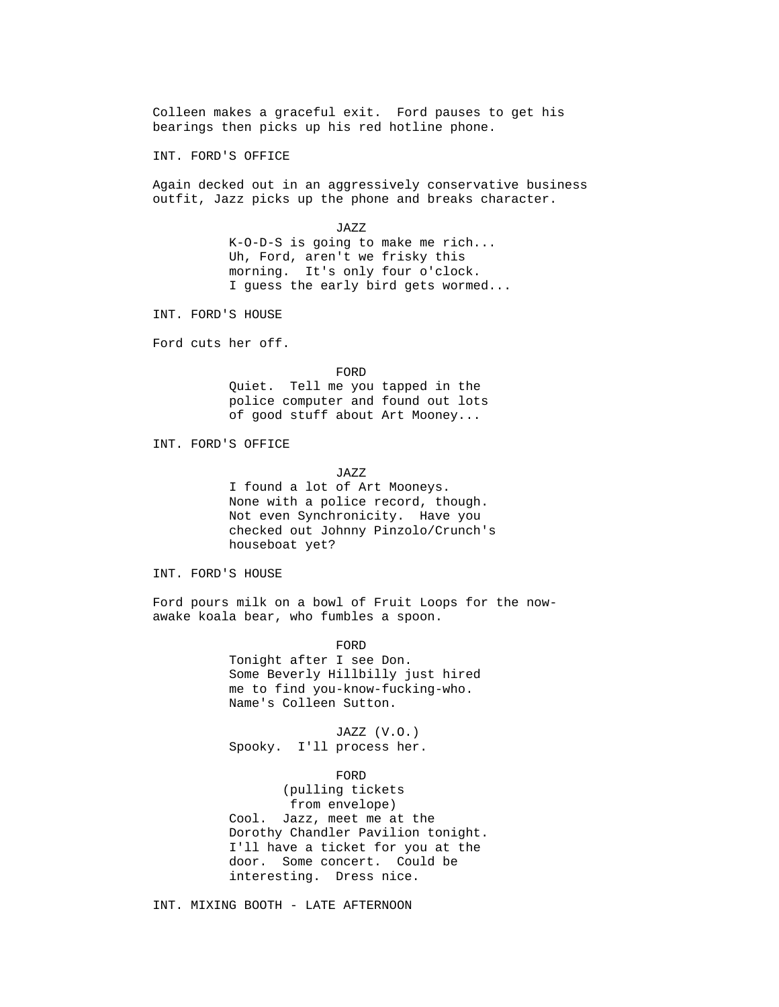Colleen makes a graceful exit. Ford pauses to get his bearings then picks up his red hotline phone.

INT. FORD'S OFFICE

 Again decked out in an aggressively conservative business outfit, Jazz picks up the phone and breaks character.

## JAZZ

 K-O-D-S is going to make me rich... Uh, Ford, aren't we frisky this morning. It's only four o'clock. I guess the early bird gets wormed...

INT. FORD'S HOUSE

Ford cuts her off.

FORD

 Quiet. Tell me you tapped in the police computer and found out lots of good stuff about Art Mooney...

INT. FORD'S OFFICE

## JAZZ

 I found a lot of Art Mooneys. None with a police record, though. Not even Synchronicity. Have you checked out Johnny Pinzolo/Crunch's houseboat yet?

INT. FORD'S HOUSE

 Ford pours milk on a bowl of Fruit Loops for the now awake koala bear, who fumbles a spoon.

FORD

 Tonight after I see Don. Some Beverly Hillbilly just hired me to find you-know-fucking-who. Name's Colleen Sutton.

 JAZZ (V.O.) Spooky. I'll process her.

## FORD

 (pulling tickets from envelope) Cool. Jazz, meet me at the Dorothy Chandler Pavilion tonight. I'll have a ticket for you at the door. Some concert. Could be interesting. Dress nice.

INT. MIXING BOOTH - LATE AFTERNOON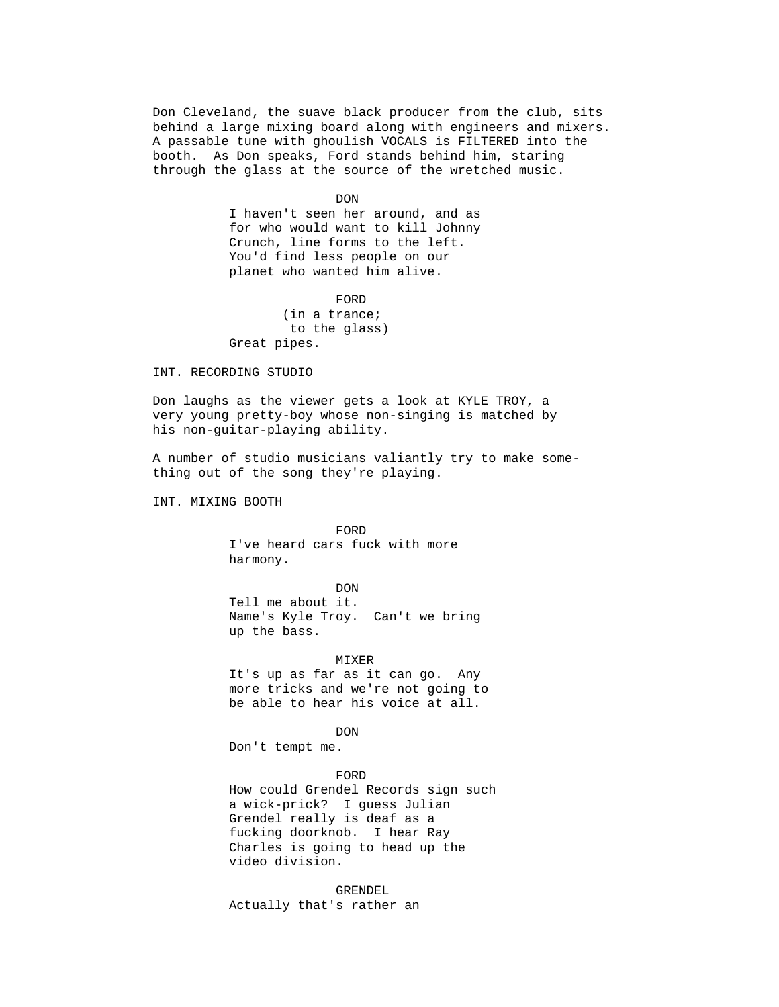Don Cleveland, the suave black producer from the club, sits behind a large mixing board along with engineers and mixers. A passable tune with ghoulish VOCALS is FILTERED into the booth. As Don speaks, Ford stands behind him, staring through the glass at the source of the wretched music.

**DON** 

 I haven't seen her around, and as for who would want to kill Johnny Crunch, line forms to the left. You'd find less people on our planet who wanted him alive.

FORD

 (in a trance; to the glass) Great pipes.

## INT. RECORDING STUDIO

 Don laughs as the viewer gets a look at KYLE TROY, a very young pretty-boy whose non-singing is matched by his non-guitar-playing ability.

 A number of studio musicians valiantly try to make some thing out of the song they're playing.

INT. MIXING BOOTH

 FORD I've heard cars fuck with more harmony.

# DON

 Tell me about it. Name's Kyle Troy. Can't we bring up the bass.

 MIXER It's up as far as it can go. Any

 more tricks and we're not going to be able to hear his voice at all.

**DON** 

Don't tempt me.

## FORD

 How could Grendel Records sign such a wick-prick? I guess Julian Grendel really is deaf as a fucking doorknob. I hear Ray Charles is going to head up the video division.

 GRENDEL Actually that's rather an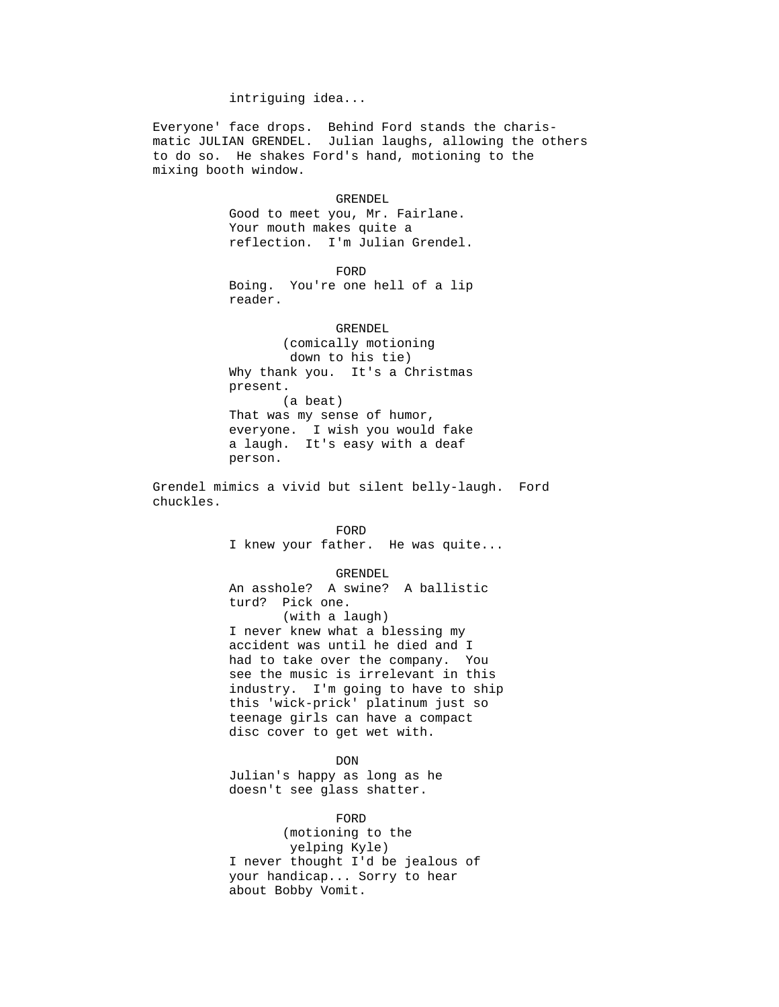## intriguing idea...

 Everyone' face drops. Behind Ford stands the charis matic JULIAN GRENDEL. Julian laughs, allowing the others to do so. He shakes Ford's hand, motioning to the mixing booth window.

## GRENDEL

 Good to meet you, Mr. Fairlane. Your mouth makes quite a reflection. I'm Julian Grendel.

 FORD Boing. You're one hell of a lip reader.

 GRENDEL (comically motioning down to his tie) Why thank you. It's a Christmas present. (a beat) That was my sense of humor, everyone. I wish you would fake a laugh. It's easy with a deaf person.

 Grendel mimics a vivid but silent belly-laugh. Ford chuckles.

> FORD I knew your father. He was quite...

 GRENDEL An asshole? A swine? A ballistic turd? Pick one. (with a laugh)

 I never knew what a blessing my accident was until he died and I had to take over the company. You see the music is irrelevant in this industry. I'm going to have to ship this 'wick-prick' platinum just so teenage girls can have a compact disc cover to get wet with.

**DON**  Julian's happy as long as he doesn't see glass shatter.

> FORD (motioning to the yelping Kyle) I never thought I'd be jealous of your handicap... Sorry to hear about Bobby Vomit.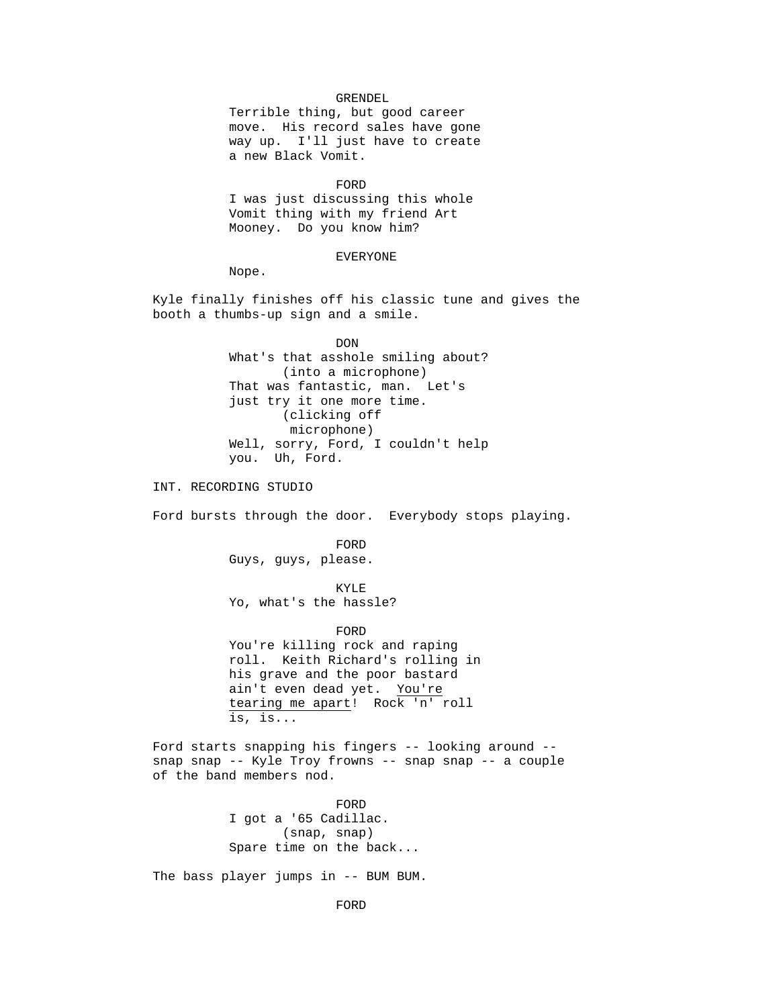### GRENDEL

 Terrible thing, but good career move. His record sales have gone way up. I'll just have to create a new Black Vomit.

 FORD I was just discussing this whole Vomit thing with my friend Art Mooney. Do you know him?

### EVERYONE

Nope.

 Kyle finally finishes off his classic tune and gives the booth a thumbs-up sign and a smile.

**DON**  What's that asshole smiling about? (into a microphone) That was fantastic, man. Let's just try it one more time. (clicking off microphone) Well, sorry, Ford, I couldn't help you. Uh, Ford.

INT. RECORDING STUDIO

Ford bursts through the door. Everybody stops playing.

**FORD** Guys, guys, please.

> KYLE Yo, what's the hassle?

> > FORD

 You're killing rock and raping roll. Keith Richard's rolling in his grave and the poor bastard ain't even dead yet. You're tearing me apart! Rock 'n' roll is, is...

 Ford starts snapping his fingers -- looking around - snap snap -- Kyle Troy frowns -- snap snap -- a couple of the band members nod.

**FORD**  I got a '65 Cadillac. (snap, snap) Spare time on the back...

The bass player jumps in -- BUM BUM.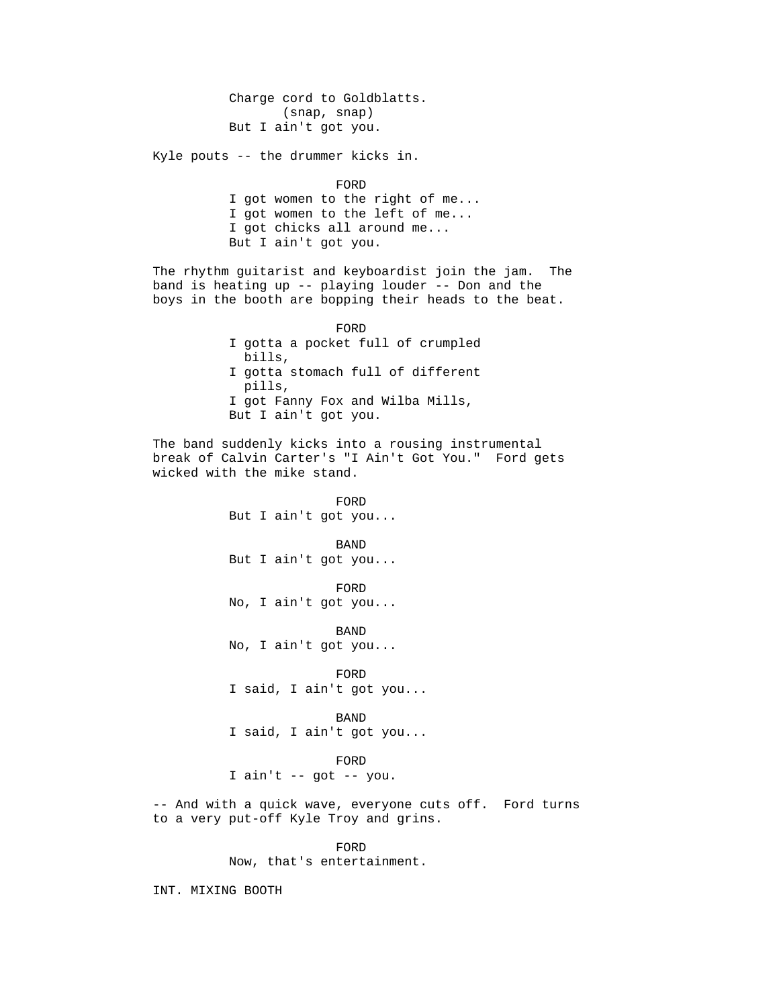Charge cord to Goldblatts. (snap, snap) But I ain't got you.

Kyle pouts -- the drummer kicks in.

 FORD I got women to the right of me... I got women to the left of me... I got chicks all around me... But I ain't got you.

 The rhythm guitarist and keyboardist join the jam. The band is heating up -- playing louder -- Don and the boys in the booth are bopping their heads to the beat.

> FORD I gotta a pocket full of crumpled bills, I gotta stomach full of different pills, I got Fanny Fox and Wilba Mills, But I ain't got you.

 The band suddenly kicks into a rousing instrumental break of Calvin Carter's "I Ain't Got You." Ford gets wicked with the mike stand.

**FORD**  But I ain't got you... BAND But I ain't got you... FORD

No, I ain't got you...

 BAND No, I ain't got you...

 FORD I said, I ain't got you...

**BAND** I said, I ain't got you...

> FORD I ain't -- got -- you.

 -- And with a quick wave, everyone cuts off. Ford turns to a very put-off Kyle Troy and grins.

> FORD Now, that's entertainment.

INT. MIXING BOOTH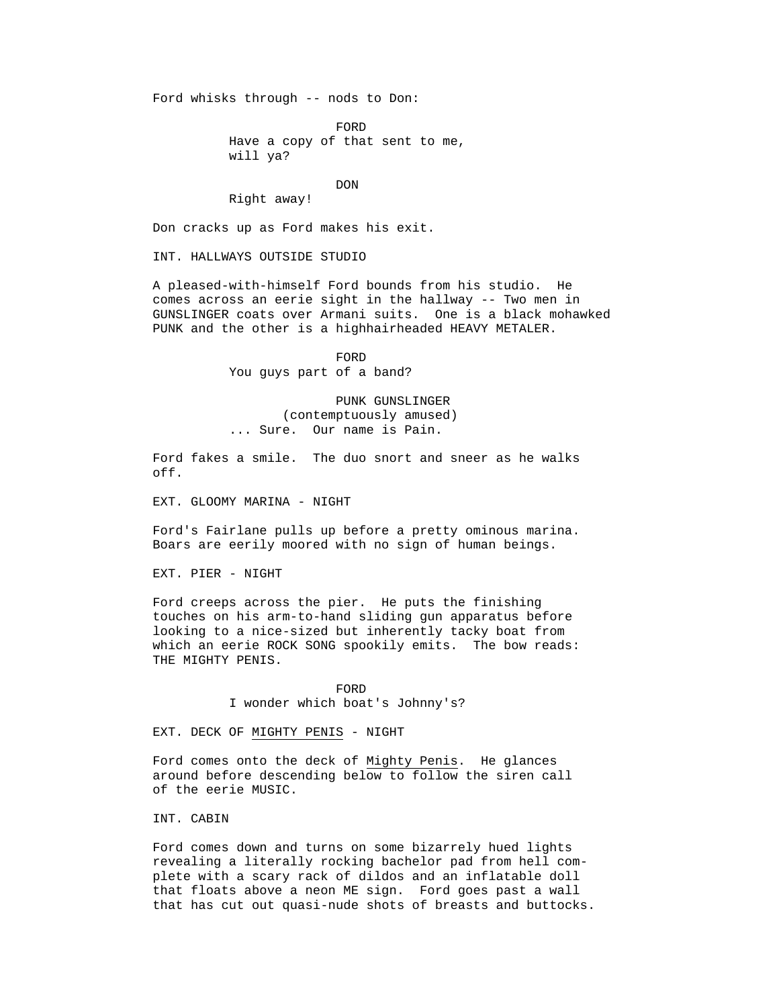Ford whisks through -- nods to Don:

**FORD**  Have a copy of that sent to me, will ya?

DON

Right away!

Don cracks up as Ford makes his exit.

INT. HALLWAYS OUTSIDE STUDIO

 A pleased-with-himself Ford bounds from his studio. He comes across an eerie sight in the hallway -- Two men in GUNSLINGER coats over Armani suits. One is a black mohawked PUNK and the other is a highhairheaded HEAVY METALER.

**FORD** You guys part of a band?

> PUNK GUNSLINGER (contemptuously amused) ... Sure. Our name is Pain.

 Ford fakes a smile. The duo snort and sneer as he walks off.

EXT. GLOOMY MARINA - NIGHT

 Ford's Fairlane pulls up before a pretty ominous marina. Boars are eerily moored with no sign of human beings.

EXT. PIER - NIGHT

 Ford creeps across the pier. He puts the finishing touches on his arm-to-hand sliding gun apparatus before looking to a nice-sized but inherently tacky boat from which an eerie ROCK SONG spookily emits. The bow reads: THE MIGHTY PENIS.

**FORD** I wonder which boat's Johnny's?

EXT. DECK OF MIGHTY PENIS - NIGHT

 Ford comes onto the deck of Mighty Penis. He glances around before descending below to follow the siren call of the eerie MUSIC.

INT. CABIN

 Ford comes down and turns on some bizarrely hued lights revealing a literally rocking bachelor pad from hell com plete with a scary rack of dildos and an inflatable doll that floats above a neon ME sign. Ford goes past a wall that has cut out quasi-nude shots of breasts and buttocks.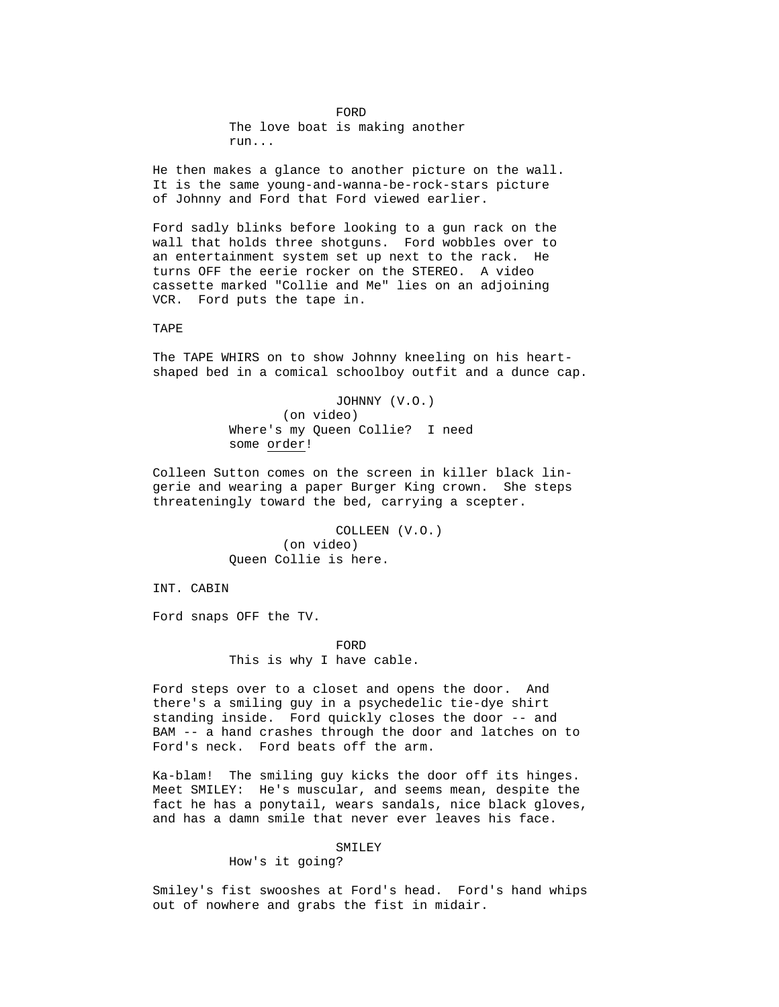FORD The love boat is making another run...

> He then makes a glance to another picture on the wall. It is the same young-and-wanna-be-rock-stars picture of Johnny and Ford that Ford viewed earlier.

 Ford sadly blinks before looking to a gun rack on the wall that holds three shotguns. Ford wobbles over to an entertainment system set up next to the rack. He turns OFF the eerie rocker on the STEREO. A video cassette marked "Collie and Me" lies on an adjoining VCR. Ford puts the tape in.

## TAPE

 The TAPE WHIRS on to show Johnny kneeling on his heart shaped bed in a comical schoolboy outfit and a dunce cap.

> JOHNNY (V.O.) (on video) Where's my Queen Collie? I need some order!

 Colleen Sutton comes on the screen in killer black lin gerie and wearing a paper Burger King crown. She steps threateningly toward the bed, carrying a scepter.

> COLLEEN (V.O.) (on video) Queen Collie is here.

INT. CABIN

Ford snaps OFF the TV.

 FORD This is why I have cable.

> Ford steps over to a closet and opens the door. And there's a smiling guy in a psychedelic tie-dye shirt standing inside. Ford quickly closes the door -- and BAM -- a hand crashes through the door and latches on to Ford's neck. Ford beats off the arm.

 Ka-blam! The smiling guy kicks the door off its hinges. Meet SMILEY: He's muscular, and seems mean, despite the fact he has a ponytail, wears sandals, nice black gloves, and has a damn smile that never ever leaves his face.

#### SMTLEY

How's it going?

 Smiley's fist swooshes at Ford's head. Ford's hand whips out of nowhere and grabs the fist in midair.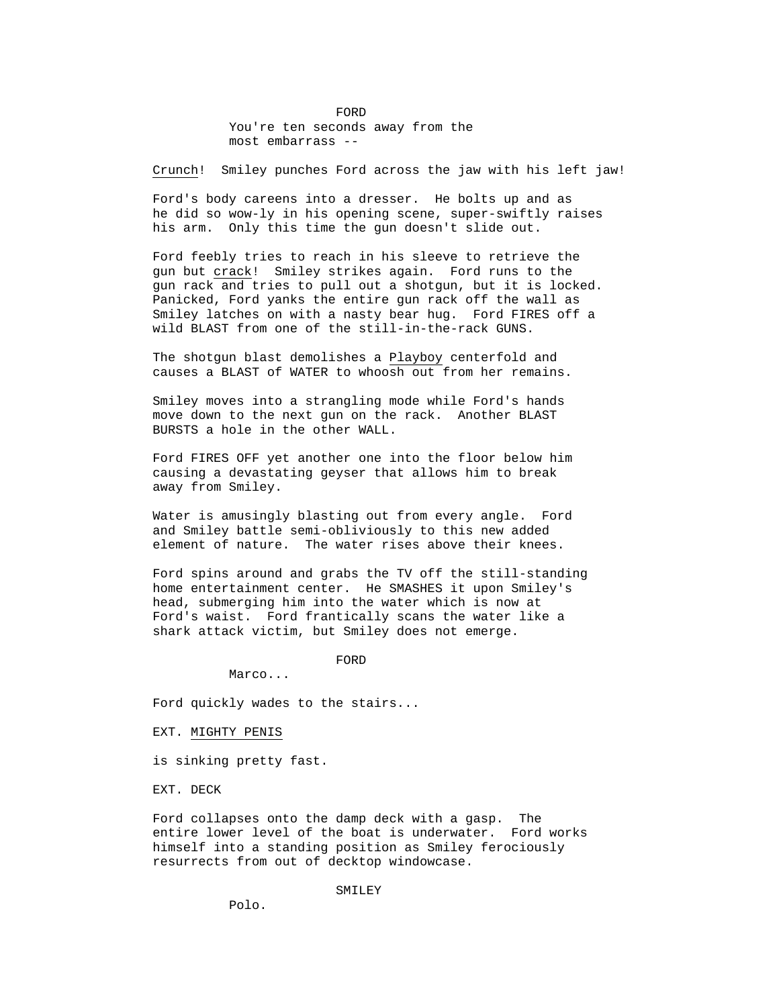FORD You're ten seconds away from the most embarrass --

Crunch! Smiley punches Ford across the jaw with his left jaw!

 Ford's body careens into a dresser. He bolts up and as he did so wow-ly in his opening scene, super-swiftly raises his arm. Only this time the gun doesn't slide out.

 Ford feebly tries to reach in his sleeve to retrieve the gun but crack! Smiley strikes again. Ford runs to the gun rack and tries to pull out a shotgun, but it is locked. Panicked, Ford yanks the entire gun rack off the wall as Smiley latches on with a nasty bear hug. Ford FIRES off a wild BLAST from one of the still-in-the-rack GUNS.

 The shotgun blast demolishes a Playboy centerfold and causes a BLAST of WATER to whoosh out from her remains.

 Smiley moves into a strangling mode while Ford's hands move down to the next gun on the rack. Another BLAST BURSTS a hole in the other WALL.

 Ford FIRES OFF yet another one into the floor below him causing a devastating geyser that allows him to break away from Smiley.

 Water is amusingly blasting out from every angle. Ford and Smiley battle semi-obliviously to this new added element of nature. The water rises above their knees.

 Ford spins around and grabs the TV off the still-standing home entertainment center. He SMASHES it upon Smiley's head, submerging him into the water which is now at Ford's waist. Ford frantically scans the water like a shark attack victim, but Smiley does not emerge.

**FORD** 

Marco...

Ford quickly wades to the stairs...

EXT. MIGHTY PENIS

is sinking pretty fast.

EXT. DECK

 Ford collapses onto the damp deck with a gasp. The entire lower level of the boat is underwater. Ford works himself into a standing position as Smiley ferociously resurrects from out of decktop windowcase.

SMILEY

Polo.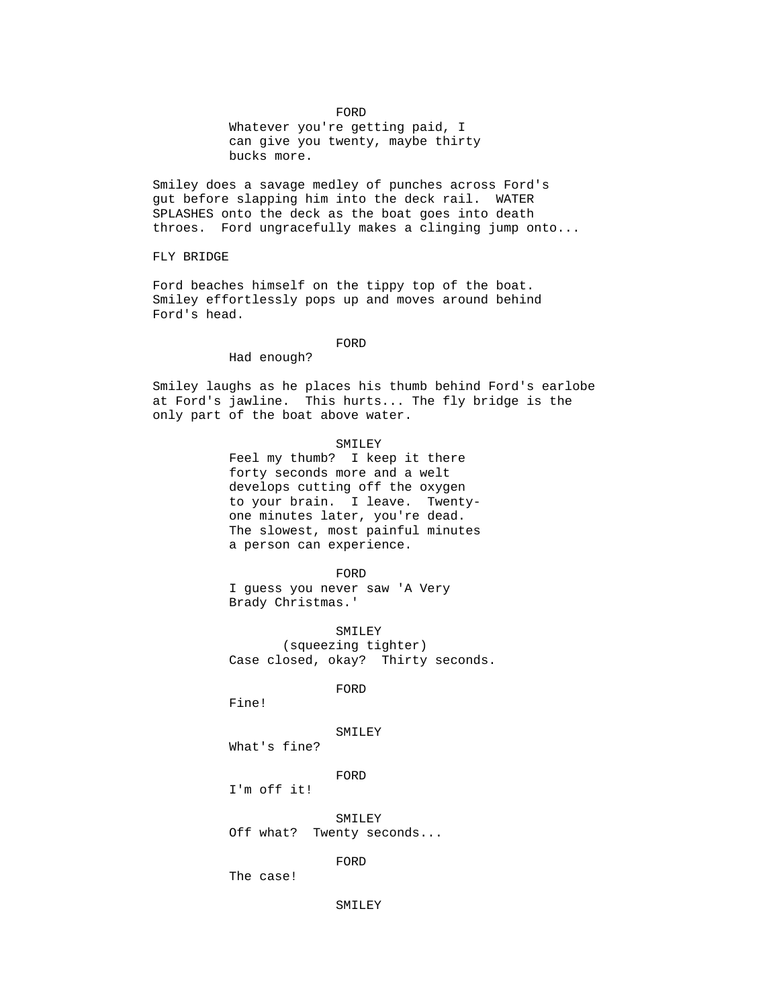FORD Whatever you're getting paid, I can give you twenty, maybe thirty bucks more.

> Smiley does a savage medley of punches across Ford's gut before slapping him into the deck rail. WATER SPLASHES onto the deck as the boat goes into death throes. Ford ungracefully makes a clinging jump onto...

### FLY BRIDGE

 Ford beaches himself on the tippy top of the boat. Smiley effortlessly pops up and moves around behind Ford's head.

### FORD

Had enough?

 Smiley laughs as he places his thumb behind Ford's earlobe at Ford's jawline. This hurts... The fly bridge is the only part of the boat above water.

> SMILEY Feel my thumb? I keep it there forty seconds more and a welt develops cutting off the oxygen to your brain. I leave. Twentyone minutes later, you're dead. The slowest, most painful minutes a person can experience.

 FORD I guess you never saw 'A Very Brady Christmas.'

 SMILEY (squeezing tighter) Case closed, okay? Thirty seconds.

**FORD** 

Fine!

# SMILEY

What's fine?

FORD

I'm off it!

 SMILEY Off what? Twenty seconds...

FORD

The case!

SMILEY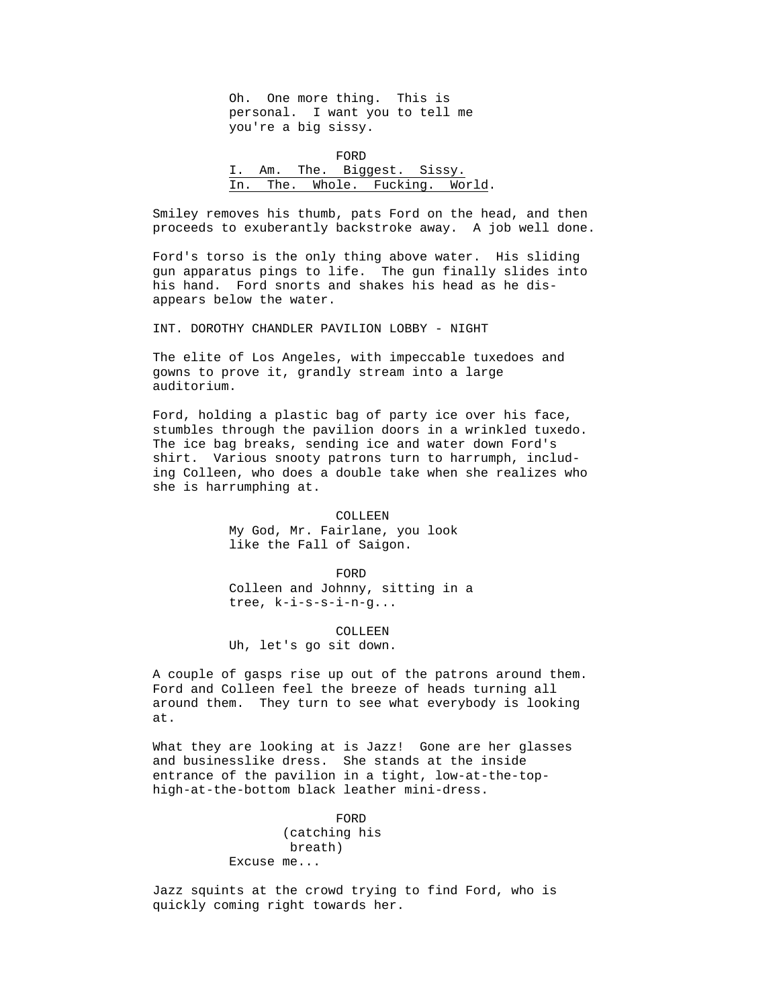Oh. One more thing. This is personal. I want you to tell me you're a big sissy.

 FORD I. Am. The. Biggest. Sissy. In. The. Whole. Fucking. World.

> Smiley removes his thumb, pats Ford on the head, and then proceeds to exuberantly backstroke away. A job well done.

 Ford's torso is the only thing above water. His sliding gun apparatus pings to life. The gun finally slides into his hand. Ford snorts and shakes his head as he dis appears below the water.

INT. DOROTHY CHANDLER PAVILION LOBBY - NIGHT

 The elite of Los Angeles, with impeccable tuxedoes and gowns to prove it, grandly stream into a large auditorium.

 Ford, holding a plastic bag of party ice over his face, stumbles through the pavilion doors in a wrinkled tuxedo. The ice bag breaks, sending ice and water down Ford's shirt. Various snooty patrons turn to harrumph, includ ing Colleen, who does a double take when she realizes who she is harrumphing at.

> COLLEEN My God, Mr. Fairlane, you look like the Fall of Saigon.

 FORD Colleen and Johnny, sitting in a tree, k-i-s-s-i-n-g...

> COLLEEN Uh, let's go sit down.

 A couple of gasps rise up out of the patrons around them. Ford and Colleen feel the breeze of heads turning all around them. They turn to see what everybody is looking at.

 What they are looking at is Jazz! Gone are her glasses and businesslike dress. She stands at the inside entrance of the pavilion in a tight, low-at-the-top high-at-the-bottom black leather mini-dress.

> FORD (catching his breath) Excuse me...

 Jazz squints at the crowd trying to find Ford, who is quickly coming right towards her.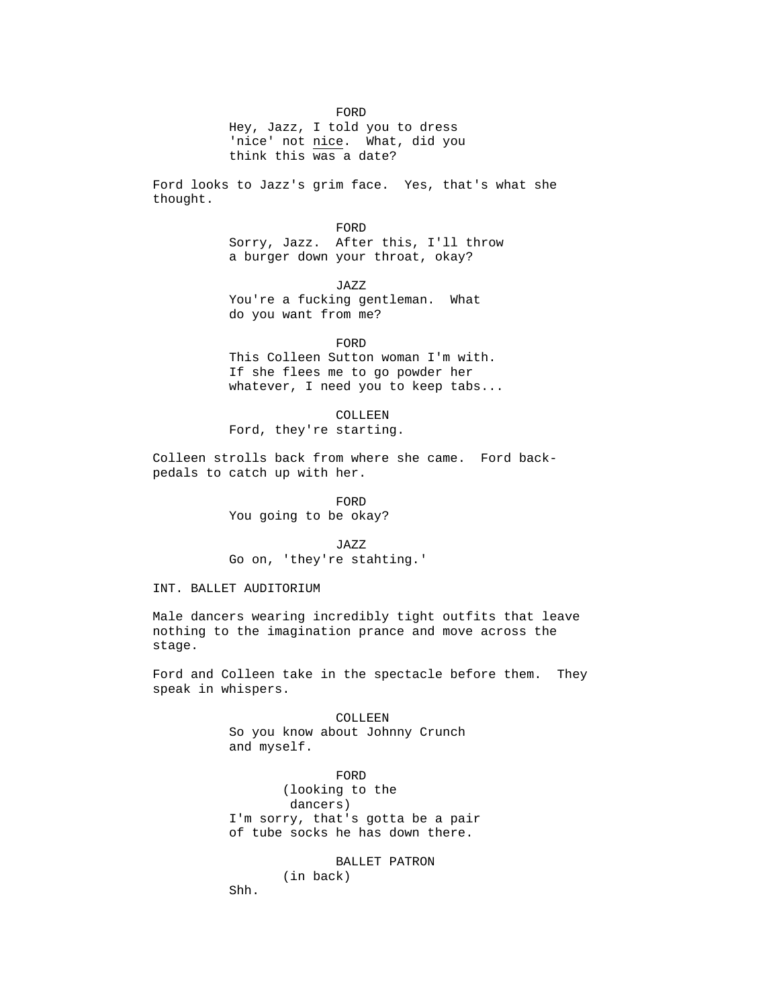FORD

 Hey, Jazz, I told you to dress 'nice' not nice. What, did you think this was a date?

 Ford looks to Jazz's grim face. Yes, that's what she thought.

FORD

 Sorry, Jazz. After this, I'll throw a burger down your throat, okay?

JAZZ

 You're a fucking gentleman. What do you want from me?

**FORD** 

 This Colleen Sutton woman I'm with. If she flees me to go powder her whatever, I need you to keep tabs...

COLLEEN

Ford, they're starting.

 Colleen strolls back from where she came. Ford back pedals to catch up with her.

**FORD** You going to be okay?

> JAZZ Go on, 'they're stahting.'

INT. BALLET AUDITORIUM

Shh.

 Male dancers wearing incredibly tight outfits that leave nothing to the imagination prance and move across the stage.

 Ford and Colleen take in the spectacle before them. They speak in whispers.

> COLLEEN So you know about Johnny Crunch and myself.

 FORD (looking to the dancers) I'm sorry, that's gotta be a pair of tube socks he has down there.

> BALLET PATRON (in back)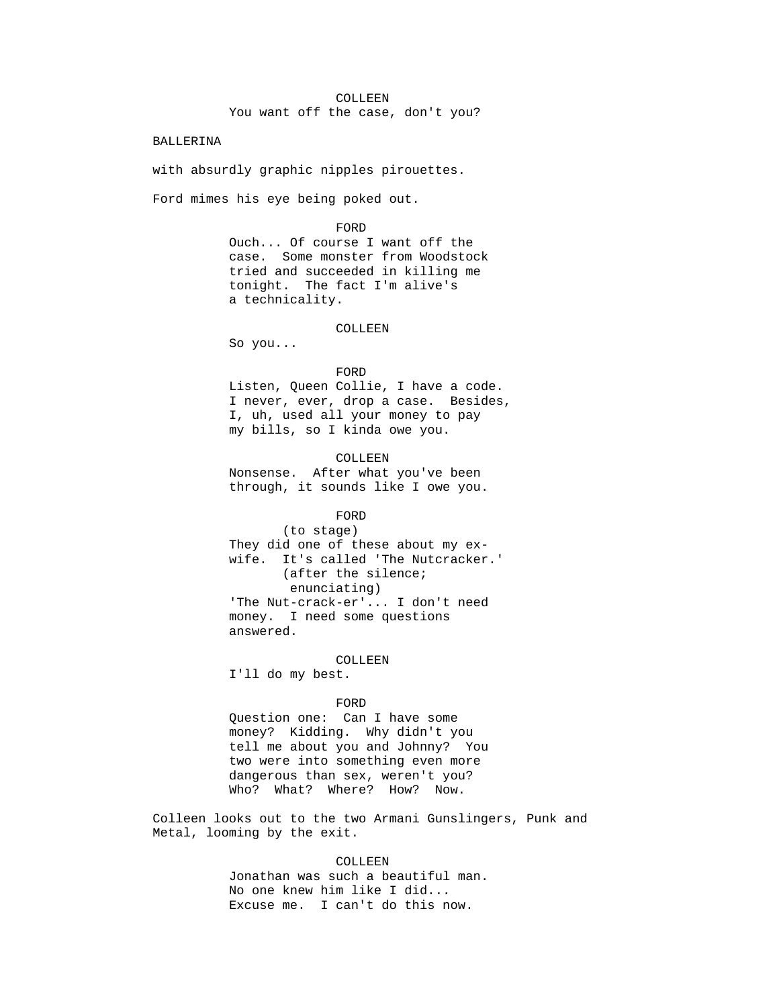You want off the case, don't you?

## BALLERINA

with absurdly graphic nipples pirouettes.

Ford mimes his eye being poked out.

### FORD

 Ouch... Of course I want off the case. Some monster from Woodstock tried and succeeded in killing me tonight. The fact I'm alive's a technicality.

#### COLLEEN

So you...

#### FORD

 Listen, Queen Collie, I have a code. I never, ever, drop a case. Besides, I, uh, used all your money to pay my bills, so I kinda owe you.

 COLLEEN Nonsense. After what you've been through, it sounds like I owe you.

FORD

 (to stage) They did one of these about my exwife. It's called 'The Nutcracker.' (after the silence; enunciating) 'The Nut-crack-er'... I don't need money. I need some questions answered.

#### COLLEEN

I'll do my best.

#### FORD

 Question one: Can I have some money? Kidding. Why didn't you tell me about you and Johnny? You two were into something even more dangerous than sex, weren't you? Who? What? Where? How? Now.

 Colleen looks out to the two Armani Gunslingers, Punk and Metal, looming by the exit.

#### COLLEEN

 Jonathan was such a beautiful man. No one knew him like I did... Excuse me. I can't do this now.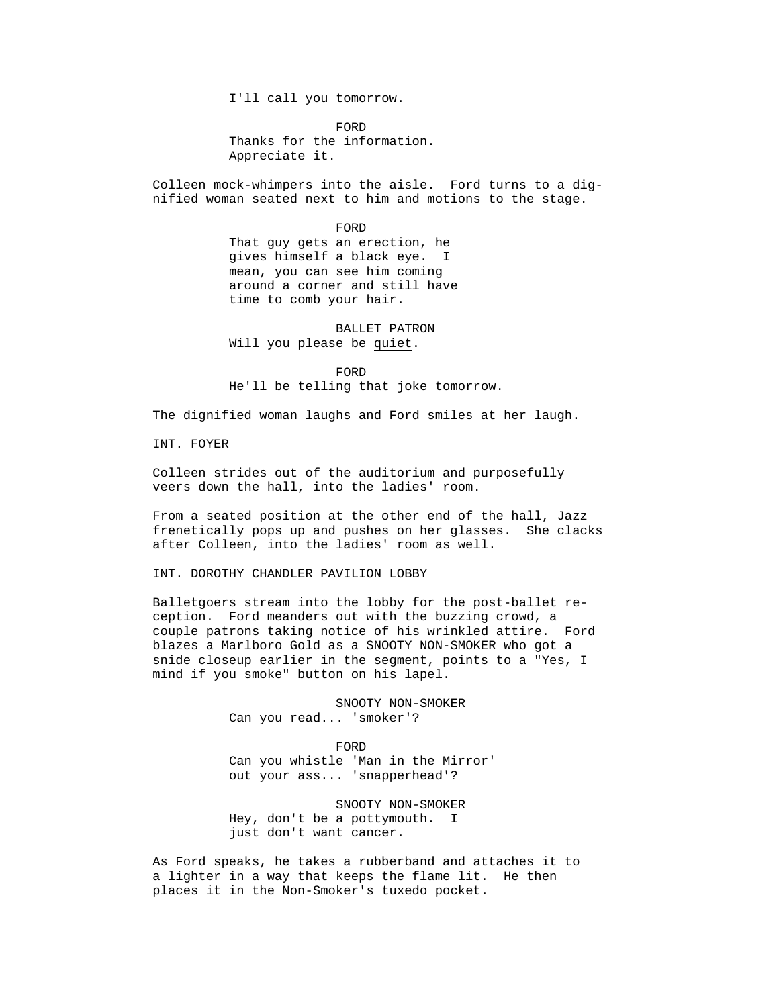I'll call you tomorrow.

**FORD**  Thanks for the information. Appreciate it.

> Colleen mock-whimpers into the aisle. Ford turns to a dig nified woman seated next to him and motions to the stage.

FORD

 That guy gets an erection, he gives himself a black eye. I mean, you can see him coming around a corner and still have time to comb your hair.

 BALLET PATRON Will you please be quiet.

 FORD He'll be telling that joke tomorrow.

The dignified woman laughs and Ford smiles at her laugh.

INT. FOYER

 Colleen strides out of the auditorium and purposefully veers down the hall, into the ladies' room.

 From a seated position at the other end of the hall, Jazz frenetically pops up and pushes on her glasses. She clacks after Colleen, into the ladies' room as well.

INT. DOROTHY CHANDLER PAVILION LOBBY

 Balletgoers stream into the lobby for the post-ballet re ception. Ford meanders out with the buzzing crowd, a couple patrons taking notice of his wrinkled attire. Ford blazes a Marlboro Gold as a SNOOTY NON-SMOKER who got a snide closeup earlier in the segment, points to a "Yes, I mind if you smoke" button on his lapel.

> SNOOTY NON-SMOKER Can you read... 'smoker'?

**FORD**  Can you whistle 'Man in the Mirror' out your ass... 'snapperhead'?

> SNOOTY NON-SMOKER Hey, don't be a pottymouth. I just don't want cancer.

 As Ford speaks, he takes a rubberband and attaches it to a lighter in a way that keeps the flame lit. He then places it in the Non-Smoker's tuxedo pocket.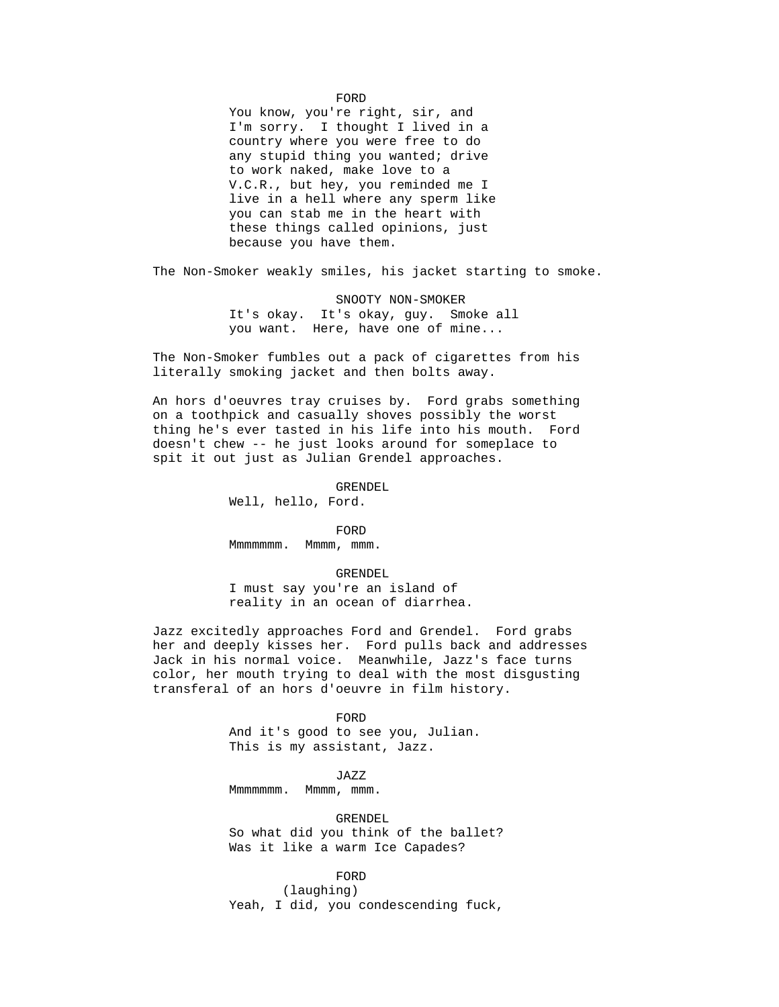**FORD** 

 You know, you're right, sir, and I'm sorry. I thought I lived in a country where you were free to do any stupid thing you wanted; drive to work naked, make love to a V.C.R., but hey, you reminded me I live in a hell where any sperm like you can stab me in the heart with these things called opinions, just because you have them.

The Non-Smoker weakly smiles, his jacket starting to smoke.

 SNOOTY NON-SMOKER It's okay. It's okay, guy. Smoke all you want. Here, have one of mine...

 The Non-Smoker fumbles out a pack of cigarettes from his literally smoking jacket and then bolts away.

 An hors d'oeuvres tray cruises by. Ford grabs something on a toothpick and casually shoves possibly the worst thing he's ever tasted in his life into his mouth. Ford doesn't chew -- he just looks around for someplace to spit it out just as Julian Grendel approaches.

> GRENDEL Well, hello, Ford.

 FORD Mmmmmmmm. Mmmm, mmm.

> GRENDEL I must say you're an island of reality in an ocean of diarrhea.

 Jazz excitedly approaches Ford and Grendel. Ford grabs her and deeply kisses her. Ford pulls back and addresses Jack in his normal voice. Meanwhile, Jazz's face turns color, her mouth trying to deal with the most disgusting transferal of an hors d'oeuvre in film history.

 FORD And it's good to see you, Julian. This is my assistant, Jazz.

JAZZ

Mmmmmmmm. Mmmm, mmm.

 GRENDEL So what did you think of the ballet? Was it like a warm Ice Capades?

**FORD** 

 (laughing) Yeah, I did, you condescending fuck,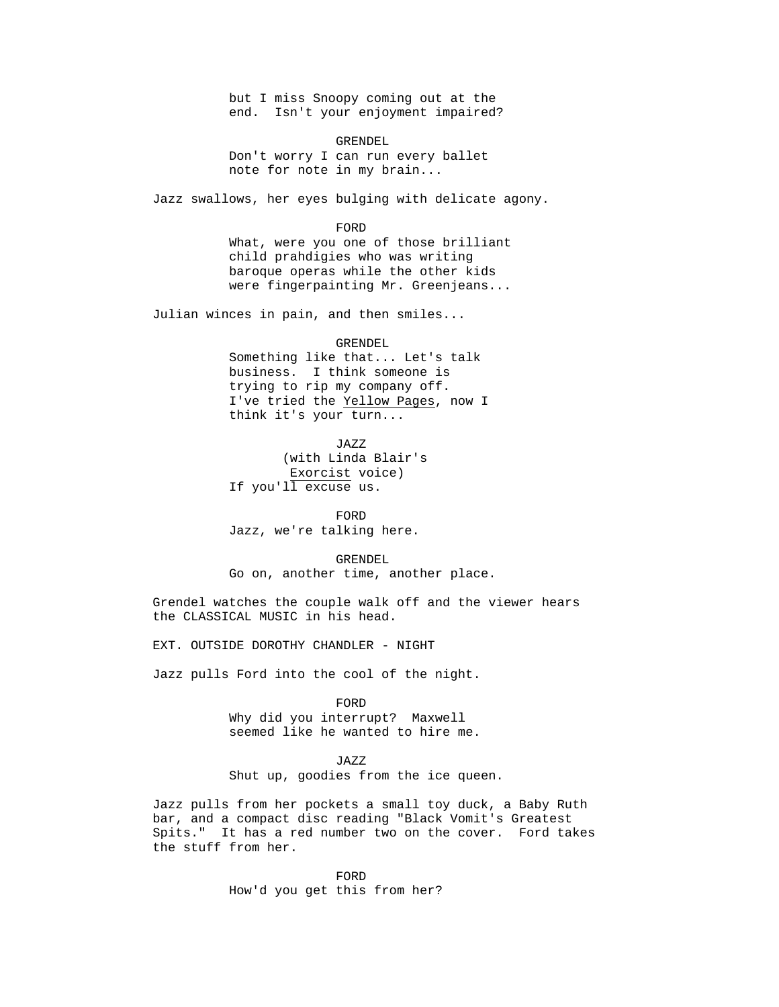but I miss Snoopy coming out at the end. Isn't your enjoyment impaired?

 GRENDEL Don't worry I can run every ballet note for note in my brain...

Jazz swallows, her eyes bulging with delicate agony.

FORD

 What, were you one of those brilliant child prahdigies who was writing baroque operas while the other kids were fingerpainting Mr. Greenjeans...

Julian winces in pain, and then smiles...

GRENDEL

 Something like that... Let's talk business. I think someone is trying to rip my company off. I've tried the Yellow Pages, now I think it's your turn...

 JAZZ (with Linda Blair's Exorcist voice) If you'll excuse us.

 FORD Jazz, we're talking here.

GRENDEL

Go on, another time, another place.

 Grendel watches the couple walk off and the viewer hears the CLASSICAL MUSIC in his head.

EXT. OUTSIDE DOROTHY CHANDLER - NIGHT

Jazz pulls Ford into the cool of the night.

 FORD Why did you interrupt? Maxwell seemed like he wanted to hire me.

 JAZZ Shut up, goodies from the ice queen.

> Jazz pulls from her pockets a small toy duck, a Baby Ruth bar, and a compact disc reading "Black Vomit's Greatest Spits." It has a red number two on the cover. Ford takes the stuff from her.

> > FORD How'd you get this from her?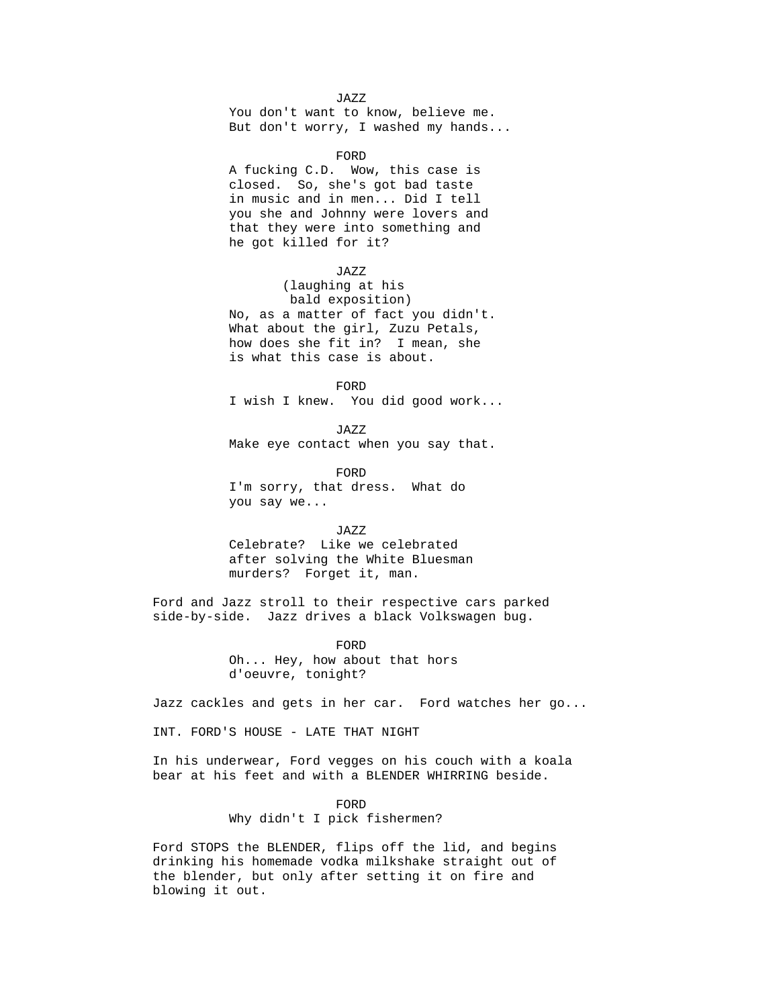JAZZ You don't want to know, believe me. But don't worry, I washed my hands...

 FORD A fucking C.D. Wow, this case is closed. So, she's got bad taste in music and in men... Did I tell you she and Johnny were lovers and that they were into something and he got killed for it?

### JAZZ

 (laughing at his bald exposition) No, as a matter of fact you didn't. What about the girl, Zuzu Petals, how does she fit in? I mean, she is what this case is about.

 FORD I wish I knew. You did good work...

 JAZZ Make eye contact when you say that.

**FORD**  I'm sorry, that dress. What do you say we...

JAZZ

 Celebrate? Like we celebrated after solving the White Bluesman murders? Forget it, man.

 Ford and Jazz stroll to their respective cars parked side-by-side. Jazz drives a black Volkswagen bug.

 FORD Oh... Hey, how about that hors d'oeuvre, tonight?

Jazz cackles and gets in her car. Ford watches her go...

INT. FORD'S HOUSE - LATE THAT NIGHT

 In his underwear, Ford vegges on his couch with a koala bear at his feet and with a BLENDER WHIRRING beside.

### **FORD**

Why didn't I pick fishermen?

 Ford STOPS the BLENDER, flips off the lid, and begins drinking his homemade vodka milkshake straight out of the blender, but only after setting it on fire and blowing it out.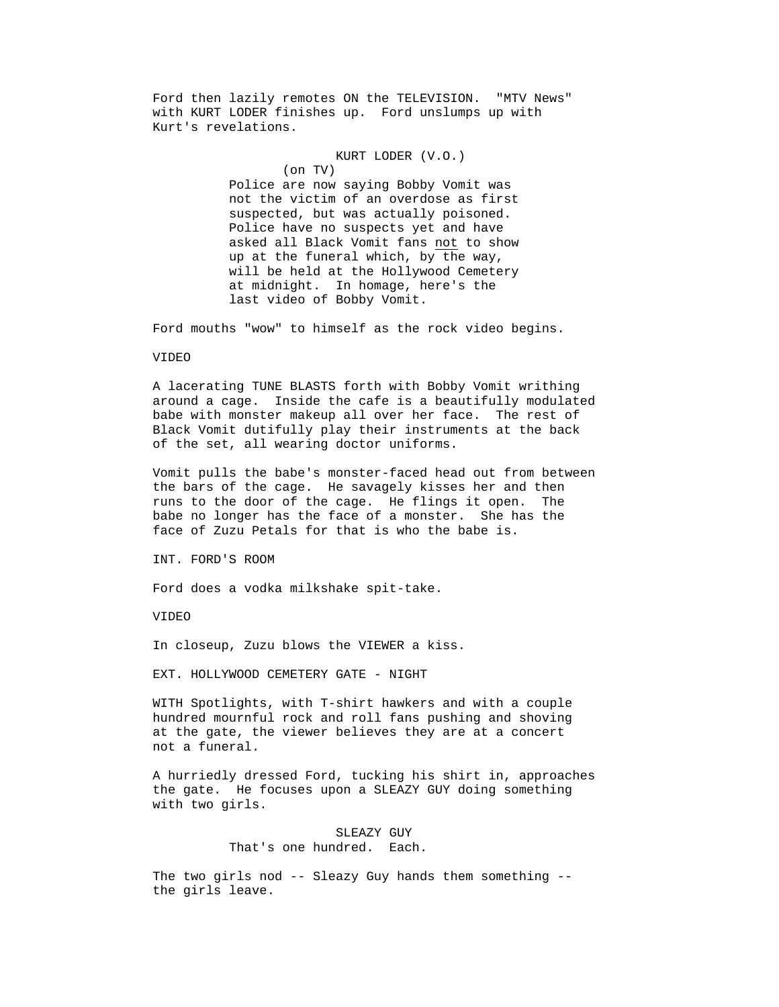Ford then lazily remotes ON the TELEVISION. "MTV News" with KURT LODER finishes up. Ford unslumps up with Kurt's revelations.

KURT LODER (V.O.)

(on TV)

 Police are now saying Bobby Vomit was not the victim of an overdose as first suspected, but was actually poisoned. Police have no suspects yet and have asked all Black Vomit fans not to show up at the funeral which, by the way, will be held at the Hollywood Cemetery at midnight. In homage, here's the last video of Bobby Vomit.

Ford mouths "wow" to himself as the rock video begins.

VIDEO

 A lacerating TUNE BLASTS forth with Bobby Vomit writhing around a cage. Inside the cafe is a beautifully modulated babe with monster makeup all over her face. The rest of Black Vomit dutifully play their instruments at the back of the set, all wearing doctor uniforms.

 Vomit pulls the babe's monster-faced head out from between the bars of the cage. He savagely kisses her and then runs to the door of the cage. He flings it open. The babe no longer has the face of a monster. She has the face of Zuzu Petals for that is who the babe is.

INT. FORD'S ROOM

Ford does a vodka milkshake spit-take.

VIDEO

In closeup, Zuzu blows the VIEWER a kiss.

EXT. HOLLYWOOD CEMETERY GATE - NIGHT

 WITH Spotlights, with T-shirt hawkers and with a couple hundred mournful rock and roll fans pushing and shoving at the gate, the viewer believes they are at a concert not a funeral.

 A hurriedly dressed Ford, tucking his shirt in, approaches the gate. He focuses upon a SLEAZY GUY doing something with two girls.

> SLEAZY GUY That's one hundred. Each.

The two girls nod -- Sleazy Guy hands them something -the girls leave.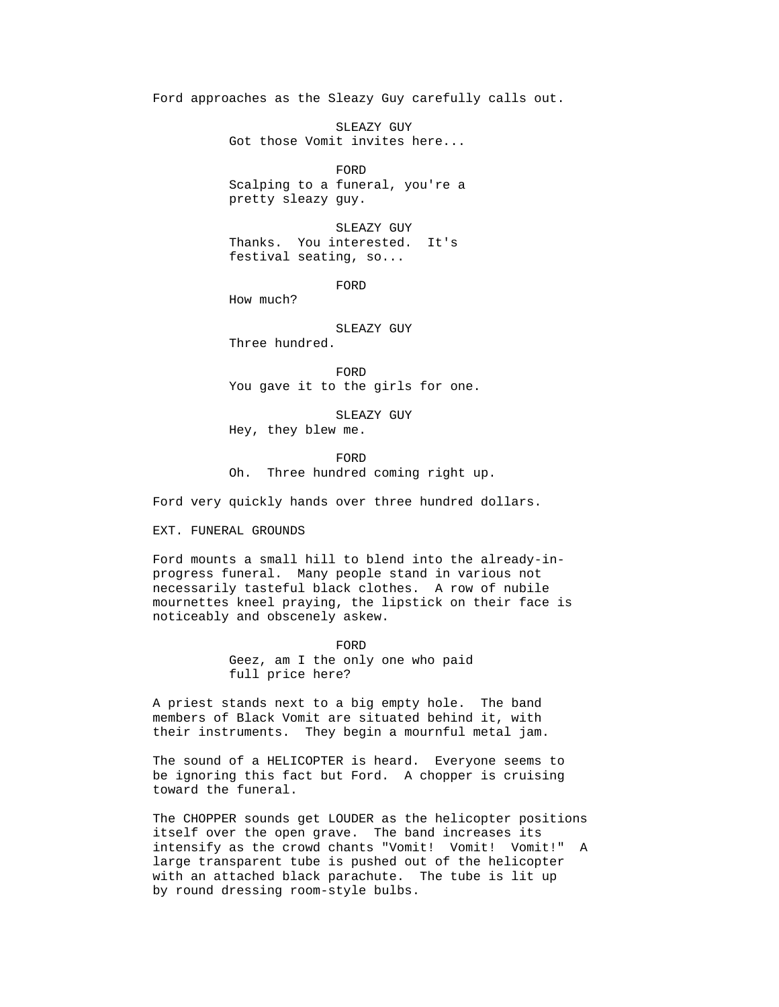Ford approaches as the Sleazy Guy carefully calls out.

 SLEAZY GUY Got those Vomit invites here...

 FORD Scalping to a funeral, you're a pretty sleazy guy.

> SLEAZY GUY Thanks. You interested. It's festival seating, so...

**FORD** 

How much?

SLEAZY GUY

Three hundred.

 FORD You gave it to the girls for one.

SLEAZY GUY

Hey, they blew me.

 FORD Oh. Three hundred coming right up.

Ford very quickly hands over three hundred dollars.

EXT. FUNERAL GROUNDS

 Ford mounts a small hill to blend into the already-in progress funeral. Many people stand in various not necessarily tasteful black clothes. A row of nubile mournettes kneel praying, the lipstick on their face is noticeably and obscenely askew.

 FORD Geez, am I the only one who paid full price here?

> A priest stands next to a big empty hole. The band members of Black Vomit are situated behind it, with their instruments. They begin a mournful metal jam.

 The sound of a HELICOPTER is heard. Everyone seems to be ignoring this fact but Ford. A chopper is cruising toward the funeral.

 The CHOPPER sounds get LOUDER as the helicopter positions itself over the open grave. The band increases its intensify as the crowd chants "Vomit! Vomit! Vomit!" A large transparent tube is pushed out of the helicopter with an attached black parachute. The tube is lit up by round dressing room-style bulbs.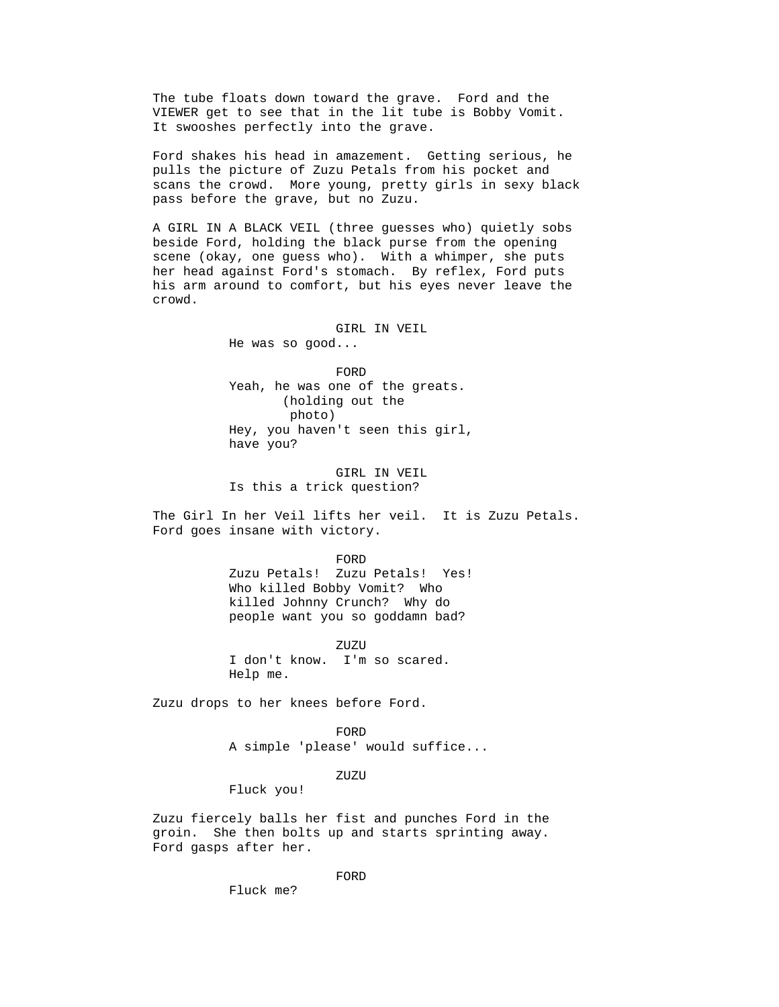The tube floats down toward the grave. Ford and the VIEWER get to see that in the lit tube is Bobby Vomit. It swooshes perfectly into the grave.

 Ford shakes his head in amazement. Getting serious, he pulls the picture of Zuzu Petals from his pocket and scans the crowd. More young, pretty girls in sexy black pass before the grave, but no Zuzu.

 A GIRL IN A BLACK VEIL (three guesses who) quietly sobs beside Ford, holding the black purse from the opening scene (okay, one guess who). With a whimper, she puts her head against Ford's stomach. By reflex, Ford puts his arm around to comfort, but his eyes never leave the crowd.

GIRL IN VEIL

He was so good...

 FORD Yeah, he was one of the greats. (holding out the photo) Hey, you haven't seen this girl, have you?

 GIRL IN VEIL Is this a trick question?

 The Girl In her Veil lifts her veil. It is Zuzu Petals. Ford goes insane with victory.

> FORD Zuzu Petals! Zuzu Petals! Yes! Who killed Bobby Vomit? Who killed Johnny Crunch? Why do people want you so goddamn bad?

**ZUZU**  I don't know. I'm so scared. Help me.

Zuzu drops to her knees before Ford.

**FORD** A simple 'please' would suffice...

ZUZU

Fluck you!

 Zuzu fiercely balls her fist and punches Ford in the groin. She then bolts up and starts sprinting away. Ford gasps after her.

FORD

Fluck me?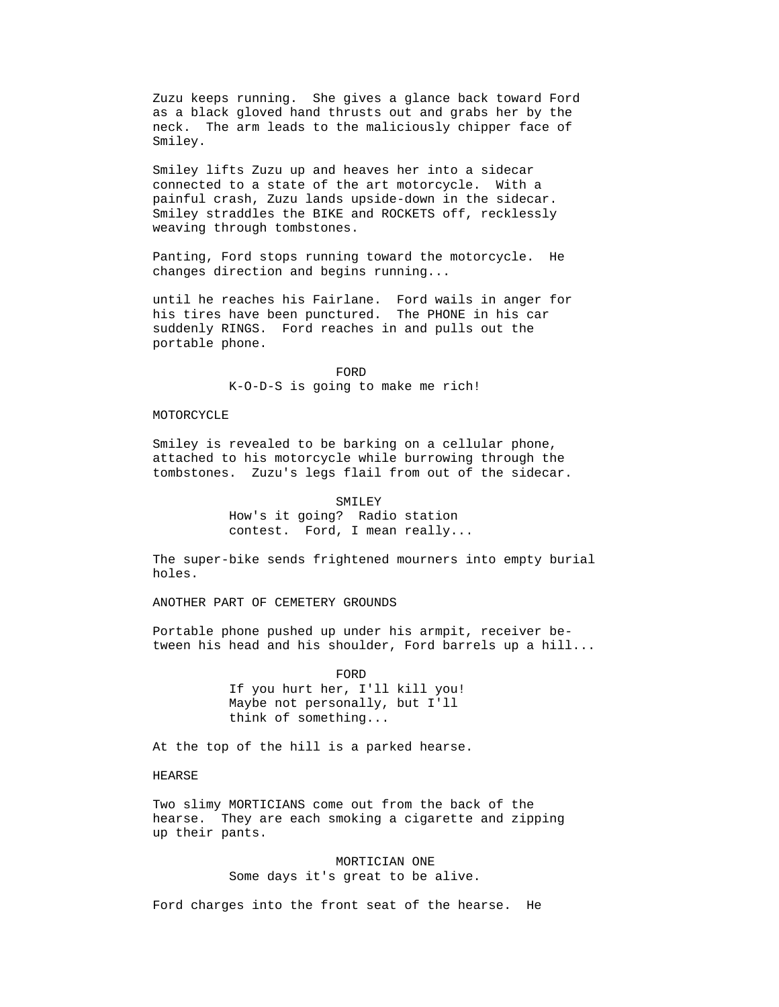Zuzu keeps running. She gives a glance back toward Ford as a black gloved hand thrusts out and grabs her by the neck. The arm leads to the maliciously chipper face of Smiley.

 Smiley lifts Zuzu up and heaves her into a sidecar connected to a state of the art motorcycle. With a painful crash, Zuzu lands upside-down in the sidecar. Smiley straddles the BIKE and ROCKETS off, recklessly weaving through tombstones.

 Panting, Ford stops running toward the motorcycle. He changes direction and begins running...

 until he reaches his Fairlane. Ford wails in anger for his tires have been punctured. The PHONE in his car suddenly RINGS. Ford reaches in and pulls out the portable phone.

FORD

K-O-D-S is going to make me rich!

#### MOTORCYCLE

 Smiley is revealed to be barking on a cellular phone, attached to his motorcycle while burrowing through the tombstones. Zuzu's legs flail from out of the sidecar.

SMTLEY

 How's it going? Radio station contest. Ford, I mean really...

 The super-bike sends frightened mourners into empty burial holes.

ANOTHER PART OF CEMETERY GROUNDS

 Portable phone pushed up under his armpit, receiver be tween his head and his shoulder, Ford barrels up a hill...

**FORD**  If you hurt her, I'll kill you! Maybe not personally, but I'll think of something...

At the top of the hill is a parked hearse.

### HEARSE

 Two slimy MORTICIANS come out from the back of the hearse. They are each smoking a cigarette and zipping up their pants.

> MORTICIAN ONE Some days it's great to be alive.

Ford charges into the front seat of the hearse. He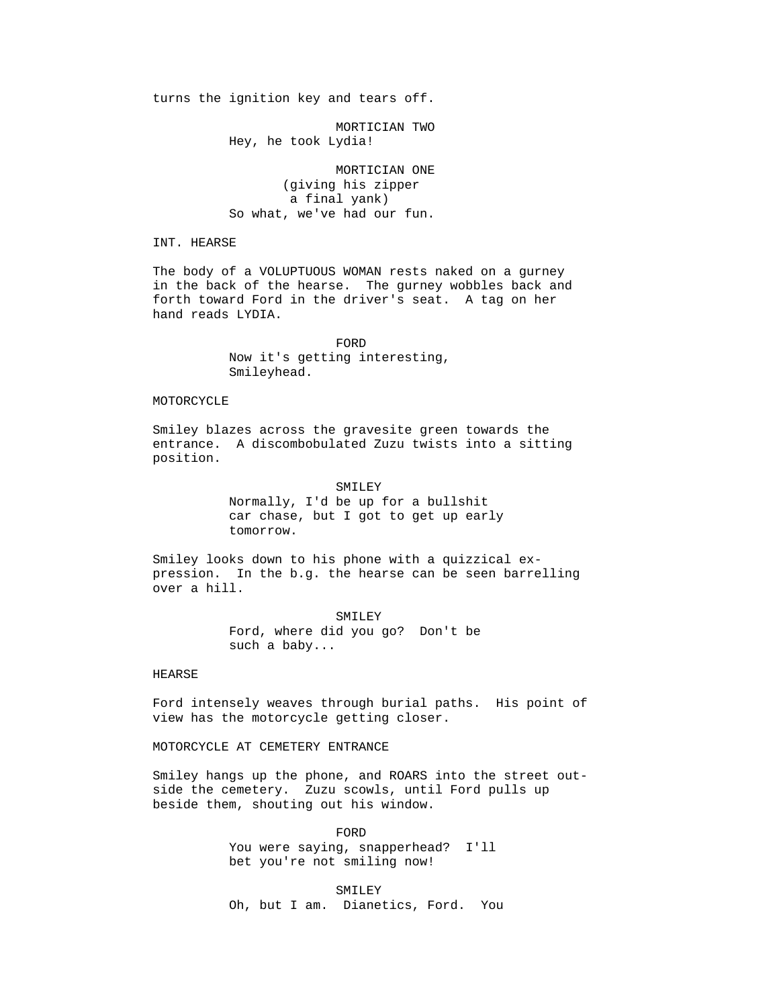turns the ignition key and tears off.

 MORTICIAN TWO Hey, he took Lydia!

 MORTICIAN ONE (giving his zipper a final yank) So what, we've had our fun.

INT. HEARSE

 The body of a VOLUPTUOUS WOMAN rests naked on a gurney in the back of the hearse. The gurney wobbles back and forth toward Ford in the driver's seat. A tag on her hand reads LYDIA.

**FORD**  Now it's getting interesting, Smileyhead.

#### MOTORCYCLE

 Smiley blazes across the gravesite green towards the entrance. A discombobulated Zuzu twists into a sitting position.

> SMILEY Normally, I'd be up for a bullshit car chase, but I got to get up early tomorrow.

 Smiley looks down to his phone with a quizzical ex pression. In the b.g. the hearse can be seen barrelling over a hill.

> SMILEY Ford, where did you go? Don't be such a baby...

## HEARSE

 Ford intensely weaves through burial paths. His point of view has the motorcycle getting closer.

MOTORCYCLE AT CEMETERY ENTRANCE

 Smiley hangs up the phone, and ROARS into the street out side the cemetery. Zuzu scowls, until Ford pulls up beside them, shouting out his window.

**FORD**  You were saying, snapperhead? I'll bet you're not smiling now!

> SMILEY Oh, but I am. Dianetics, Ford. You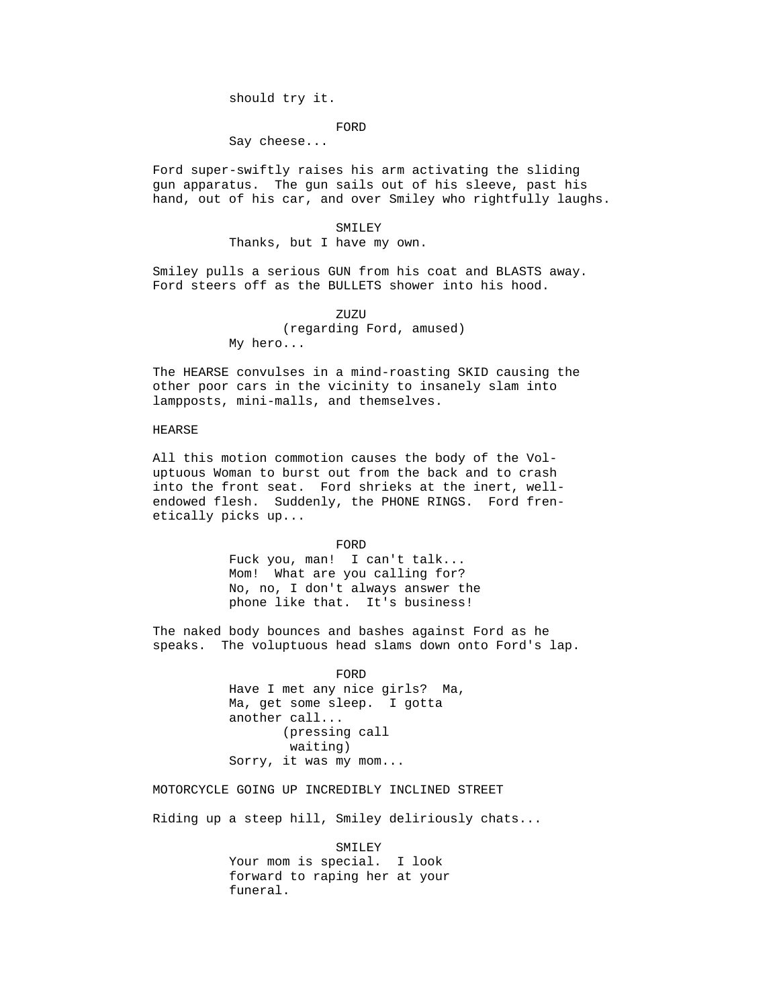should try it.

# FORD

Say cheese...

 Ford super-swiftly raises his arm activating the sliding gun apparatus. The gun sails out of his sleeve, past his hand, out of his car, and over Smiley who rightfully laughs.

> SMILEY Thanks, but I have my own.

 Smiley pulls a serious GUN from his coat and BLASTS away. Ford steers off as the BULLETS shower into his hood.

**ZUZU**  (regarding Ford, amused) My hero...

> The HEARSE convulses in a mind-roasting SKID causing the other poor cars in the vicinity to insanely slam into lampposts, mini-malls, and themselves.

## HEARSE

 All this motion commotion causes the body of the Vol uptuous Woman to burst out from the back and to crash into the front seat. Ford shrieks at the inert, well endowed flesh. Suddenly, the PHONE RINGS. Ford fren etically picks up...

**FORD** 

Fuck you, man! I can't talk... Mom! What are you calling for? No, no, I don't always answer the phone like that. It's business!

 The naked body bounces and bashes against Ford as he speaks. The voluptuous head slams down onto Ford's lap.

> FORD Have I met any nice girls? Ma, Ma, get some sleep. I gotta another call... (pressing call waiting) Sorry, it was my mom...

MOTORCYCLE GOING UP INCREDIBLY INCLINED STREET

Riding up a steep hill, Smiley deliriously chats...

 SMILEY Your mom is special. I look forward to raping her at your funeral.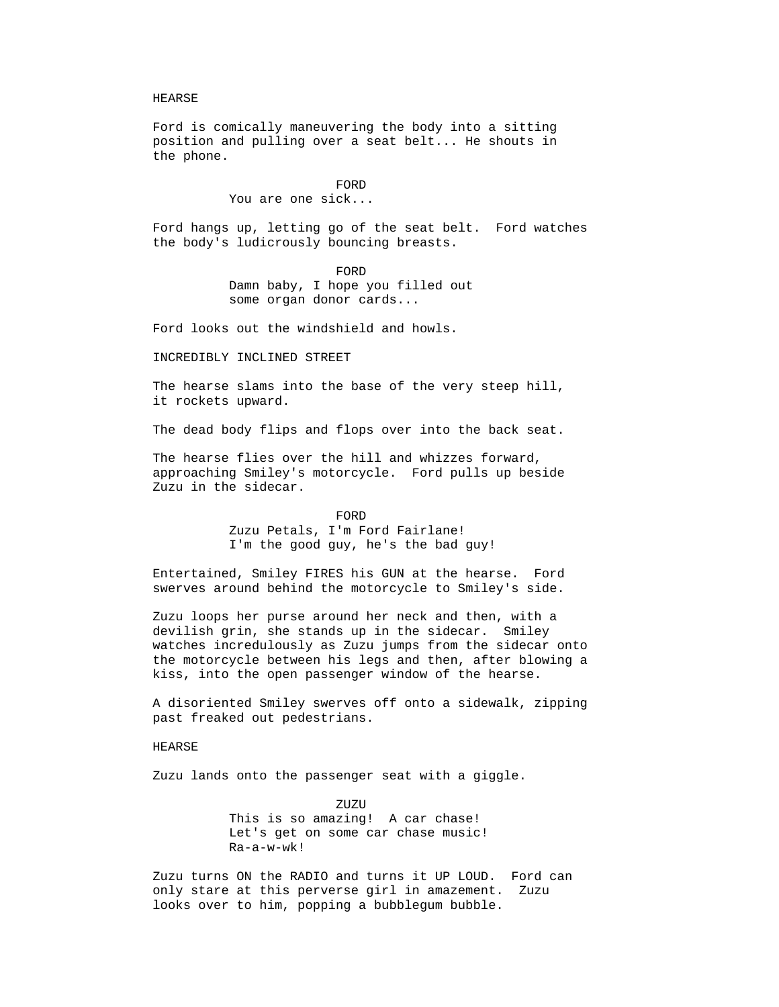### HEARSE

 Ford is comically maneuvering the body into a sitting position and pulling over a seat belt... He shouts in the phone.

## FORD

You are one sick...

 Ford hangs up, letting go of the seat belt. Ford watches the body's ludicrously bouncing breasts.

**FORD**  Damn baby, I hope you filled out some organ donor cards...

Ford looks out the windshield and howls.

INCREDIBLY INCLINED STREET

The hearse slams into the base of the very steep hill, it rockets upward.

The dead body flips and flops over into the back seat.

 The hearse flies over the hill and whizzes forward, approaching Smiley's motorcycle. Ford pulls up beside Zuzu in the sidecar.

### FORD

 Zuzu Petals, I'm Ford Fairlane! I'm the good guy, he's the bad guy!

 Entertained, Smiley FIRES his GUN at the hearse. Ford swerves around behind the motorcycle to Smiley's side.

 Zuzu loops her purse around her neck and then, with a devilish grin, she stands up in the sidecar. Smiley watches incredulously as Zuzu jumps from the sidecar onto the motorcycle between his legs and then, after blowing a kiss, into the open passenger window of the hearse.

 A disoriented Smiley swerves off onto a sidewalk, zipping past freaked out pedestrians.

HEARSE

Zuzu lands onto the passenger seat with a giggle.

zuzu za zamanje za zameni za zameni za zameni za zameni za zameni za zameni za zameni za zameni za zameni za z This is so amazing! A car chase! Let's get on some car chase music! Ra-a-w-wk!

> Zuzu turns ON the RADIO and turns it UP LOUD. Ford can only stare at this perverse girl in amazement. Zuzu looks over to him, popping a bubblegum bubble.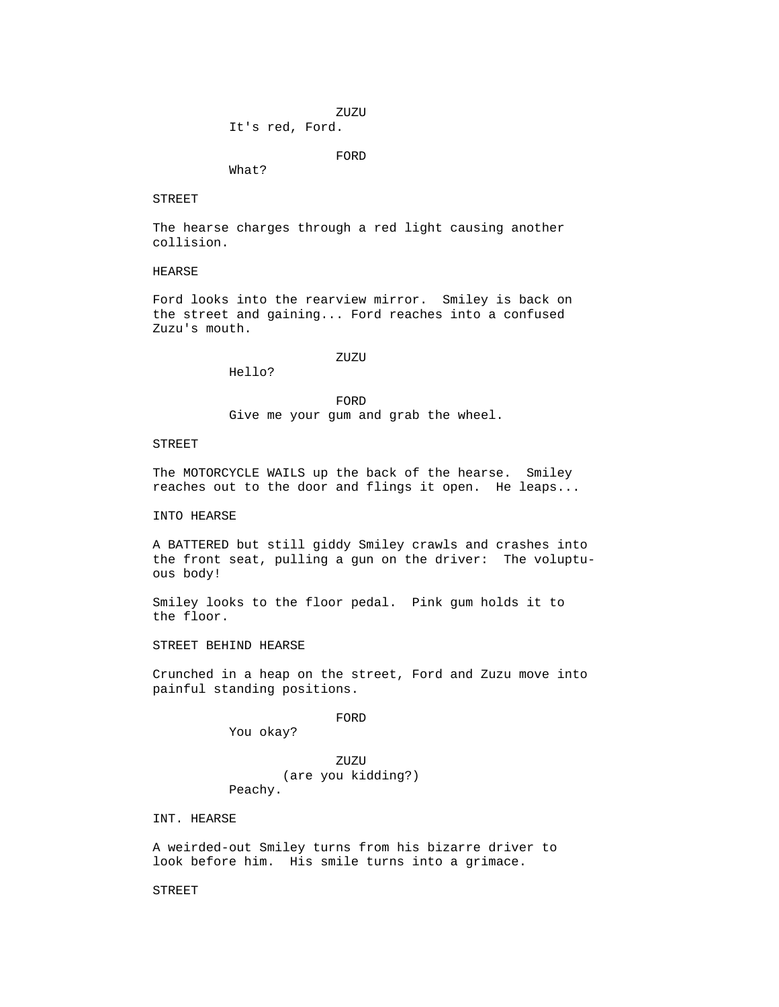**ZUZU** 

It's red, Ford.

FORD

What?

# STREET

 The hearse charges through a red light causing another collision.

#### HEARSE

 Ford looks into the rearview mirror. Smiley is back on the street and gaining... Ford reaches into a confused Zuzu's mouth.

zuzu za zamani za zamani za zamani za zamani za zamani za zamani za zamani za zamani za zamani za zamani za za

Hello?

 FORD Give me your gum and grab the wheel.

#### STREET

 The MOTORCYCLE WAILS up the back of the hearse. Smiley reaches out to the door and flings it open. He leaps...

#### INTO HEARSE

 A BATTERED but still giddy Smiley crawls and crashes into the front seat, pulling a gun on the driver: The voluptu ous body!

 Smiley looks to the floor pedal. Pink gum holds it to the floor.

STREET BEHIND HEARSE

 Crunched in a heap on the street, Ford and Zuzu move into painful standing positions.

FORD

You okay?

 ZUZU (are you kidding?) Peachy.

#### INT. HEARSE

 A weirded-out Smiley turns from his bizarre driver to look before him. His smile turns into a grimace.

STREET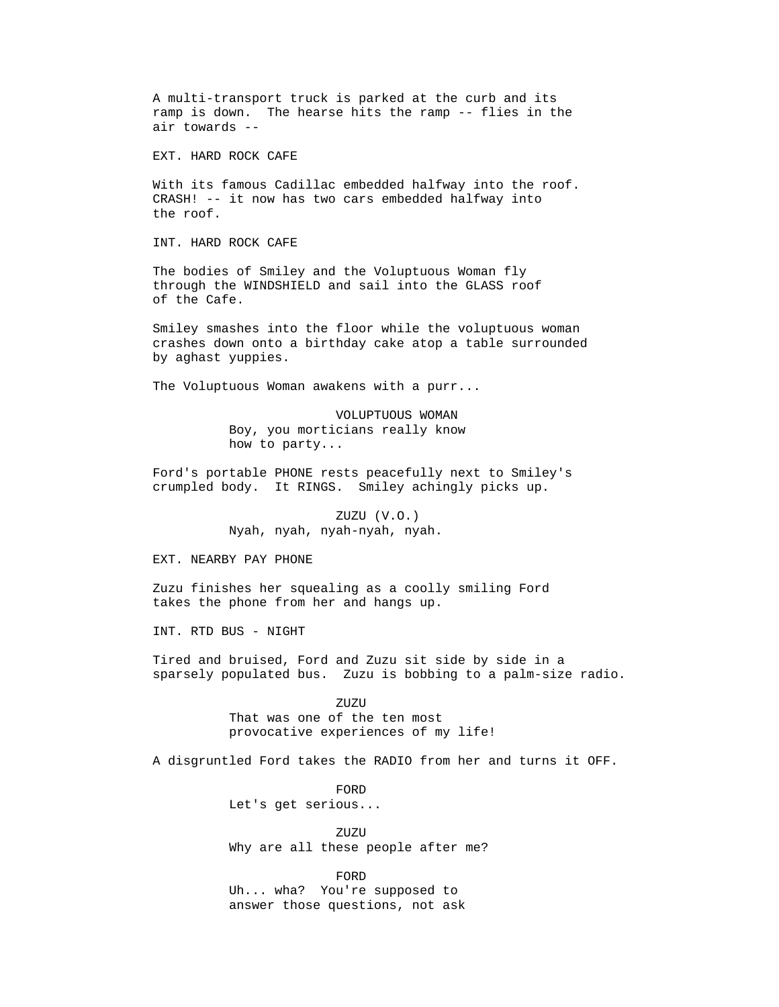A multi-transport truck is parked at the curb and its ramp is down. The hearse hits the ramp -- flies in the air towards --

EXT. HARD ROCK CAFE

 With its famous Cadillac embedded halfway into the roof. CRASH! -- it now has two cars embedded halfway into the roof.

INT. HARD ROCK CAFE

 The bodies of Smiley and the Voluptuous Woman fly through the WINDSHIELD and sail into the GLASS roof of the Cafe.

 Smiley smashes into the floor while the voluptuous woman crashes down onto a birthday cake atop a table surrounded by aghast yuppies.

The Voluptuous Woman awakens with a purr...

 VOLUPTUOUS WOMAN Boy, you morticians really know how to party...

 Ford's portable PHONE rests peacefully next to Smiley's crumpled body. It RINGS. Smiley achingly picks up.

> ZUZU (V.O.) Nyah, nyah, nyah-nyah, nyah.

EXT. NEARBY PAY PHONE

 Zuzu finishes her squealing as a coolly smiling Ford takes the phone from her and hangs up.

INT. RTD BUS - NIGHT

 Tired and bruised, Ford and Zuzu sit side by side in a sparsely populated bus. Zuzu is bobbing to a palm-size radio.

**ZUZU**  That was one of the ten most provocative experiences of my life!

A disgruntled Ford takes the RADIO from her and turns it OFF.

 FORD Let's get serious...

zuzu za zamanje za zameni za zameni za zameni za zameni za zameni za zameni za zameni za zameni za zameni za z Why are all these people after me?

> FORD Uh... wha? You're supposed to answer those questions, not ask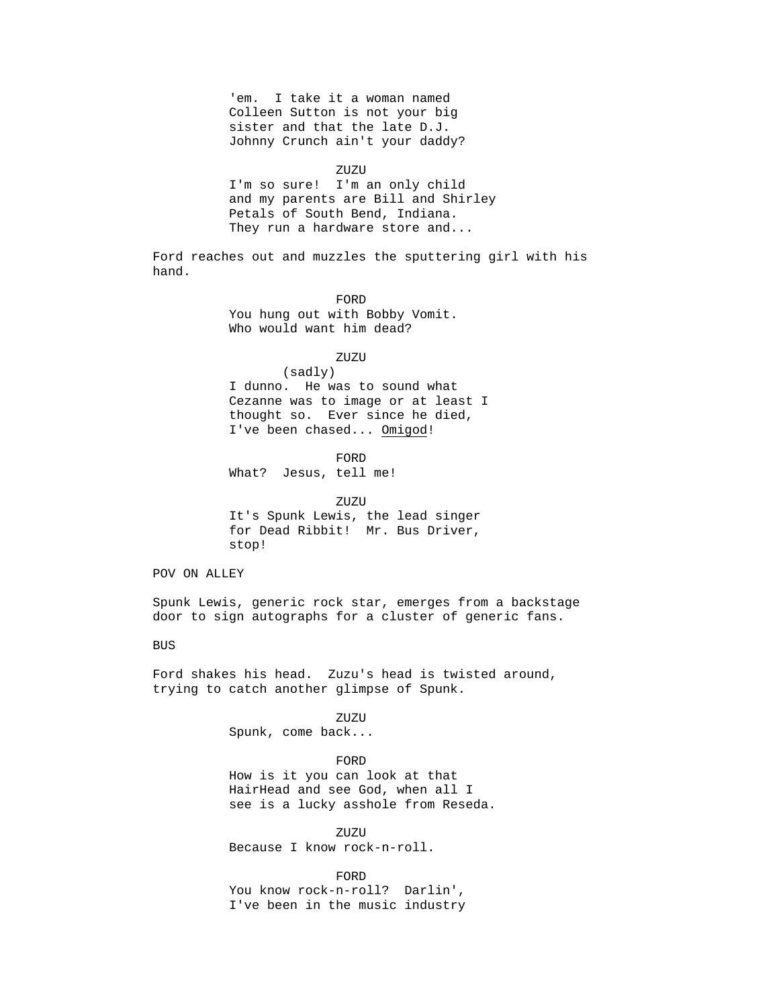'em. I take it a woman named Colleen Sutton is not your big sister and that the late D.J. Johnny Crunch ain't your daddy?

**ZUZU** 

 I'm so sure! I'm an only child and my parents are Bill and Shirley Petals of South Bend, Indiana. They run a hardware store and...

 Ford reaches out and muzzles the sputtering girl with his hand.

> FORD You hung out with Bobby Vomit. Who would want him dead?

> > ZUZU

 (sadly) I dunno. He was to sound what Cezanne was to image or at least I thought so. Ever since he died, I've been chased... Omigod!

 FORD What? Jesus, tell me!

zuzu za zamani za zamani za zamani za zamani za zamani za zamani za zamani za zamani za zamani za zamani za za

 It's Spunk Lewis, the lead singer for Dead Ribbit! Mr. Bus Driver, stop!

POV ON ALLEY

 Spunk Lewis, generic rock star, emerges from a backstage door to sign autographs for a cluster of generic fans.

BUS

 Ford shakes his head. Zuzu's head is twisted around, trying to catch another glimpse of Spunk.

**ZUZU** Spunk, come back...

> FORD How is it you can look at that HairHead and see God, when all I see is a lucky asshole from Reseda.

zuzu za zamanje za zameni za zameni za zameni za zameni za zameni za zameni za zameni za zameni za zameni za z Because I know rock-n-roll.

**FORD** 

You know rock-n-roll? Darlin', I've been in the music industry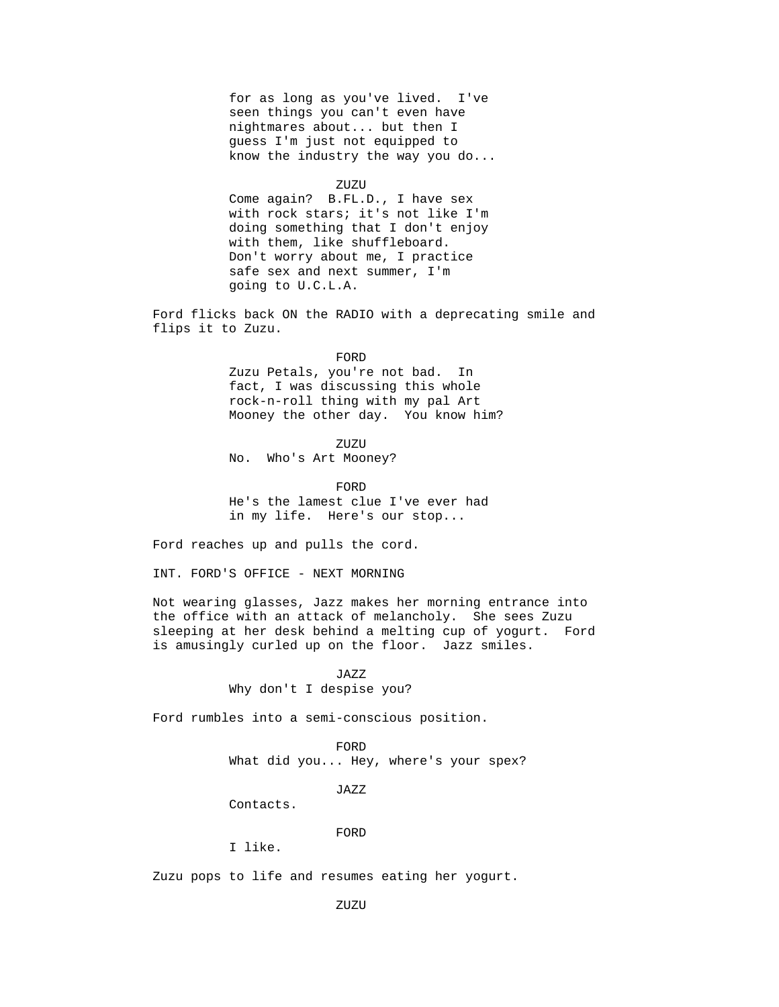for as long as you've lived. I've seen things you can't even have nightmares about... but then I guess I'm just not equipped to know the industry the way you do...

**ZUZU** 

 Come again? B.FL.D., I have sex with rock stars; it's not like I'm doing something that I don't enjoy with them, like shuffleboard. Don't worry about me, I practice safe sex and next summer, I'm going to U.C.L.A.

 Ford flicks back ON the RADIO with a deprecating smile and flips it to Zuzu.

> FORD Zuzu Petals, you're not bad. In fact, I was discussing this whole rock-n-roll thing with my pal Art Mooney the other day. You know him?

**ZUZU** No. Who's Art Mooney?

**FORD**  He's the lamest clue I've ever had in my life. Here's our stop...

Ford reaches up and pulls the cord.

INT. FORD'S OFFICE - NEXT MORNING

 Not wearing glasses, Jazz makes her morning entrance into the office with an attack of melancholy. She sees Zuzu sleeping at her desk behind a melting cup of yogurt. Ford is amusingly curled up on the floor. Jazz smiles.

 JAZZ Why don't I despise you?

Ford rumbles into a semi-conscious position.

**FORD** 

What did you... Hey, where's your spex?

JAZZ

Contacts.

FORD

I like.

Zuzu pops to life and resumes eating her yogurt.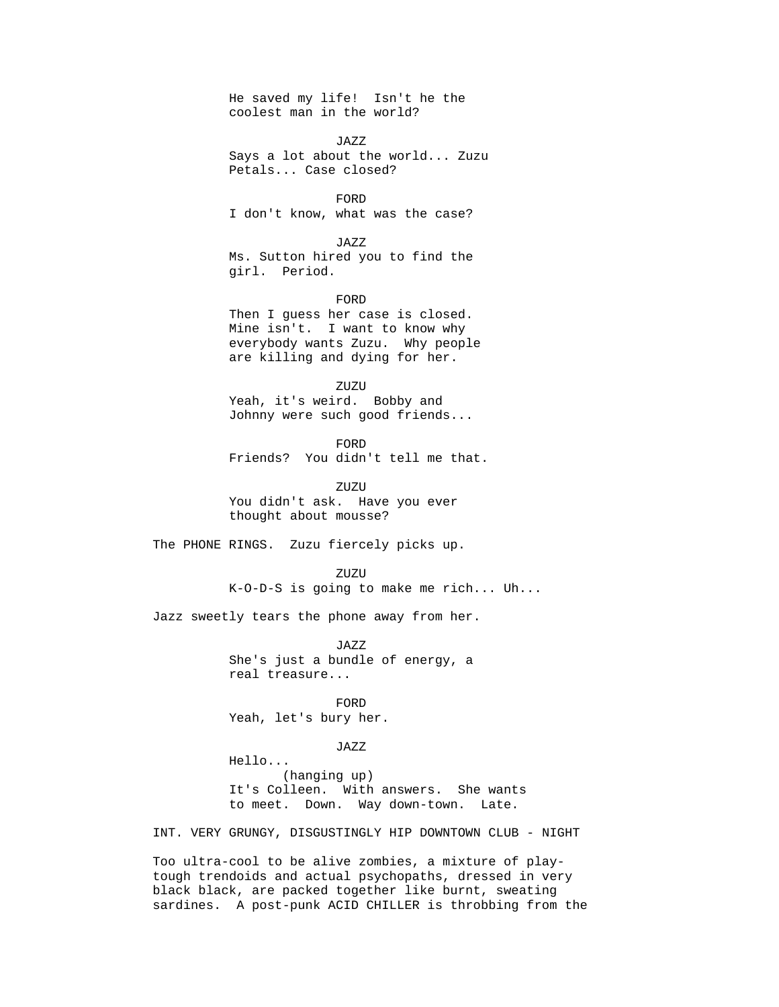He saved my life! Isn't he the coolest man in the world?

 JAZZ Says a lot about the world... Zuzu Petals... Case closed?

**FORD** I don't know, what was the case?

JAZZ

 Ms. Sutton hired you to find the girl. Period.

 FORD Then I guess her case is closed. Mine isn't. I want to know why everybody wants Zuzu. Why people are killing and dying for her.

**ZUZU**  Yeah, it's weird. Bobby and Johnny were such good friends...

 FORD Friends? You didn't tell me that.

zuzu za zamani za zamani za zamani za zamani za zamani za zamani za zamani za zamani za zamani za zamani za za You didn't ask. Have you ever thought about mousse?

The PHONE RINGS. Zuzu fiercely picks up.

**ZUZU** K-O-D-S is going to make me rich... Uh...

Jazz sweetly tears the phone away from her.

 JAZZ She's just a bundle of energy, a real treasure...

 FORD Yeah, let's bury her.

JAZZ

 Hello... (hanging up) It's Colleen. With answers. She wants to meet. Down. Way down-town. Late.

INT. VERY GRUNGY, DISGUSTINGLY HIP DOWNTOWN CLUB - NIGHT

 Too ultra-cool to be alive zombies, a mixture of play tough trendoids and actual psychopaths, dressed in very black black, are packed together like burnt, sweating sardines. A post-punk ACID CHILLER is throbbing from the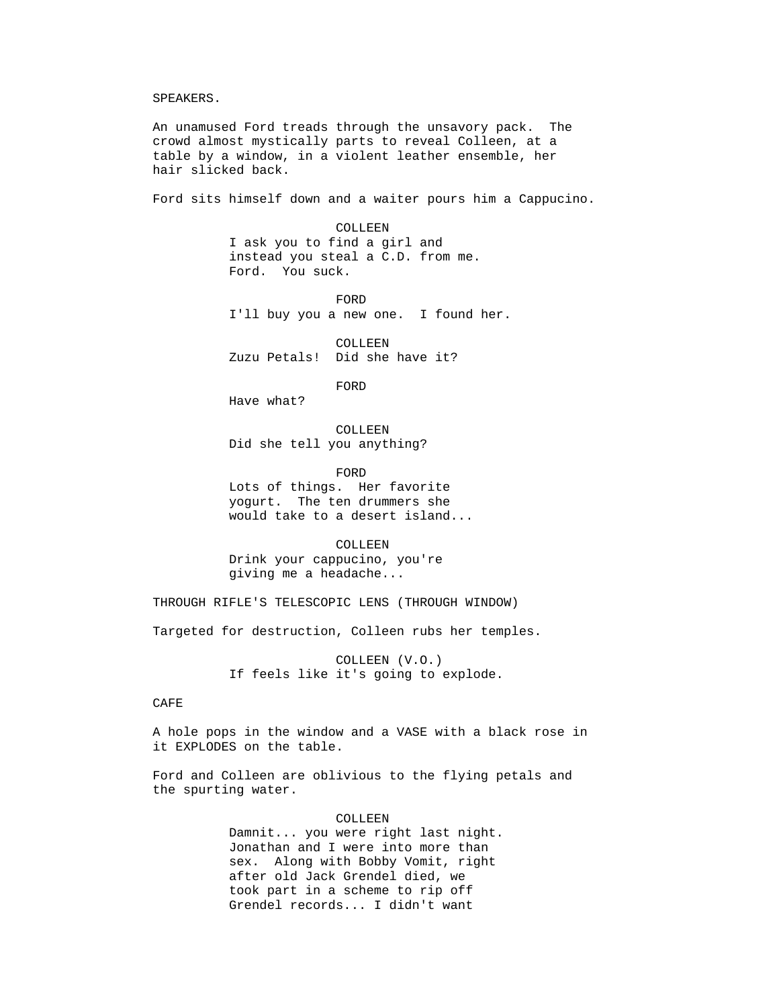SPEAKERS.

 An unamused Ford treads through the unsavory pack. The crowd almost mystically parts to reveal Colleen, at a table by a window, in a violent leather ensemble, her hair slicked back.

Ford sits himself down and a waiter pours him a Cappucino.

 COLLEEN I ask you to find a girl and instead you steal a C.D. from me. Ford. You suck.

 FORD I'll buy you a new one. I found her.

 COLLEEN Zuzu Petals! Did she have it?

FORD

Have what?

 COLLEEN Did she tell you anything?

**FORD**  Lots of things. Her favorite yogurt. The ten drummers she would take to a desert island...

> COLLEEN Drink your cappucino, you're giving me a headache...

THROUGH RIFLE'S TELESCOPIC LENS (THROUGH WINDOW)

Targeted for destruction, Colleen rubs her temples.

 COLLEEN (V.O.) If feels like it's going to explode.

## CAFE

 A hole pops in the window and a VASE with a black rose in it EXPLODES on the table.

 Ford and Colleen are oblivious to the flying petals and the spurting water.

> COLLEEN Damnit... you were right last night. Jonathan and I were into more than sex. Along with Bobby Vomit, right after old Jack Grendel died, we took part in a scheme to rip off Grendel records... I didn't want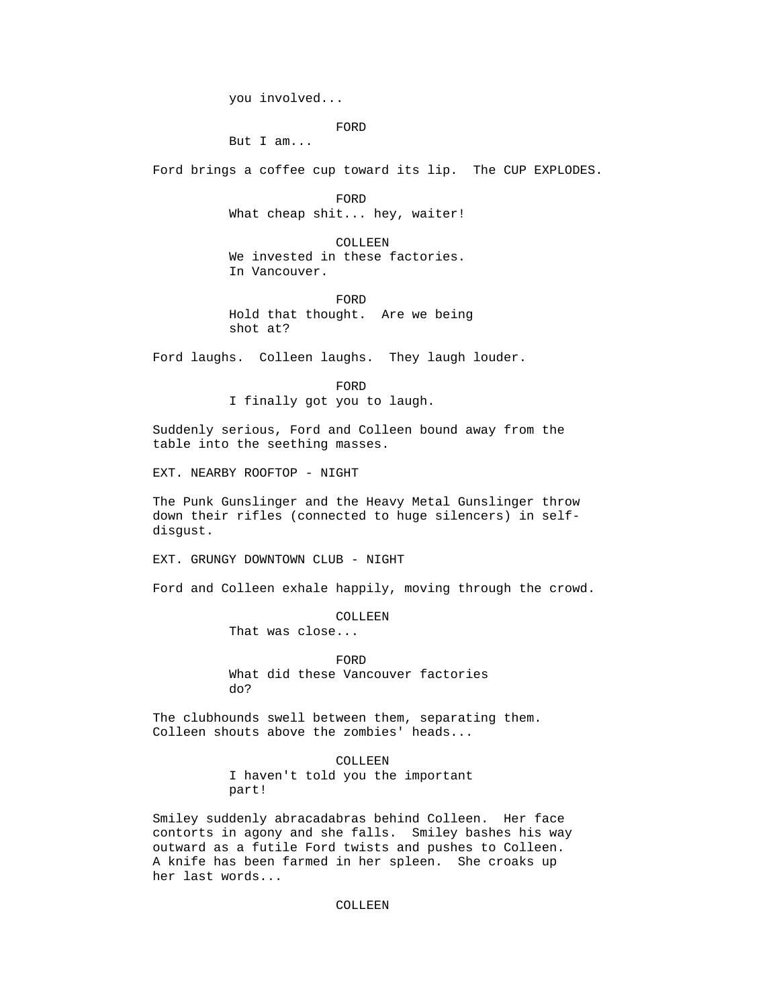you involved...

FORD

But I am...

Ford brings a coffee cup toward its lip. The CUP EXPLODES.

**FORD** What cheap shit... hey, waiter!

> COLLEEN We invested in these factories. In Vancouver.

 FORD Hold that thought. Are we being shot at?

Ford laughs. Colleen laughs. They laugh louder.

 FORD I finally got you to laugh.

 Suddenly serious, Ford and Colleen bound away from the table into the seething masses.

EXT. NEARBY ROOFTOP - NIGHT

 The Punk Gunslinger and the Heavy Metal Gunslinger throw down their rifles (connected to huge silencers) in self disgust.

EXT. GRUNGY DOWNTOWN CLUB - NIGHT

Ford and Colleen exhale happily, moving through the crowd.

 COLLEEN That was close...

**FORD**  What did these Vancouver factories do?

> The clubhounds swell between them, separating them. Colleen shouts above the zombies' heads...

> > COLLEEN I haven't told you the important part!

 Smiley suddenly abracadabras behind Colleen. Her face contorts in agony and she falls. Smiley bashes his way outward as a futile Ford twists and pushes to Colleen. A knife has been farmed in her spleen. She croaks up her last words...

## COLLEEN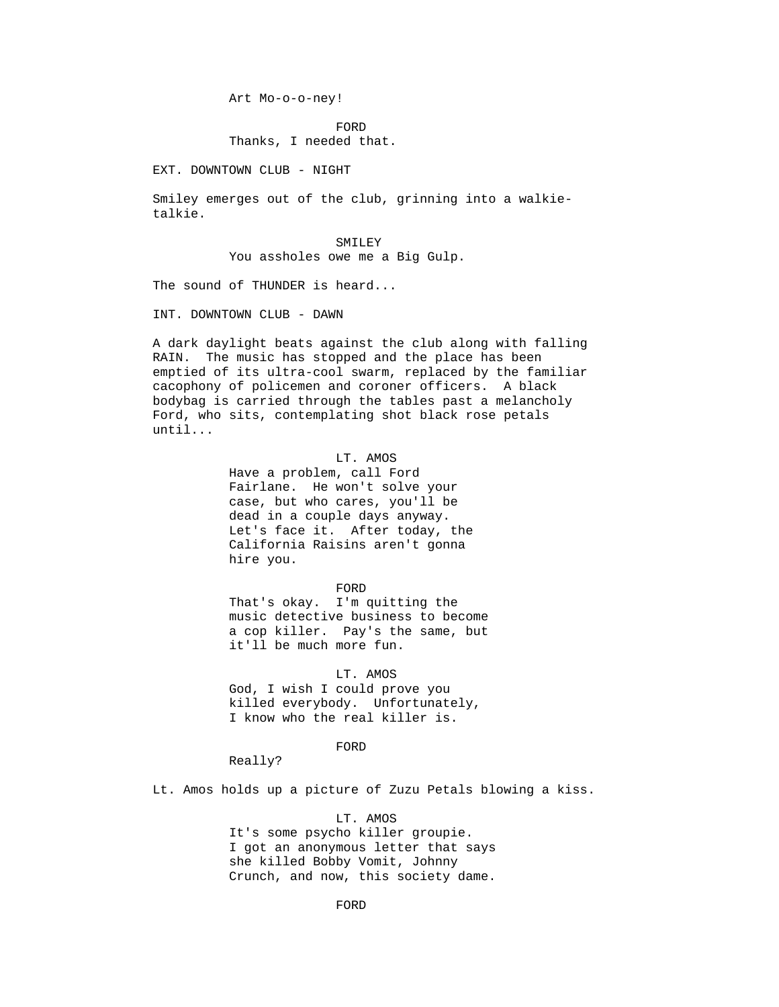Art Mo-o-o-ney!

**FORD** Thanks, I needed that.

EXT. DOWNTOWN CLUB - NIGHT

 Smiley emerges out of the club, grinning into a walkie talkie.

> SMILEY You assholes owe me a Big Gulp.

The sound of THUNDER is heard...

INT. DOWNTOWN CLUB - DAWN

 A dark daylight beats against the club along with falling RAIN. The music has stopped and the place has been emptied of its ultra-cool swarm, replaced by the familiar cacophony of policemen and coroner officers. A black bodybag is carried through the tables past a melancholy Ford, who sits, contemplating shot black rose petals until...

> LT. AMOS Have a problem, call Ford Fairlane. He won't solve your case, but who cares, you'll be dead in a couple days anyway. Let's face it. After today, the California Raisins aren't gonna hire you.

> > FORD

 That's okay. I'm quitting the music detective business to become a cop killer. Pay's the same, but it'll be much more fun.

LT. AMOS

 God, I wish I could prove you killed everybody. Unfortunately, I know who the real killer is.

**FORD** 

Really?

Lt. Amos holds up a picture of Zuzu Petals blowing a kiss.

LT. AMOS

 It's some psycho killer groupie. I got an anonymous letter that says she killed Bobby Vomit, Johnny Crunch, and now, this society dame.

**FORD**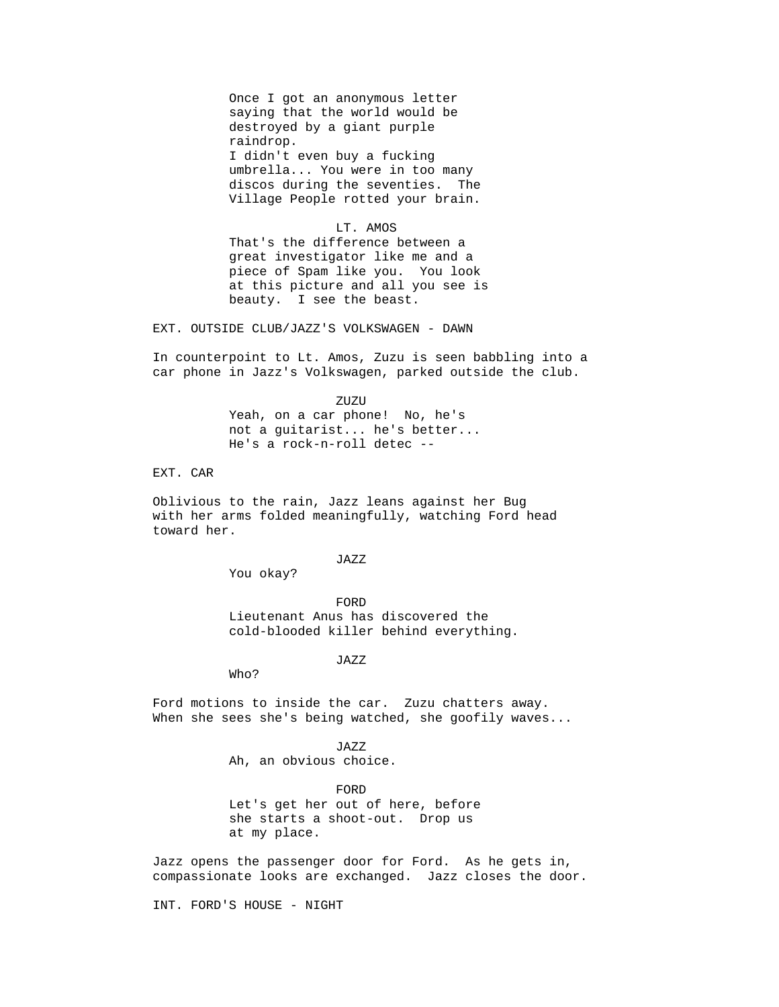Once I got an anonymous letter saying that the world would be destroyed by a giant purple raindrop. I didn't even buy a fucking umbrella... You were in too many discos during the seventies. The Village People rotted your brain.

LT. AMOS

 That's the difference between a great investigator like me and a piece of Spam like you. You look at this picture and all you see is beauty. I see the beast.

EXT. OUTSIDE CLUB/JAZZ'S VOLKSWAGEN - DAWN

 In counterpoint to Lt. Amos, Zuzu is seen babbling into a car phone in Jazz's Volkswagen, parked outside the club.

**ZUZU**  Yeah, on a car phone! No, he's not a guitarist... he's better... He's a rock-n-roll detec --

EXT. CAR

 Oblivious to the rain, Jazz leans against her Bug with her arms folded meaningfully, watching Ford head toward her.

JAZZ

You okay?

 FORD Lieutenant Anus has discovered the cold-blooded killer behind everything.

JAZZ

Who?

 Ford motions to inside the car. Zuzu chatters away. When she sees she's being watched, she goofily waves...

JAZZ

Ah, an obvious choice.

 FORD Let's get her out of here, before she starts a shoot-out. Drop us at my place.

> Jazz opens the passenger door for Ford. As he gets in, compassionate looks are exchanged. Jazz closes the door.

INT. FORD'S HOUSE - NIGHT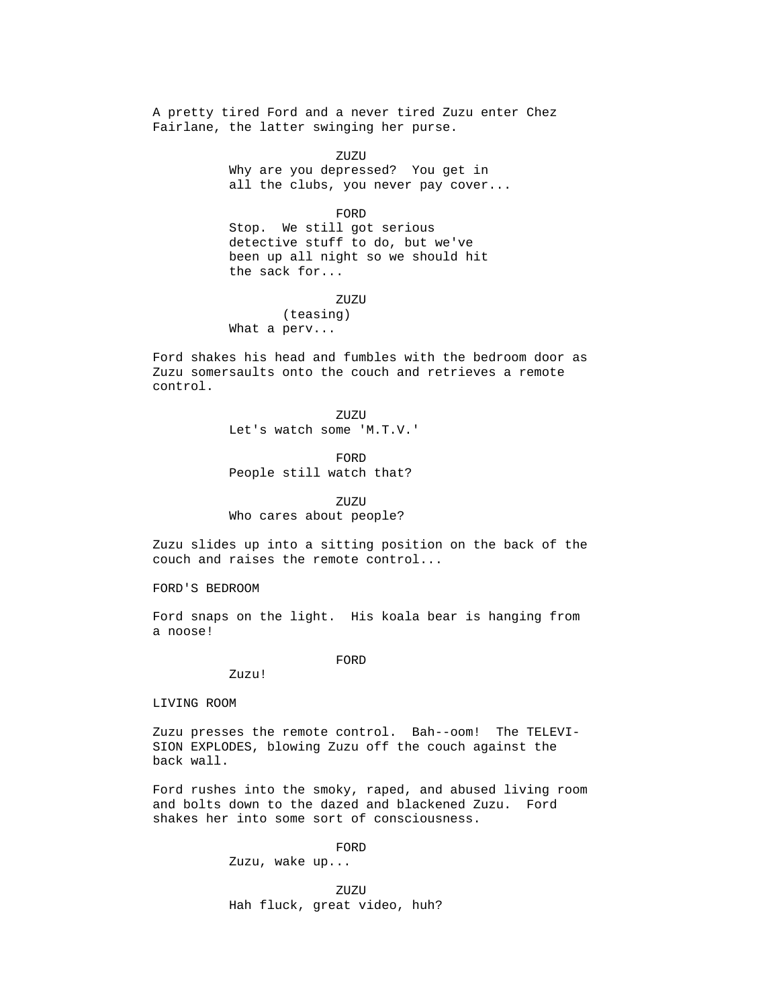A pretty tired Ford and a never tired Zuzu enter Chez Fairlane, the latter swinging her purse.

**ZUZU**  Why are you depressed? You get in all the clubs, you never pay cover...

**FORD** 

 Stop. We still got serious detective stuff to do, but we've been up all night so we should hit the sack for...

#### ZUZU

 (teasing) What a perv...

 Ford shakes his head and fumbles with the bedroom door as Zuzu somersaults onto the couch and retrieves a remote control.

zuzu za zamanje za zameni za zameni za zameni za zameni za zameni za zameni za zameni za zameni za zameni za z Let's watch some 'M.T.V.'

 FORD People still watch that?

zuzu za zamani za zamani za zamani za zamani za zamani za zamani za zamani za zamani za zamani za zamani za za Who cares about people?

> Zuzu slides up into a sitting position on the back of the couch and raises the remote control...

FORD'S BEDROOM

 Ford snaps on the light. His koala bear is hanging from a noose!

**FORD** 

Zuzu!

LIVING ROOM

 Zuzu presses the remote control. Bah--oom! The TELEVI- SION EXPLODES, blowing Zuzu off the couch against the back wall.

 Ford rushes into the smoky, raped, and abused living room and bolts down to the dazed and blackened Zuzu. Ford shakes her into some sort of consciousness.

 FORD Zuzu, wake up...

zuzu za zamanje za zameni za zameni za zameni za zameni za zameni za zameni za zameni za zameni za zameni za z Hah fluck, great video, huh?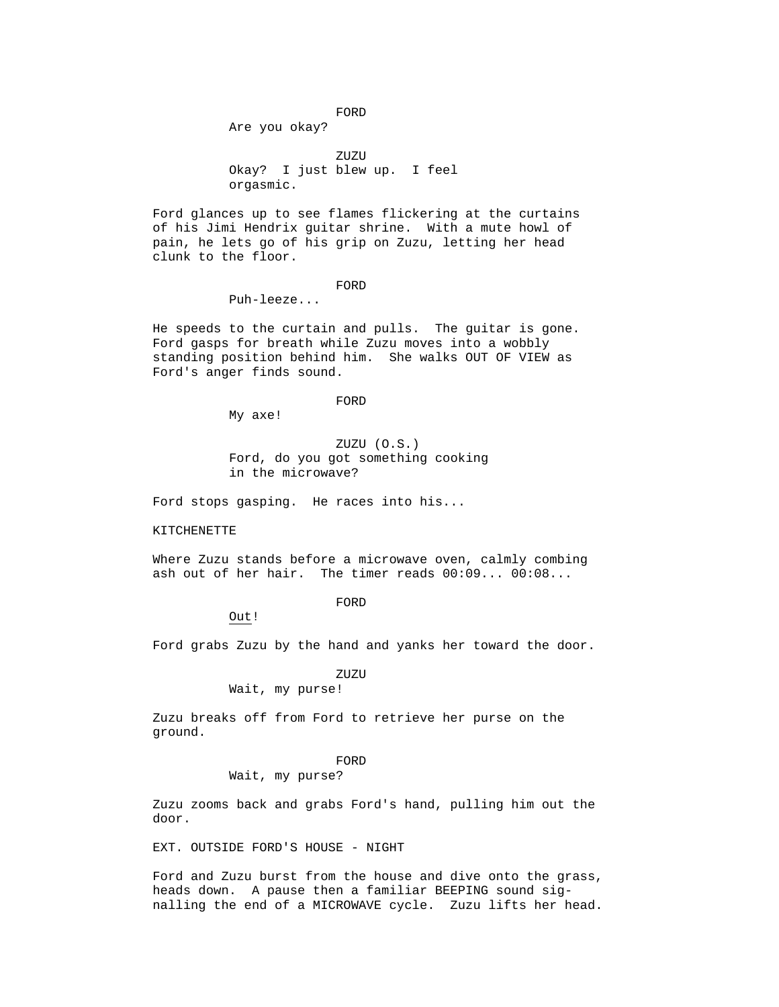FORD

Are you okay?

 ZUZU Okay? I just blew up. I feel orgasmic.

 Ford glances up to see flames flickering at the curtains of his Jimi Hendrix guitar shrine. With a mute howl of pain, he lets go of his grip on Zuzu, letting her head clunk to the floor.

## **FORD**

Puh-leeze...

 He speeds to the curtain and pulls. The guitar is gone. Ford gasps for breath while Zuzu moves into a wobbly standing position behind him. She walks OUT OF VIEW as Ford's anger finds sound.

FORD

My axe!

 ZUZU (O.S.) Ford, do you got something cooking in the microwave?

Ford stops gasping. He races into his...

## KITCHENETTE

 Where Zuzu stands before a microwave oven, calmly combing ash out of her hair. The timer reads 00:09... 00:08...

**FORD** 

Out!

Ford grabs Zuzu by the hand and yanks her toward the door.

zuzu za zamanje za zameni za zameni za zameni za zameni za zameni za zameni za zameni za zameni za zameni za z

#### Wait, my purse!

 Zuzu breaks off from Ford to retrieve her purse on the ground.

### FORD

Wait, my purse?

 Zuzu zooms back and grabs Ford's hand, pulling him out the door.

EXT. OUTSIDE FORD'S HOUSE - NIGHT

 Ford and Zuzu burst from the house and dive onto the grass, heads down. A pause then a familiar BEEPING sound sig nalling the end of a MICROWAVE cycle. Zuzu lifts her head.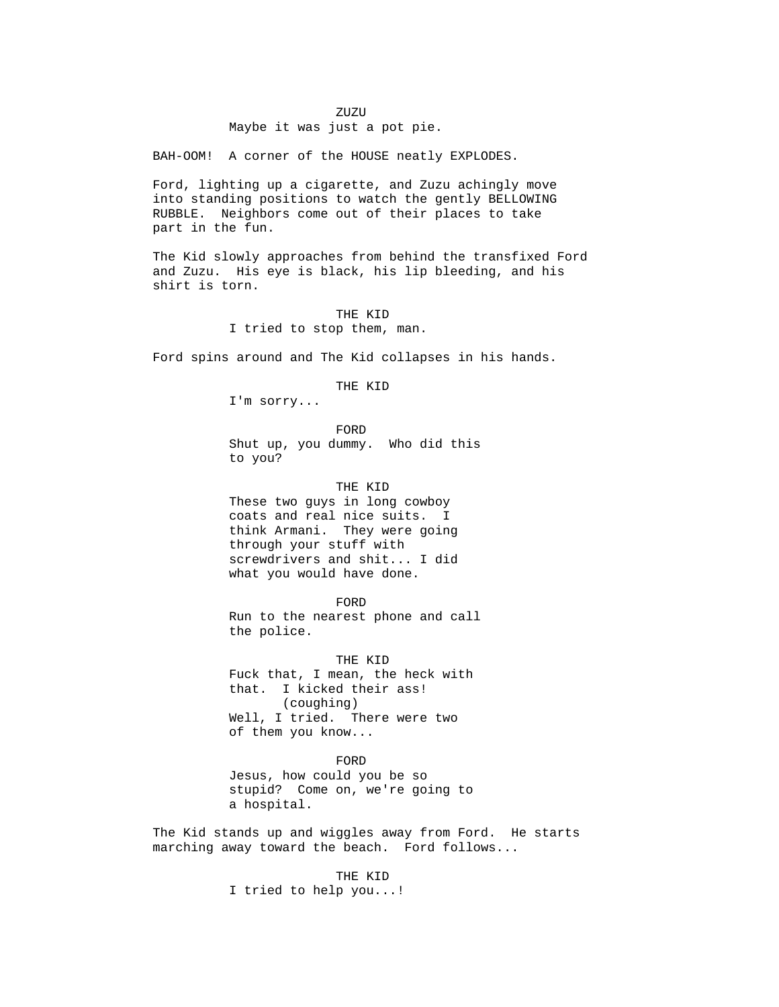### **ZUZU**

## Maybe it was just a pot pie.

BAH-OOM! A corner of the HOUSE neatly EXPLODES.

 Ford, lighting up a cigarette, and Zuzu achingly move into standing positions to watch the gently BELLOWING RUBBLE. Neighbors come out of their places to take part in the fun.

 The Kid slowly approaches from behind the transfixed Ford and Zuzu. His eye is black, his lip bleeding, and his shirt is torn.

> THE KID I tried to stop them, man.

Ford spins around and The Kid collapses in his hands.

THE KID

I'm sorry...

FORD

 Shut up, you dummy. Who did this to you?

 THE KID These two guys in long cowboy coats and real nice suits. I think Armani. They were going through your stuff with screwdrivers and shit... I did what you would have done.

FORD

 Run to the nearest phone and call the police.

 THE KID Fuck that, I mean, the heck with that. I kicked their ass! (coughing) Well, I tried. There were two of them you know...

 FORD Jesus, how could you be so stupid? Come on, we're going to a hospital.

 The Kid stands up and wiggles away from Ford. He starts marching away toward the beach. Ford follows...

> THE KID I tried to help you...!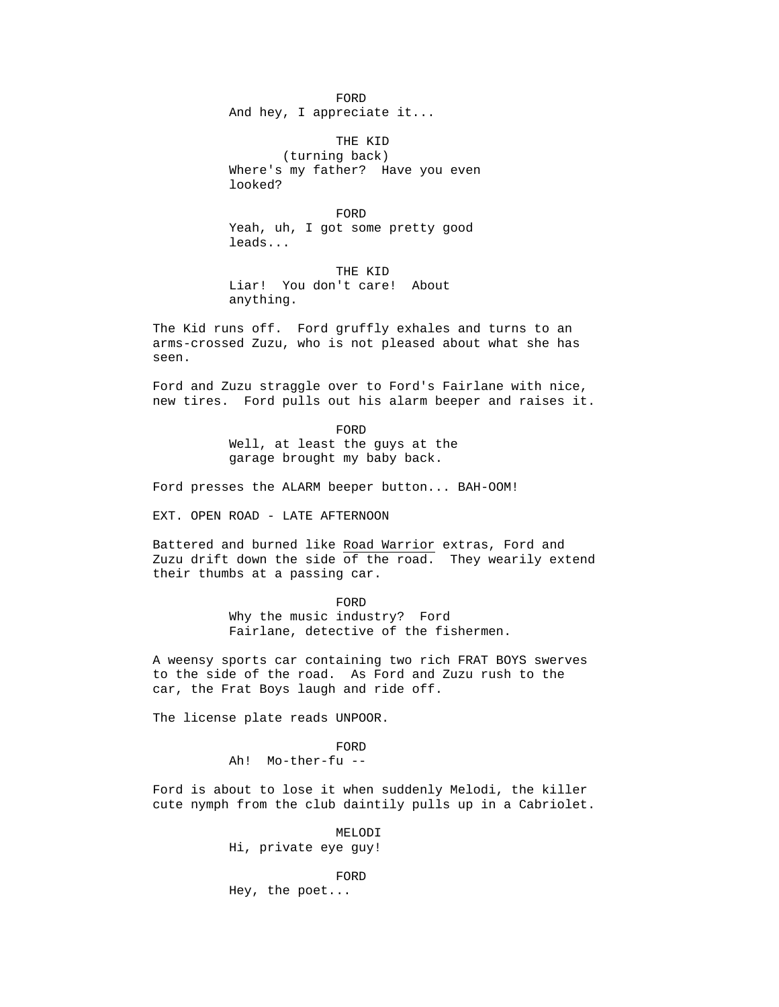FORD And hey, I appreciate it...

> THE KID (turning back) Where's my father? Have you even looked?

**FORD**  Yeah, uh, I got some pretty good leads...

> THE KID Liar! You don't care! About anything.

 The Kid runs off. Ford gruffly exhales and turns to an arms-crossed Zuzu, who is not pleased about what she has seen.

 Ford and Zuzu straggle over to Ford's Fairlane with nice, new tires. Ford pulls out his alarm beeper and raises it.

> FORD Well, at least the guys at the garage brought my baby back.

Ford presses the ALARM beeper button... BAH-OOM!

EXT. OPEN ROAD - LATE AFTERNOON

 Battered and burned like Road Warrior extras, Ford and Zuzu drift down the side of the road. They wearily extend their thumbs at a passing car.

> FORD Why the music industry? Ford Fairlane, detective of the fishermen.

 A weensy sports car containing two rich FRAT BOYS swerves to the side of the road. As Ford and Zuzu rush to the car, the Frat Boys laugh and ride off.

The license plate reads UNPOOR.

**FORD** Ah! Mo-ther-fu --

> Ford is about to lose it when suddenly Melodi, the killer cute nymph from the club daintily pulls up in a Cabriolet.

> > MELODI Hi, private eye guy!

**FORD** Hey, the poet...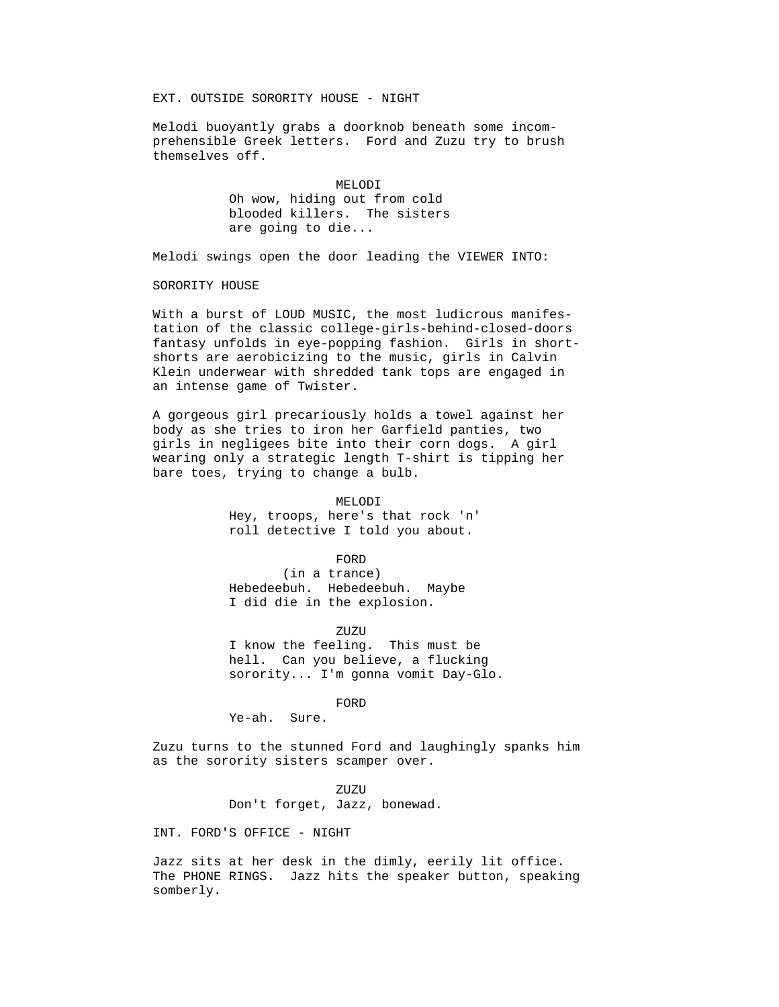EXT. OUTSIDE SORORITY HOUSE - NIGHT

 Melodi buoyantly grabs a doorknob beneath some incom prehensible Greek letters. Ford and Zuzu try to brush themselves off.

> MELODI Oh wow, hiding out from cold blooded killers. The sisters are going to die...

Melodi swings open the door leading the VIEWER INTO:

SORORITY HOUSE

With a burst of LOUD MUSIC, the most ludicrous manifes tation of the classic college-girls-behind-closed-doors fantasy unfolds in eye-popping fashion. Girls in short shorts are aerobicizing to the music, girls in Calvin Klein underwear with shredded tank tops are engaged in an intense game of Twister.

 A gorgeous girl precariously holds a towel against her body as she tries to iron her Garfield panties, two girls in negligees bite into their corn dogs. A girl wearing only a strategic length T-shirt is tipping her bare toes, trying to change a bulb.

> MELODI Hey, troops, here's that rock 'n' roll detective I told you about.

> > FORD

 (in a trance) Hebedeebuh. Hebedeebuh. Maybe I did die in the explosion.

zuzu za zamani za zamani za zamani za zamani za zamani za zamani za zamani za zamani za zamani za zamani za za

 I know the feeling. This must be hell. Can you believe, a flucking sorority... I'm gonna vomit Day-Glo.

FORD

Ye-ah. Sure.

 Zuzu turns to the stunned Ford and laughingly spanks him as the sorority sisters scamper over.

**ZUZU** 

Don't forget, Jazz, bonewad.

INT. FORD'S OFFICE - NIGHT

 Jazz sits at her desk in the dimly, eerily lit office. The PHONE RINGS. Jazz hits the speaker button, speaking somberly.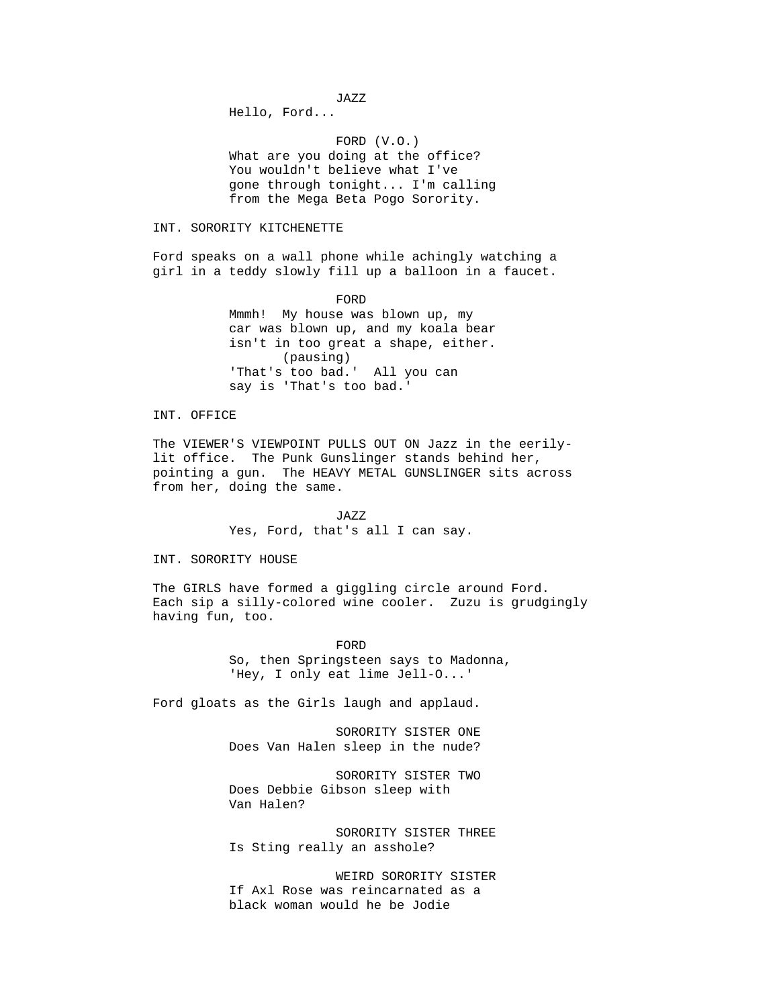JAZZ Hello, Ford...

> FORD (V.O.) What are you doing at the office? You wouldn't believe what I've gone through tonight... I'm calling from the Mega Beta Pogo Sorority.

INT. SORORITY KITCHENETTE

 Ford speaks on a wall phone while achingly watching a girl in a teddy slowly fill up a balloon in a faucet.

 FORD Mmmh! My house was blown up, my car was blown up, and my koala bear isn't in too great a shape, either. (pausing) 'That's too bad.' All you can say is 'That's too bad.'

INT. OFFICE

 The VIEWER'S VIEWPOINT PULLS OUT ON Jazz in the eerily lit office. The Punk Gunslinger stands behind her, pointing a gun. The HEAVY METAL GUNSLINGER sits across from her, doing the same.

 JAZZ Yes, Ford, that's all I can say.

INT. SORORITY HOUSE

 The GIRLS have formed a giggling circle around Ford. Each sip a silly-colored wine cooler. Zuzu is grudgingly having fun, too.

 FORD So, then Springsteen says to Madonna, 'Hey, I only eat lime Jell-O...'

Ford gloats as the Girls laugh and applaud.

 SORORITY SISTER ONE Does Van Halen sleep in the nude?

 SORORITY SISTER TWO Does Debbie Gibson sleep with Van Halen?

 SORORITY SISTER THREE Is Sting really an asshole?

 WEIRD SORORITY SISTER If Axl Rose was reincarnated as a black woman would he be Jodie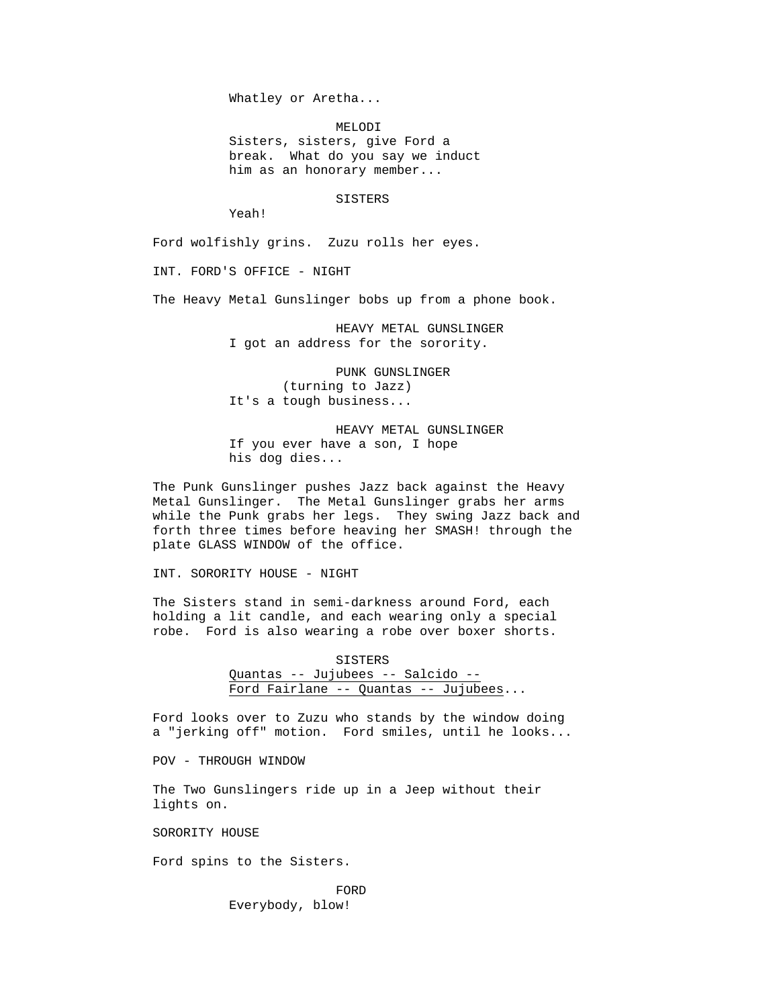Whatley or Aretha...

 MELODI Sisters, sisters, give Ford a break. What do you say we induct him as an honorary member...

SISTERS

Yeah!

Ford wolfishly grins. Zuzu rolls her eyes.

INT. FORD'S OFFICE - NIGHT

The Heavy Metal Gunslinger bobs up from a phone book.

 HEAVY METAL GUNSLINGER I got an address for the sorority.

 PUNK GUNSLINGER (turning to Jazz) It's a tough business...

 HEAVY METAL GUNSLINGER If you ever have a son, I hope his dog dies...

 The Punk Gunslinger pushes Jazz back against the Heavy Metal Gunslinger. The Metal Gunslinger grabs her arms while the Punk grabs her legs. They swing Jazz back and forth three times before heaving her SMASH! through the plate GLASS WINDOW of the office.

INT. SORORITY HOUSE - NIGHT

 The Sisters stand in semi-darkness around Ford, each holding a lit candle, and each wearing only a special robe. Ford is also wearing a robe over boxer shorts.

> SISTERS Quantas -- Jujubees -- Salcido -- Ford Fairlane -- Quantas -- Jujubees...

 Ford looks over to Zuzu who stands by the window doing a "jerking off" motion. Ford smiles, until he looks...

POV - THROUGH WINDOW

 The Two Gunslingers ride up in a Jeep without their lights on.

SORORITY HOUSE

Ford spins to the Sisters.

**FORD** Everybody, blow!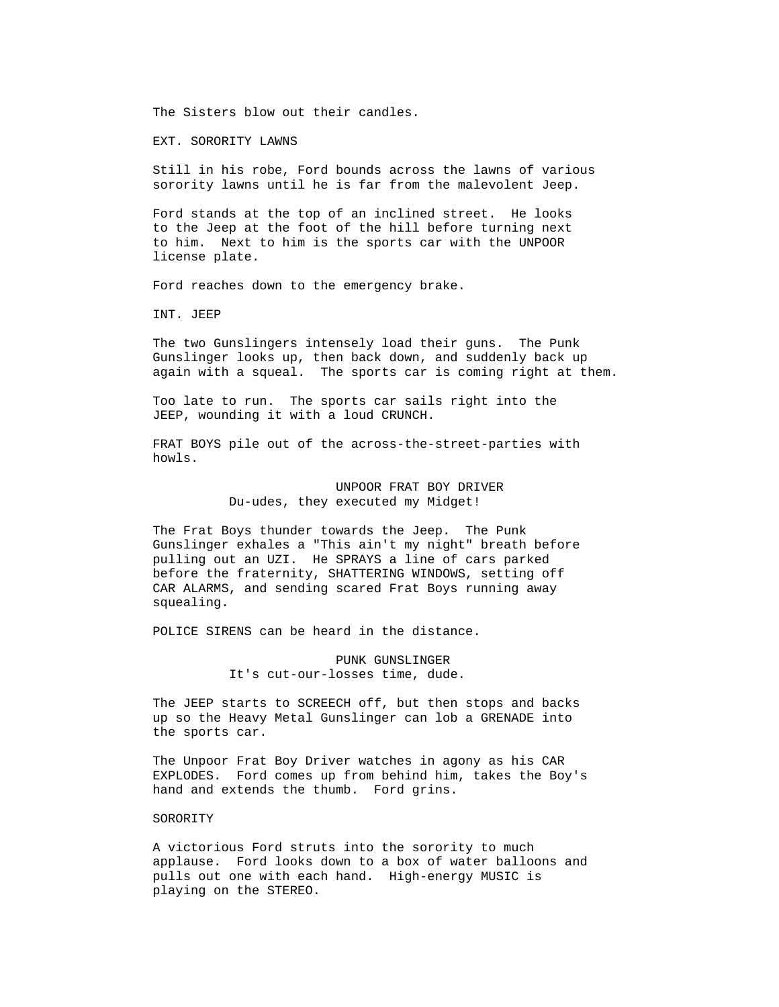The Sisters blow out their candles.

EXT. SORORITY LAWNS

 Still in his robe, Ford bounds across the lawns of various sorority lawns until he is far from the malevolent Jeep.

 Ford stands at the top of an inclined street. He looks to the Jeep at the foot of the hill before turning next to him. Next to him is the sports car with the UNPOOR license plate.

Ford reaches down to the emergency brake.

INT. JEEP

 The two Gunslingers intensely load their guns. The Punk Gunslinger looks up, then back down, and suddenly back up again with a squeal. The sports car is coming right at them.

 Too late to run. The sports car sails right into the JEEP, wounding it with a loud CRUNCH.

 FRAT BOYS pile out of the across-the-street-parties with howls.

> UNPOOR FRAT BOY DRIVER Du-udes, they executed my Midget!

 The Frat Boys thunder towards the Jeep. The Punk Gunslinger exhales a "This ain't my night" breath before pulling out an UZI. He SPRAYS a line of cars parked before the fraternity, SHATTERING WINDOWS, setting off CAR ALARMS, and sending scared Frat Boys running away squealing.

POLICE SIRENS can be heard in the distance.

 PUNK GUNSLINGER It's cut-our-losses time, dude.

 The JEEP starts to SCREECH off, but then stops and backs up so the Heavy Metal Gunslinger can lob a GRENADE into the sports car.

 The Unpoor Frat Boy Driver watches in agony as his CAR EXPLODES. Ford comes up from behind him, takes the Boy's hand and extends the thumb. Ford grins.

#### SORORITY

 A victorious Ford struts into the sorority to much applause. Ford looks down to a box of water balloons and pulls out one with each hand. High-energy MUSIC is playing on the STEREO.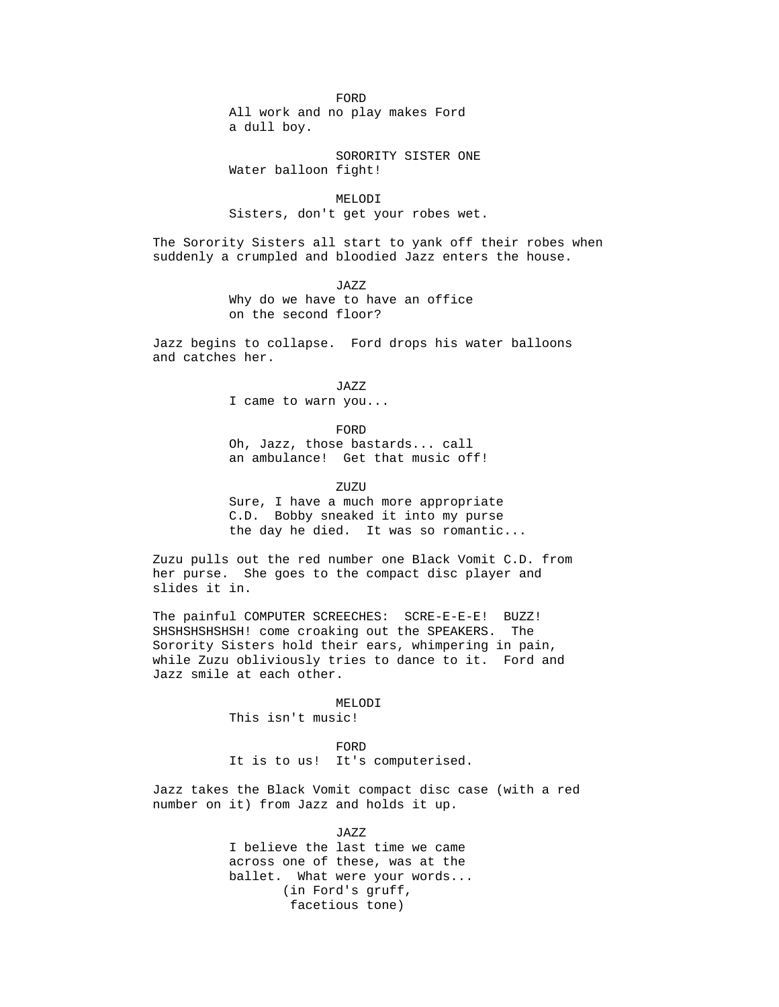FORD All work and no play makes Ford a dull boy.

> SORORITY SISTER ONE Water balloon fight!

 MELODI Sisters, don't get your robes wet.

 The Sorority Sisters all start to yank off their robes when suddenly a crumpled and bloodied Jazz enters the house.

> JAZZ Why do we have to have an office on the second floor?

 Jazz begins to collapse. Ford drops his water balloons and catches her.

 JAZZ I came to warn you...

FORD

 Oh, Jazz, those bastards... call an ambulance! Get that music off!

zuzu za zamani za zamani za zamani za zamani za zamani za zamani za zamani za zamani za zamani za zamani za za Sure, I have a much more appropriate C.D. Bobby sneaked it into my purse the day he died. It was so romantic...

> Zuzu pulls out the red number one Black Vomit C.D. from her purse. She goes to the compact disc player and slides it in.

The painful COMPUTER SCREECHES: SCRE-E-E-E! BUZZ! SHSHSHSHSHSH! come croaking out the SPEAKERS. The Sorority Sisters hold their ears, whimpering in pain, while Zuzu obliviously tries to dance to it. Ford and Jazz smile at each other.

> MELODI This isn't music!

**FORD** It is to us! It's computerised.

> Jazz takes the Black Vomit compact disc case (with a red number on it) from Jazz and holds it up.

> > JAZZ I believe the last time we came across one of these, was at the ballet. What were your words... (in Ford's gruff, facetious tone)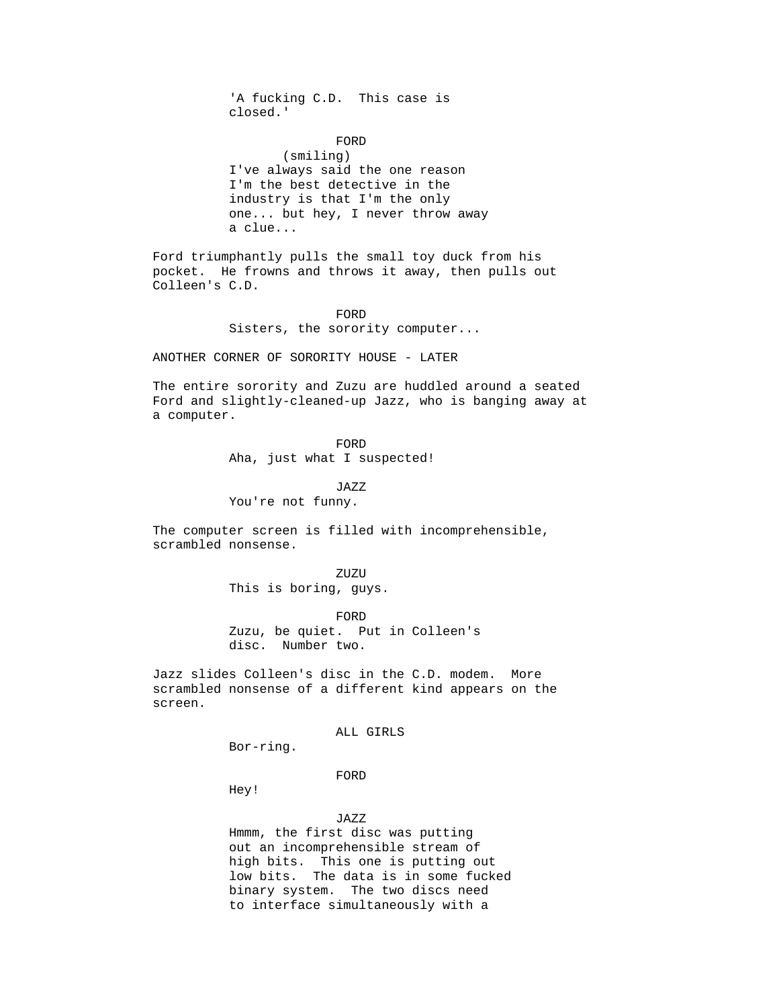'A fucking C.D. This case is closed.'

**FORD**  (smiling) I've always said the one reason I'm the best detective in the industry is that I'm the only one... but hey, I never throw away a clue...

> Ford triumphantly pulls the small toy duck from his pocket. He frowns and throws it away, then pulls out Colleen's C.D.

> > FORD Sisters, the sorority computer...

ANOTHER CORNER OF SORORITY HOUSE - LATER

 The entire sorority and Zuzu are huddled around a seated Ford and slightly-cleaned-up Jazz, who is banging away at a computer.

 FORD Aha, just what I suspected!

 JAZZ You're not funny.

> The computer screen is filled with incomprehensible, scrambled nonsense.

**ZUZU** This is boring, guys.

> FORD Zuzu, be quiet. Put in Colleen's disc. Number two.

 Jazz slides Colleen's disc in the C.D. modem. More scrambled nonsense of a different kind appears on the screen.

ALL GIRLS

Bor-ring.

FORD

Hey!

JAZZ

 Hmmm, the first disc was putting out an incomprehensible stream of high bits. This one is putting out low bits. The data is in some fucked binary system. The two discs need to interface simultaneously with a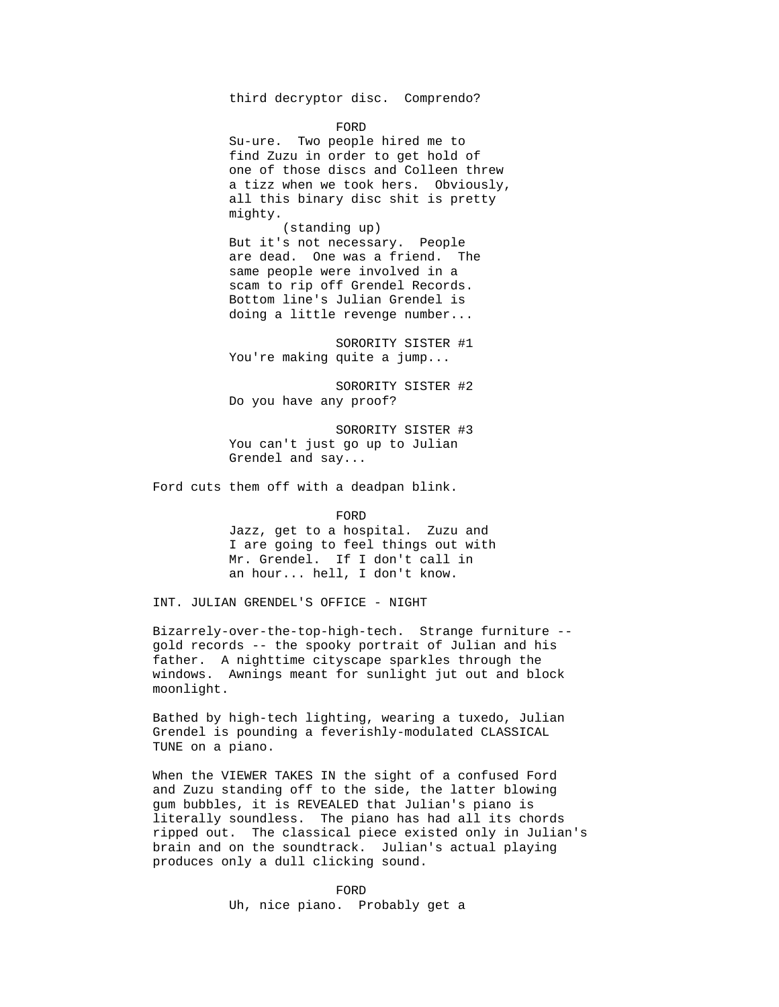third decryptor disc. Comprendo?

**FORD** 

 Su-ure. Two people hired me to find Zuzu in order to get hold of one of those discs and Colleen threw a tizz when we took hers. Obviously, all this binary disc shit is pretty mighty.

 (standing up) But it's not necessary. People are dead. One was a friend. The same people were involved in a scam to rip off Grendel Records. Bottom line's Julian Grendel is doing a little revenge number...

 SORORITY SISTER #1 You're making quite a jump...

 SORORITY SISTER #2 Do you have any proof?

 SORORITY SISTER #3 You can't just go up to Julian Grendel and say...

Ford cuts them off with a deadpan blink.

FORD

 Jazz, get to a hospital. Zuzu and I are going to feel things out with Mr. Grendel. If I don't call in an hour... hell, I don't know.

INT. JULIAN GRENDEL'S OFFICE - NIGHT

 Bizarrely-over-the-top-high-tech. Strange furniture - gold records -- the spooky portrait of Julian and his father. A nighttime cityscape sparkles through the windows. Awnings meant for sunlight jut out and block moonlight.

 Bathed by high-tech lighting, wearing a tuxedo, Julian Grendel is pounding a feverishly-modulated CLASSICAL TUNE on a piano.

 When the VIEWER TAKES IN the sight of a confused Ford and Zuzu standing off to the side, the latter blowing gum bubbles, it is REVEALED that Julian's piano is literally soundless. The piano has had all its chords ripped out. The classical piece existed only in Julian's brain and on the soundtrack. Julian's actual playing produces only a dull clicking sound.

**FORD** Uh, nice piano. Probably get a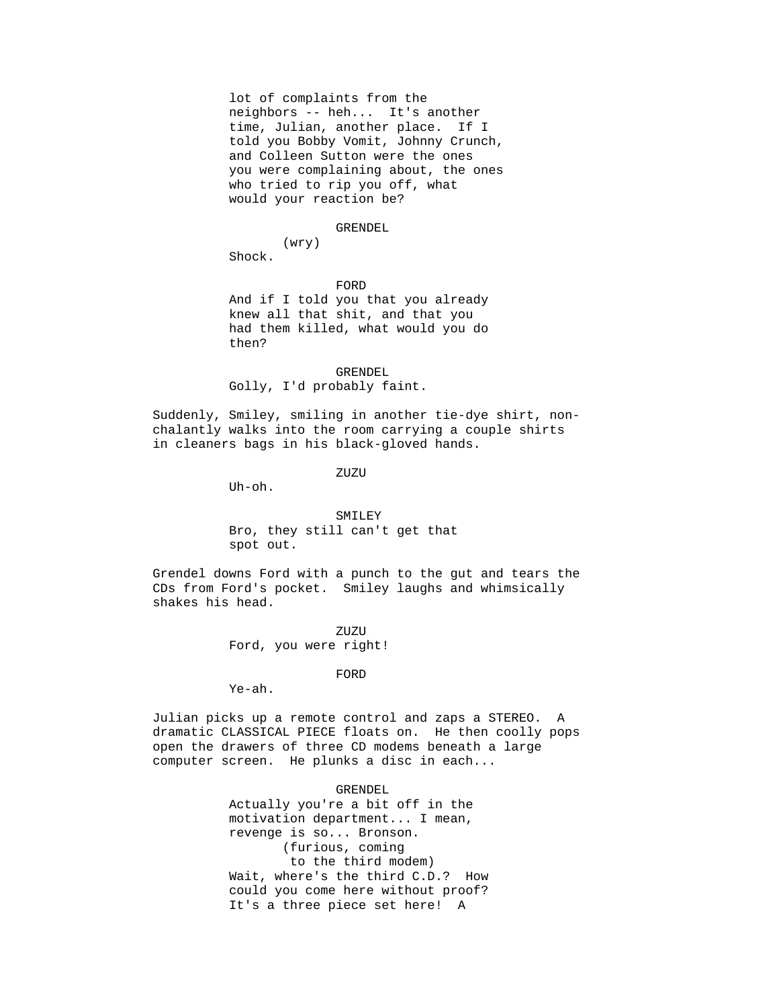lot of complaints from the neighbors -- heh... It's another time, Julian, another place. If I told you Bobby Vomit, Johnny Crunch, and Colleen Sutton were the ones you were complaining about, the ones who tried to rip you off, what would your reaction be?

### GRENDEL

 (wry) Shock.

**FORD** 

 And if I told you that you already knew all that shit, and that you had them killed, what would you do then?

GRENDEL

Golly, I'd probably faint.

 Suddenly, Smiley, smiling in another tie-dye shirt, non chalantly walks into the room carrying a couple shirts in cleaners bags in his black-gloved hands.

zuzu za zamani za zamani za zamani za zamani za zamani za zamani za zamani za zamani za zamani za zamani za za

Uh-oh.

 SMILEY Bro, they still can't get that spot out.

 Grendel downs Ford with a punch to the gut and tears the CDs from Ford's pocket. Smiley laughs and whimsically shakes his head.

zuzu za zamani za zamani za zamani za zamani za zamani za zamani za zamani za zamani za zamani za zamani za za Ford, you were right!

**FORD** 

Ye-ah.

 Julian picks up a remote control and zaps a STEREO. A dramatic CLASSICAL PIECE floats on. He then coolly pops open the drawers of three CD modems beneath a large computer screen. He plunks a disc in each...

> GRENDEL Actually you're a bit off in the motivation department... I mean, revenge is so... Bronson. (furious, coming to the third modem) Wait, where's the third C.D.? How could you come here without proof? It's a three piece set here! A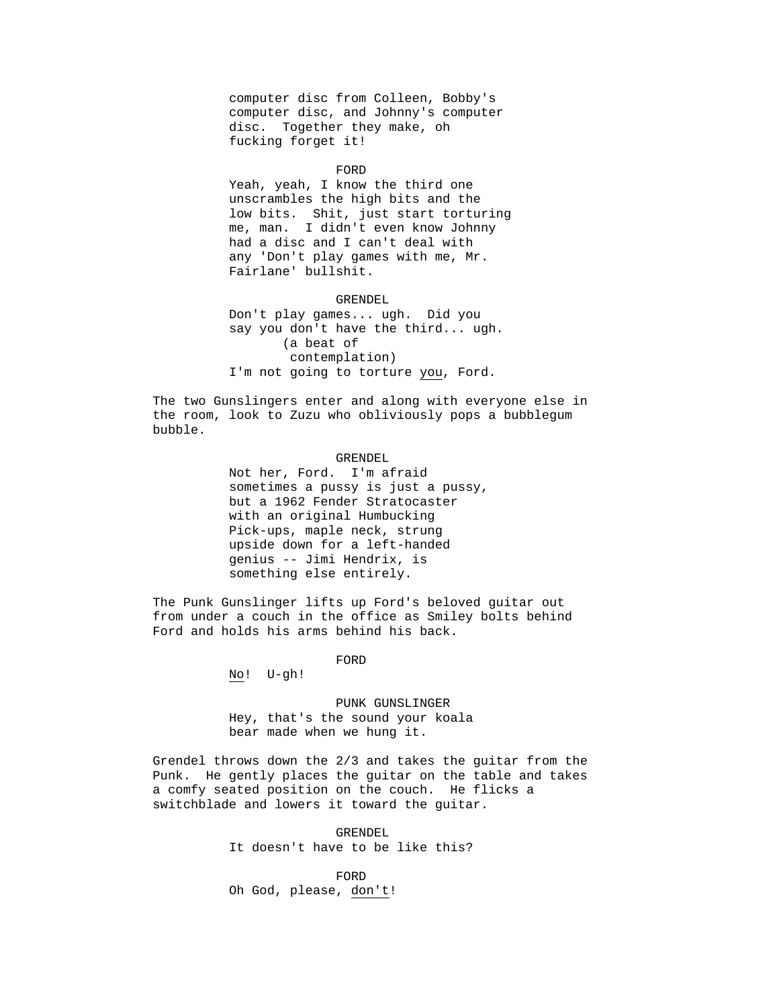computer disc from Colleen, Bobby's computer disc, and Johnny's computer disc. Together they make, oh fucking forget it!

# FORD

 Yeah, yeah, I know the third one unscrambles the high bits and the low bits. Shit, just start torturing me, man. I didn't even know Johnny had a disc and I can't deal with any 'Don't play games with me, Mr. Fairlane' bullshit.

### GRENDEL

 Don't play games... ugh. Did you say you don't have the third... ugh. (a beat of contemplation) I'm not going to torture you, Ford.

 The two Gunslingers enter and along with everyone else in the room, look to Zuzu who obliviously pops a bubblegum bubble.

#### GRENDEL

 Not her, Ford. I'm afraid sometimes a pussy is just a pussy, but a 1962 Fender Stratocaster with an original Humbucking Pick-ups, maple neck, strung upside down for a left-handed genius -- Jimi Hendrix, is something else entirely.

 The Punk Gunslinger lifts up Ford's beloved guitar out from under a couch in the office as Smiley bolts behind Ford and holds his arms behind his back.

**FORD** 

No! U-gh!

 PUNK GUNSLINGER Hey, that's the sound your koala bear made when we hung it.

 Grendel throws down the 2/3 and takes the guitar from the Punk. He gently places the guitar on the table and takes a comfy seated position on the couch. He flicks a switchblade and lowers it toward the guitar.

> GRENDEL It doesn't have to be like this?

**FORD** Oh God, please, don't!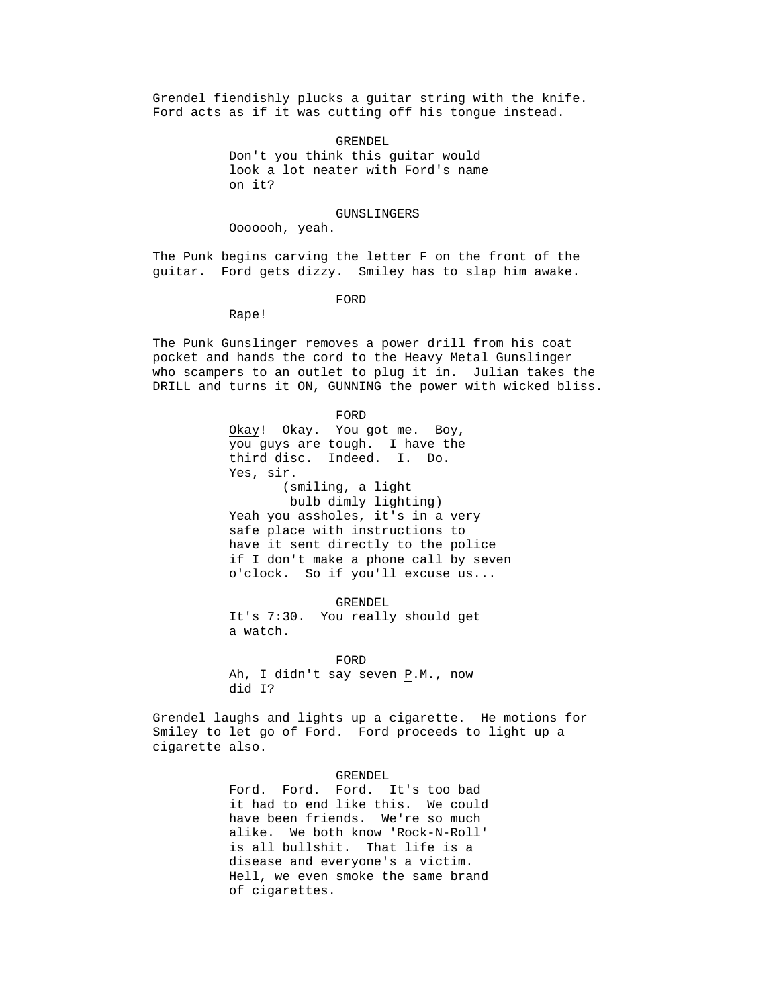Grendel fiendishly plucks a guitar string with the knife. Ford acts as if it was cutting off his tongue instead.

GRENDEL

 Don't you think this guitar would look a lot neater with Ford's name on it?

### GUNSLINGERS

Ooooooh, yeah.

 The Punk begins carving the letter F on the front of the guitar. Ford gets dizzy. Smiley has to slap him awake.

FORD

### Rape!

 The Punk Gunslinger removes a power drill from his coat pocket and hands the cord to the Heavy Metal Gunslinger who scampers to an outlet to plug it in. Julian takes the DRILL and turns it ON, GUNNING the power with wicked bliss.

# **FORD**

 Okay! Okay. You got me. Boy, you guys are tough. I have the third disc. Indeed. I. Do. Yes, sir. (smiling, a light bulb dimly lighting) Yeah you assholes, it's in a very safe place with instructions to have it sent directly to the police if I don't make a phone call by seven o'clock. So if you'll excuse us...

GRENDEL

 It's 7:30. You really should get a watch.

**FORD**  Ah, I didn't say seven P.M., now did I?

> Grendel laughs and lights up a cigarette. He motions for Smiley to let go of Ford. Ford proceeds to light up a cigarette also.

### GRENDEL

 Ford. Ford. Ford. It's too bad it had to end like this. We could have been friends. We're so much alike. We both know 'Rock-N-Roll' is all bullshit. That life is a disease and everyone's a victim. Hell, we even smoke the same brand of cigarettes.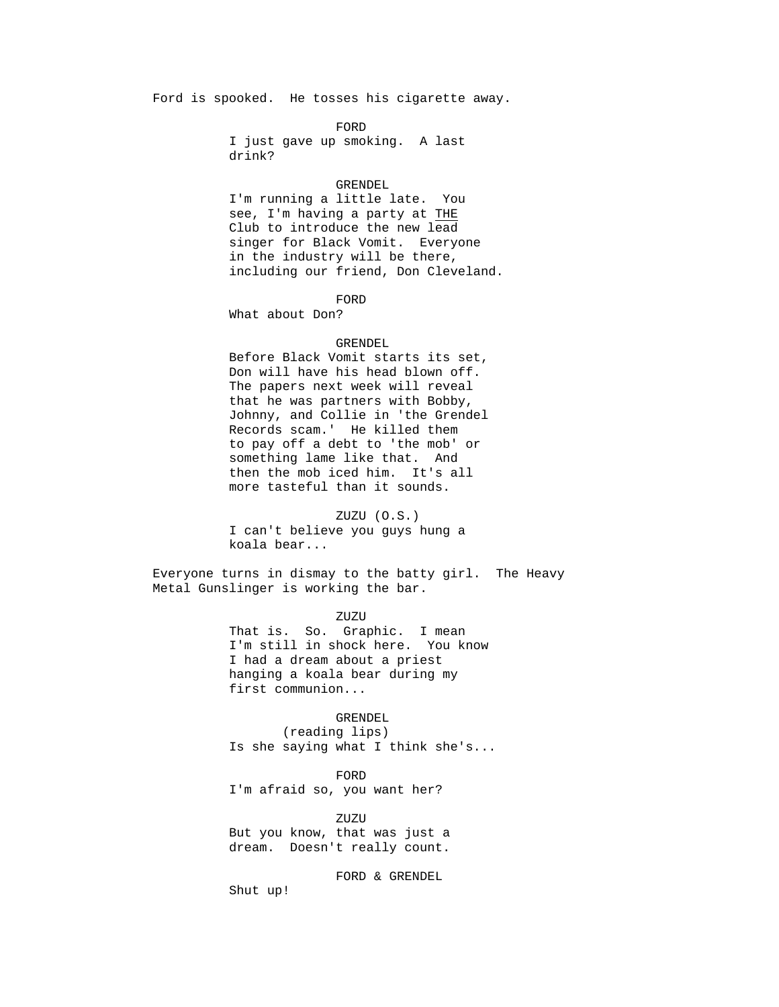Ford is spooked. He tosses his cigarette away.

FORD

 I just gave up smoking. A last drink?

#### GRENDEL

 I'm running a little late. You see, I'm having a party at THE Club to introduce the new lead singer for Black Vomit. Everyone in the industry will be there, including our friend, Don Cleveland.

#### FORD

What about Don?

## GRENDEL

 Before Black Vomit starts its set, Don will have his head blown off. The papers next week will reveal that he was partners with Bobby, Johnny, and Collie in 'the Grendel Records scam.' He killed them to pay off a debt to 'the mob' or something lame like that. And then the mob iced him. It's all more tasteful than it sounds.

 ZUZU (O.S.) I can't believe you guys hung a koala bear...

 Everyone turns in dismay to the batty girl. The Heavy Metal Gunslinger is working the bar.

zuzu za zamani za zamani za zamani za zamani za zamani za zamani za zamani za zamani za zamani za zamani za za That is. So. Graphic. I mean I'm still in shock here. You know I had a dream about a priest hanging a koala bear during my first communion...

# GRENDEL

 (reading lips) Is she saying what I think she's...

 FORD I'm afraid so, you want her?

> ZUZU But you know, that was just a dream. Doesn't really count.

> > FORD & GRENDEL

Shut up!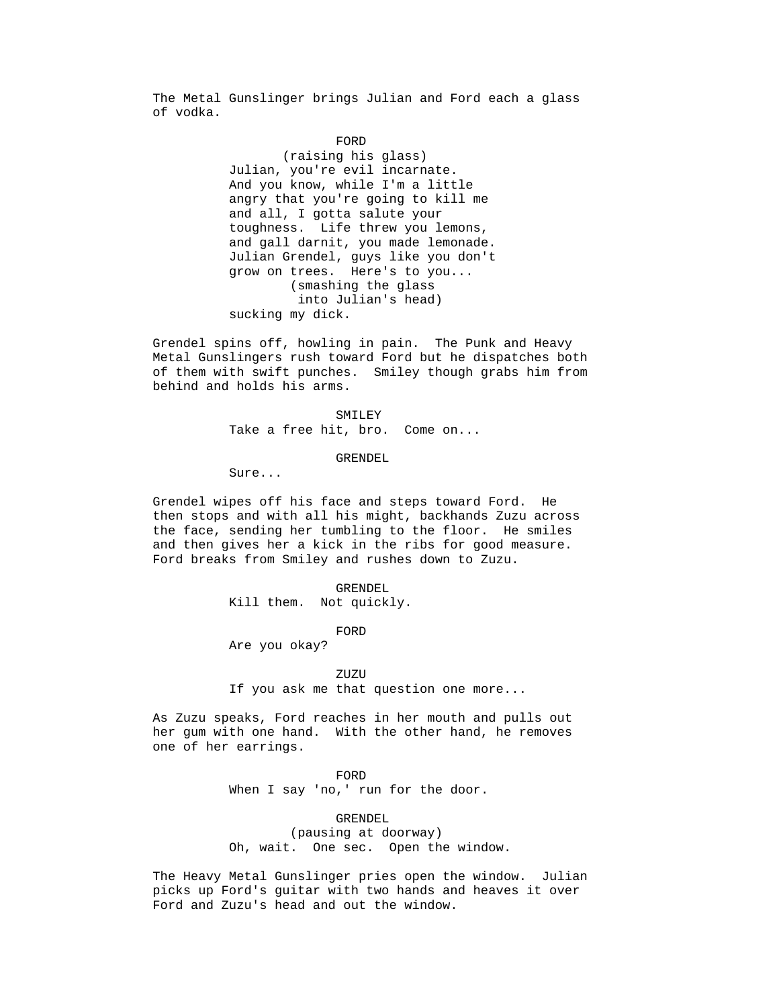The Metal Gunslinger brings Julian and Ford each a glass of vodka.

# **FORD**

 (raising his glass) Julian, you're evil incarnate. And you know, while I'm a little angry that you're going to kill me and all, I gotta salute your toughness. Life threw you lemons, and gall darnit, you made lemonade. Julian Grendel, guys like you don't grow on trees. Here's to you... (smashing the glass into Julian's head) sucking my dick.

 Grendel spins off, howling in pain. The Punk and Heavy Metal Gunslingers rush toward Ford but he dispatches both of them with swift punches. Smiley though grabs him from behind and holds his arms.

#### SMILEY

Take a free hit, bro. Come on...

GRENDEL

Sure...

 Grendel wipes off his face and steps toward Ford. He then stops and with all his might, backhands Zuzu across the face, sending her tumbling to the floor. He smiles and then gives her a kick in the ribs for good measure. Ford breaks from Smiley and rushes down to Zuzu.

> GRENDEL Kill them. Not quickly.

> > FORD

Are you okay?

zuzu za zamani za zamani za zamani za zamani za zamani za zamani za zamani za zamani za zamani za zamani za za

If you ask me that question one more...

 As Zuzu speaks, Ford reaches in her mouth and pulls out her gum with one hand. With the other hand, he removes one of her earrings.

FORD

When I say 'no,' run for the door.

 GRENDEL (pausing at doorway) Oh, wait. One sec. Open the window.

 The Heavy Metal Gunslinger pries open the window. Julian picks up Ford's guitar with two hands and heaves it over Ford and Zuzu's head and out the window.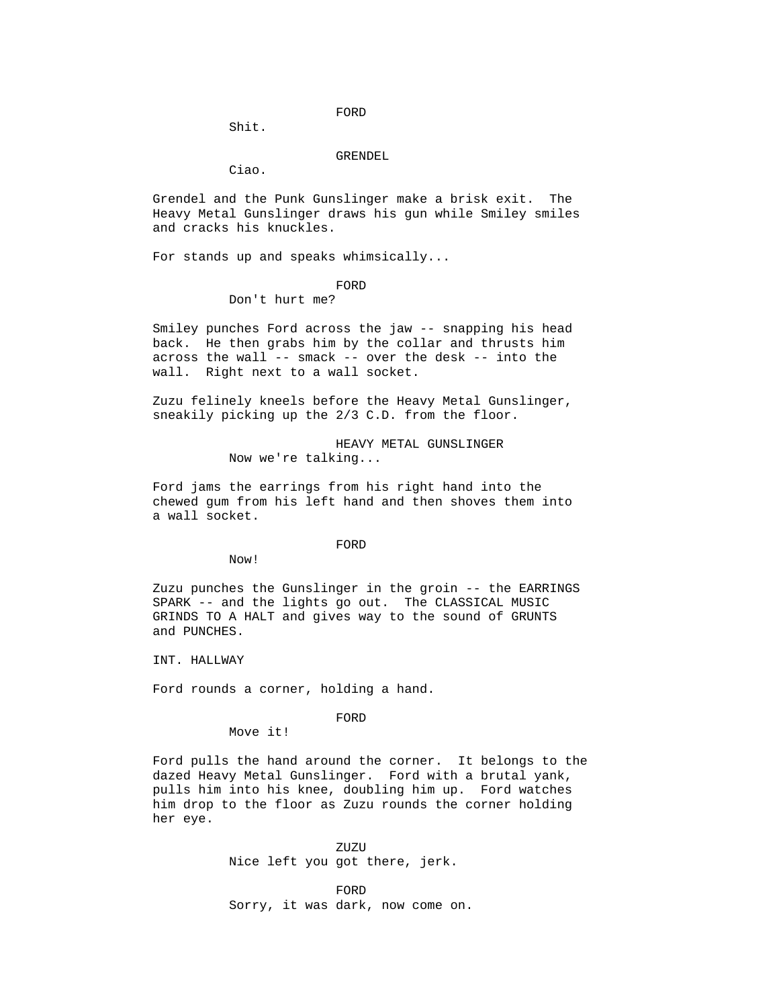FORD

Shit.

#### GRENDEL

Ciao.

 Grendel and the Punk Gunslinger make a brisk exit. The Heavy Metal Gunslinger draws his gun while Smiley smiles and cracks his knuckles.

For stands up and speaks whimsically...

# **FORD**

# Don't hurt me?

 Smiley punches Ford across the jaw -- snapping his head back. He then grabs him by the collar and thrusts him across the wall -- smack -- over the desk -- into the wall. Right next to a wall socket.

 Zuzu felinely kneels before the Heavy Metal Gunslinger, sneakily picking up the 2/3 C.D. from the floor.

> HEAVY METAL GUNSLINGER Now we're talking...

 Ford jams the earrings from his right hand into the chewed gum from his left hand and then shoves them into a wall socket.

**FORD** 

Now!

 Zuzu punches the Gunslinger in the groin -- the EARRINGS SPARK -- and the lights go out. The CLASSICAL MUSIC GRINDS TO A HALT and gives way to the sound of GRUNTS and PUNCHES.

INT. HALLWAY

Ford rounds a corner, holding a hand.

FORD

Move it!

 Ford pulls the hand around the corner. It belongs to the dazed Heavy Metal Gunslinger. Ford with a brutal yank, pulls him into his knee, doubling him up. Ford watches him drop to the floor as Zuzu rounds the corner holding her eye.

**ZUZU** Nice left you got there, jerk.

**FORD** Sorry, it was dark, now come on.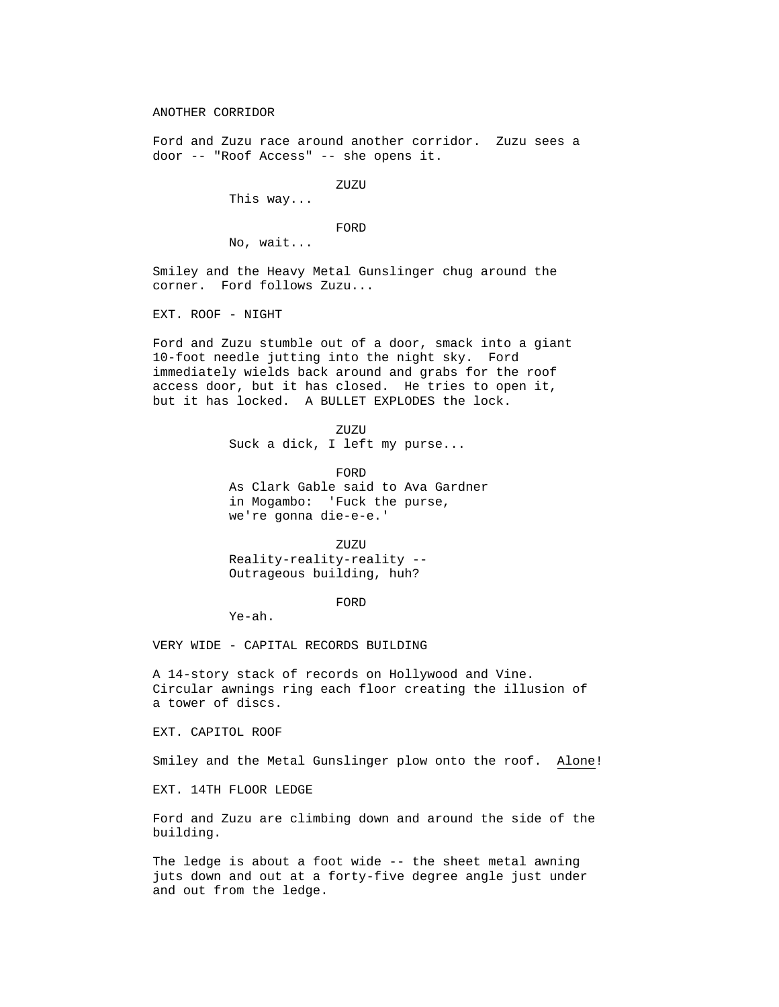ANOTHER CORRIDOR

 Ford and Zuzu race around another corridor. Zuzu sees a door -- "Roof Access" -- she opens it.

**ZUZU** 

This way...

FORD

No, wait...

 Smiley and the Heavy Metal Gunslinger chug around the corner. Ford follows Zuzu...

EXT. ROOF - NIGHT

 Ford and Zuzu stumble out of a door, smack into a giant 10-foot needle jutting into the night sky. Ford immediately wields back around and grabs for the roof access door, but it has closed. He tries to open it, but it has locked. A BULLET EXPLODES the lock.

zuzu za zamani za zamani za zamani za zamani za zamani za zamani za zamani za zamani za zamani za zamani za za Suck a dick, I left my purse...

**FORD**  As Clark Gable said to Ava Gardner in Mogambo: 'Fuck the purse, we're gonna die-e-e.'

zuzu za zamani za zamani za zamani za zamani za zamani za zamani za zamani za zamani za zamani za zamani za za Reality-reality-reality -- Outrageous building, huh?

FORD

Ye-ah.

VERY WIDE - CAPITAL RECORDS BUILDING

 A 14-story stack of records on Hollywood and Vine. Circular awnings ring each floor creating the illusion of a tower of discs.

EXT. CAPITOL ROOF

Smiley and the Metal Gunslinger plow onto the roof. Alone!

EXT. 14TH FLOOR LEDGE

 Ford and Zuzu are climbing down and around the side of the building.

 The ledge is about a foot wide -- the sheet metal awning juts down and out at a forty-five degree angle just under and out from the ledge.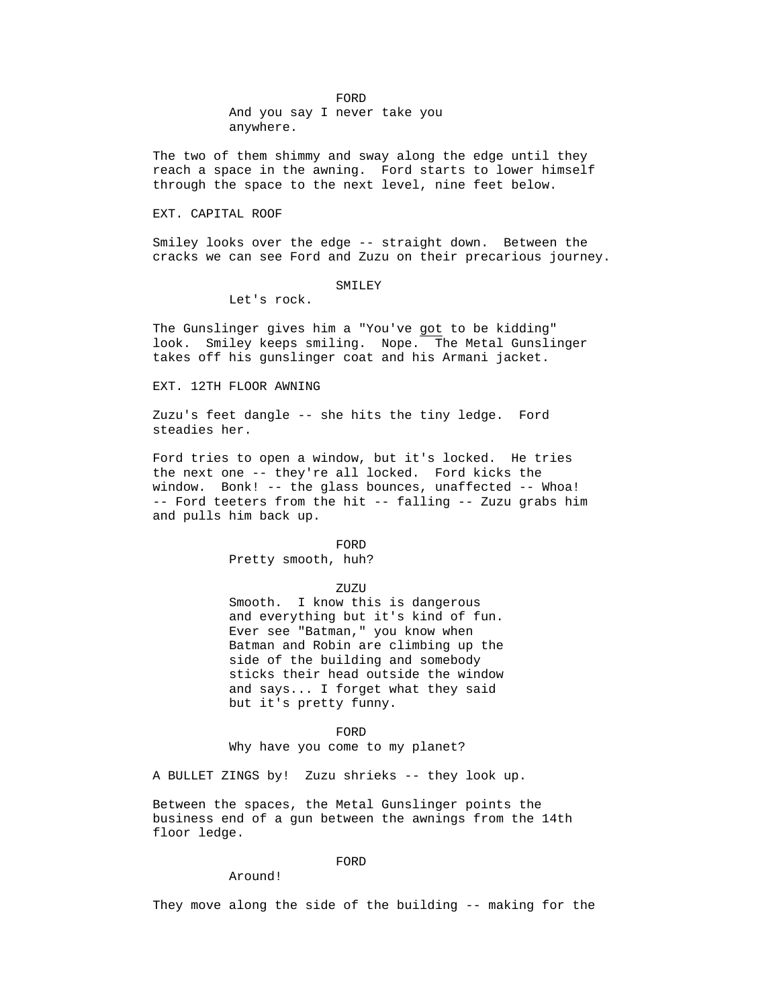FORD And you say I never take you anywhere.

> The two of them shimmy and sway along the edge until they reach a space in the awning. Ford starts to lower himself through the space to the next level, nine feet below.

## EXT. CAPITAL ROOF

 Smiley looks over the edge -- straight down. Between the cracks we can see Ford and Zuzu on their precarious journey.

# SMILEY

Let's rock.

 The Gunslinger gives him a "You've got to be kidding" look. Smiley keeps smiling. Nope. The Metal Gunslinger takes off his gunslinger coat and his Armani jacket.

# EXT. 12TH FLOOR AWNING

 Zuzu's feet dangle -- she hits the tiny ledge. Ford steadies her.

 Ford tries to open a window, but it's locked. He tries the next one -- they're all locked. Ford kicks the window. Bonk! -- the glass bounces, unaffected -- Whoa! -- Ford teeters from the hit -- falling -- Zuzu grabs him and pulls him back up.

**FORD** Pretty smooth, huh?

**ZUZU** 

 Smooth. I know this is dangerous and everything but it's kind of fun. Ever see "Batman," you know when Batman and Robin are climbing up the side of the building and somebody sticks their head outside the window and says... I forget what they said but it's pretty funny.

**FORD** 

Why have you come to my planet?

A BULLET ZINGS by! Zuzu shrieks -- they look up.

 Between the spaces, the Metal Gunslinger points the business end of a gun between the awnings from the 14th floor ledge.

## FORD

Around!

They move along the side of the building -- making for the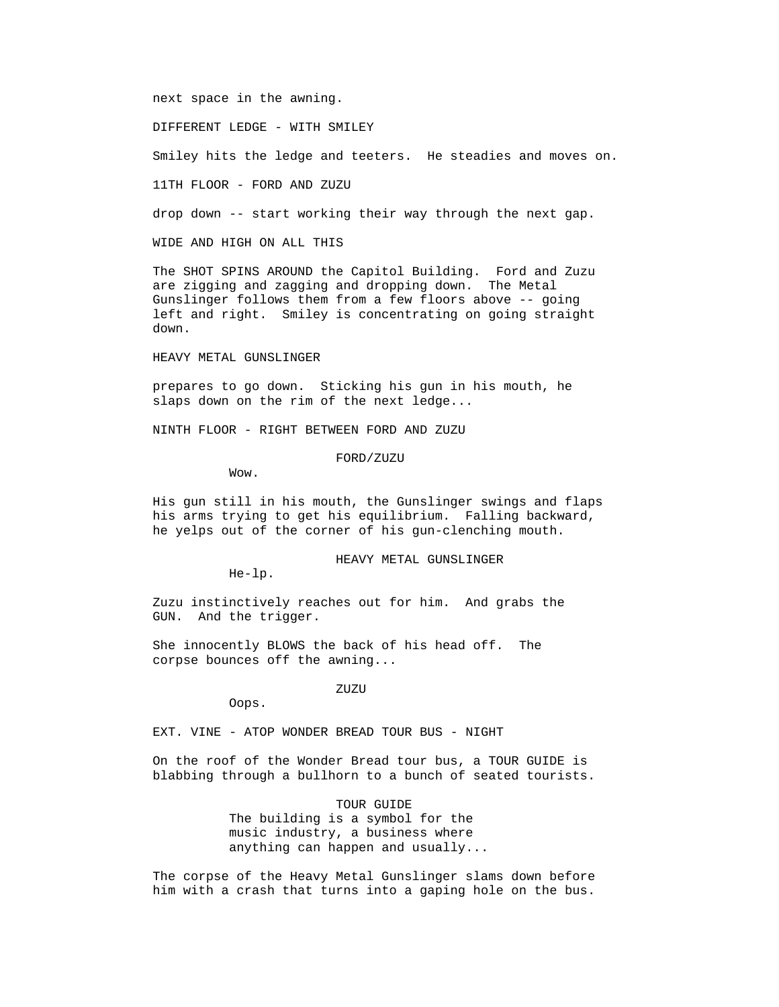next space in the awning.

DIFFERENT LEDGE - WITH SMILEY

Smiley hits the ledge and teeters. He steadies and moves on.

11TH FLOOR - FORD AND ZUZU

drop down -- start working their way through the next gap.

WIDE AND HIGH ON ALL THIS

 The SHOT SPINS AROUND the Capitol Building. Ford and Zuzu are zigging and zagging and dropping down. The Metal Gunslinger follows them from a few floors above -- going left and right. Smiley is concentrating on going straight down.

HEAVY METAL GUNSLINGER

 prepares to go down. Sticking his gun in his mouth, he slaps down on the rim of the next ledge...

NINTH FLOOR - RIGHT BETWEEN FORD AND ZUZU

### FORD/ZUZU

Wow.

 His gun still in his mouth, the Gunslinger swings and flaps his arms trying to get his equilibrium. Falling backward, he yelps out of the corner of his gun-clenching mouth.

HEAVY METAL GUNSLINGER

He-lp.

 Zuzu instinctively reaches out for him. And grabs the GUN. And the trigger.

 She innocently BLOWS the back of his head off. The corpse bounces off the awning...

zuzu za zamanje za zameni za zameni za zameni za zameni za zameni za zameni za zameni za zameni za zameni za z

Oops.

EXT. VINE - ATOP WONDER BREAD TOUR BUS - NIGHT

 On the roof of the Wonder Bread tour bus, a TOUR GUIDE is blabbing through a bullhorn to a bunch of seated tourists.

> TOUR GUIDE The building is a symbol for the music industry, a business where anything can happen and usually...

 The corpse of the Heavy Metal Gunslinger slams down before him with a crash that turns into a gaping hole on the bus.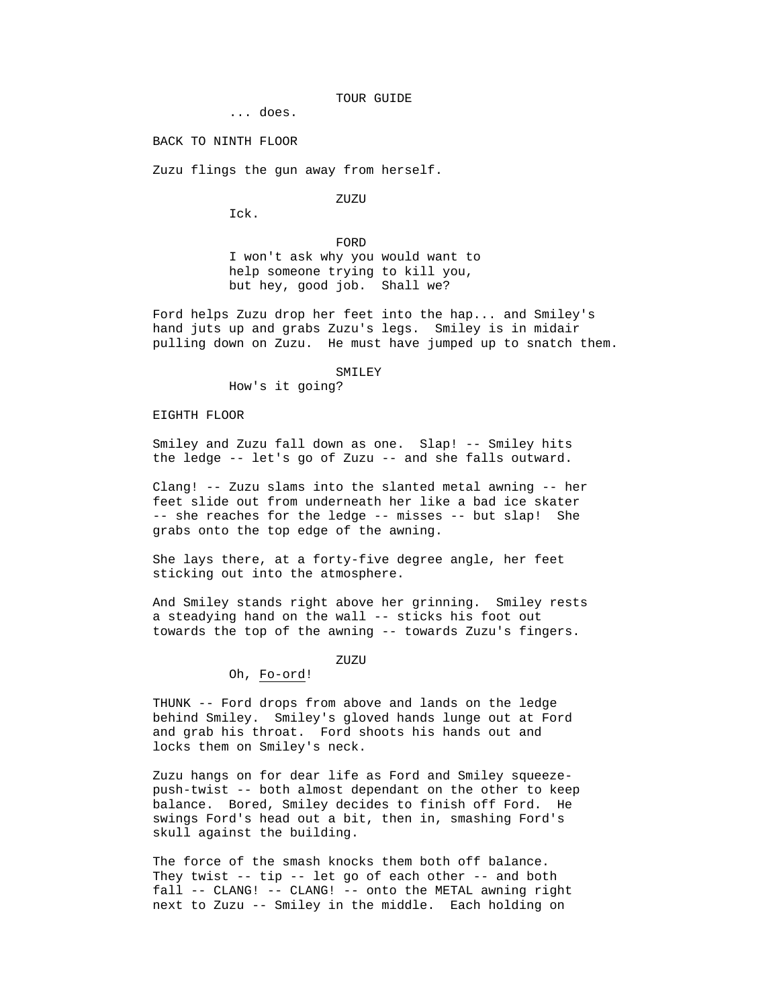... does.

BACK TO NINTH FLOOR

Zuzu flings the gun away from herself.

zuzu za zamanje za zameni za zameni za zameni za zameni za zameni za zameni za zameni za zameni za zameni za z

Ick.

 FORD I won't ask why you would want to help someone trying to kill you, but hey, good job. Shall we?

> Ford helps Zuzu drop her feet into the hap... and Smiley's hand juts up and grabs Zuzu's legs. Smiley is in midair pulling down on Zuzu. He must have jumped up to snatch them.

> > SMILEY

How's it going?

EIGHTH FLOOR

 Smiley and Zuzu fall down as one. Slap! -- Smiley hits the ledge -- let's go of Zuzu -- and she falls outward.

 Clang! -- Zuzu slams into the slanted metal awning -- her feet slide out from underneath her like a bad ice skater -- she reaches for the ledge -- misses -- but slap! She grabs onto the top edge of the awning.

 She lays there, at a forty-five degree angle, her feet sticking out into the atmosphere.

 And Smiley stands right above her grinning. Smiley rests a steadying hand on the wall -- sticks his foot out towards the top of the awning -- towards Zuzu's fingers.

zuzu za zamanje za zameni za zameni za zameni za zameni za zameni za zameni za zameni za zameni za zameni za z

Oh, Fo-ord!

 THUNK -- Ford drops from above and lands on the ledge behind Smiley. Smiley's gloved hands lunge out at Ford and grab his throat. Ford shoots his hands out and locks them on Smiley's neck.

 Zuzu hangs on for dear life as Ford and Smiley squeeze push-twist -- both almost dependant on the other to keep balance. Bored, Smiley decides to finish off Ford. He swings Ford's head out a bit, then in, smashing Ford's skull against the building.

 The force of the smash knocks them both off balance. They twist -- tip -- let go of each other -- and both fall -- CLANG! -- CLANG! -- onto the METAL awning right next to Zuzu -- Smiley in the middle. Each holding on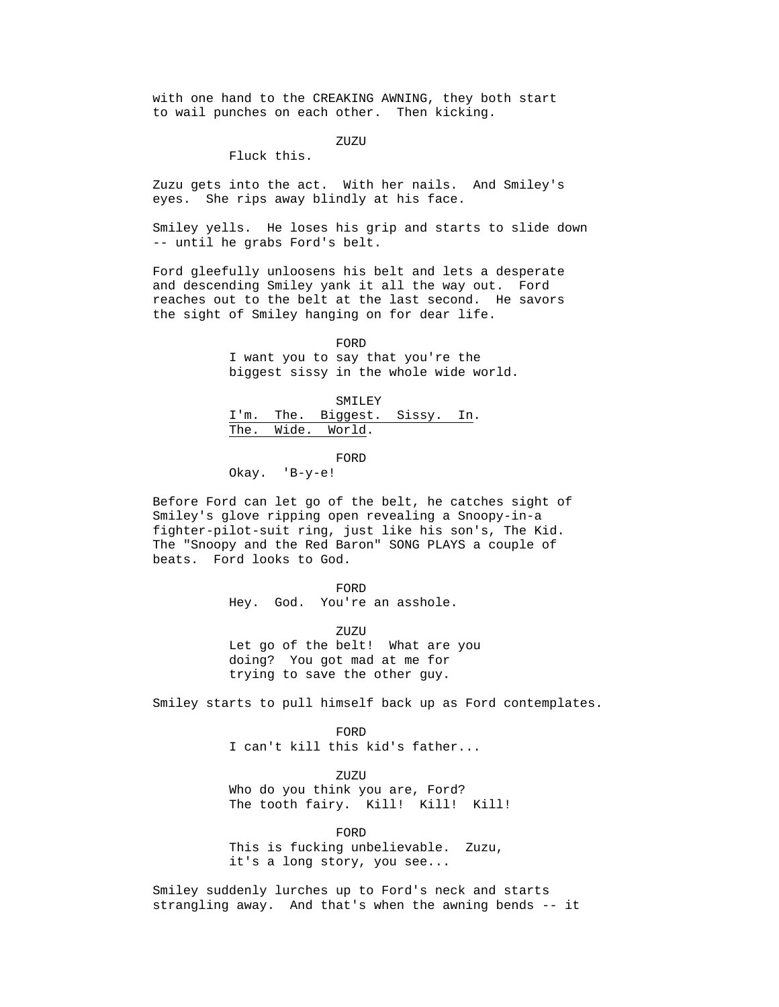with one hand to the CREAKING AWNING, they both start to wail punches on each other. Then kicking.

zuzu za zamanje za zameni za zameni za zameni za zameni za zameni za zameni za zameni za zameni za zameni za z

Fluck this.

 Zuzu gets into the act. With her nails. And Smiley's eyes. She rips away blindly at his face.

 Smiley yells. He loses his grip and starts to slide down -- until he grabs Ford's belt.

 Ford gleefully unloosens his belt and lets a desperate and descending Smiley yank it all the way out. Ford reaches out to the belt at the last second. He savors the sight of Smiley hanging on for dear life.

**FORD**  I want you to say that you're the biggest sissy in the whole wide world.

> SMILEY I'm. The. Biggest. Sissy. In. The. Wide. World.

FORD

Okay. 'B-y-e!

 Before Ford can let go of the belt, he catches sight of Smiley's glove ripping open revealing a Snoopy-in-a fighter-pilot-suit ring, just like his son's, The Kid. The "Snoopy and the Red Baron" SONG PLAYS a couple of beats. Ford looks to God.

 FORD Hey. God. You're an asshole.

> ZUZU Let go of the belt! What are you doing? You got mad at me for trying to save the other guy.

Smiley starts to pull himself back up as Ford contemplates.

**FORD** I can't kill this kid's father...

**ZUZU**  Who do you think you are, Ford? The tooth fairy. Kill! Kill! Kill!

> FORD This is fucking unbelievable. Zuzu, it's a long story, you see...

 Smiley suddenly lurches up to Ford's neck and starts strangling away. And that's when the awning bends -- it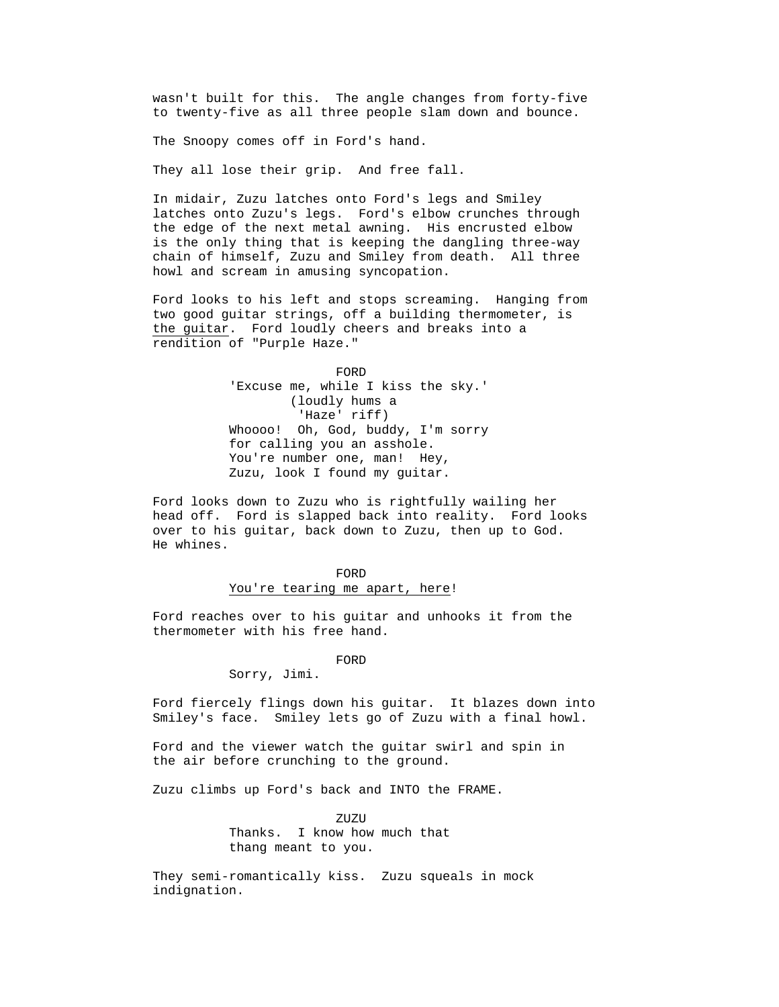wasn't built for this. The angle changes from forty-five to twenty-five as all three people slam down and bounce.

The Snoopy comes off in Ford's hand.

They all lose their grip. And free fall.

 In midair, Zuzu latches onto Ford's legs and Smiley latches onto Zuzu's legs. Ford's elbow crunches through the edge of the next metal awning. His encrusted elbow is the only thing that is keeping the dangling three-way chain of himself, Zuzu and Smiley from death. All three howl and scream in amusing syncopation.

 Ford looks to his left and stops screaming. Hanging from two good guitar strings, off a building thermometer, is the guitar. Ford loudly cheers and breaks into a rendition of "Purple Haze."

 FORD 'Excuse me, while I kiss the sky.' (loudly hums a 'Haze' riff) Whoooo! Oh, God, buddy, I'm sorry for calling you an asshole. You're number one, man! Hey, Zuzu, look I found my guitar.

> Ford looks down to Zuzu who is rightfully wailing her head off. Ford is slapped back into reality. Ford looks over to his guitar, back down to Zuzu, then up to God. He whines.

 FORD You're tearing me apart, here!

> Ford reaches over to his guitar and unhooks it from the thermometer with his free hand.

**FORD** 

Sorry, Jimi.

 Ford fiercely flings down his guitar. It blazes down into Smiley's face. Smiley lets go of Zuzu with a final howl.

 Ford and the viewer watch the guitar swirl and spin in the air before crunching to the ground.

Zuzu climbs up Ford's back and INTO the FRAME.

zuzu za zamanje za zameni za zameni za zameni za zameni za zameni za zameni za zameni za zameni za zameni za z Thanks. I know how much that thang meant to you.

> They semi-romantically kiss. Zuzu squeals in mock indignation.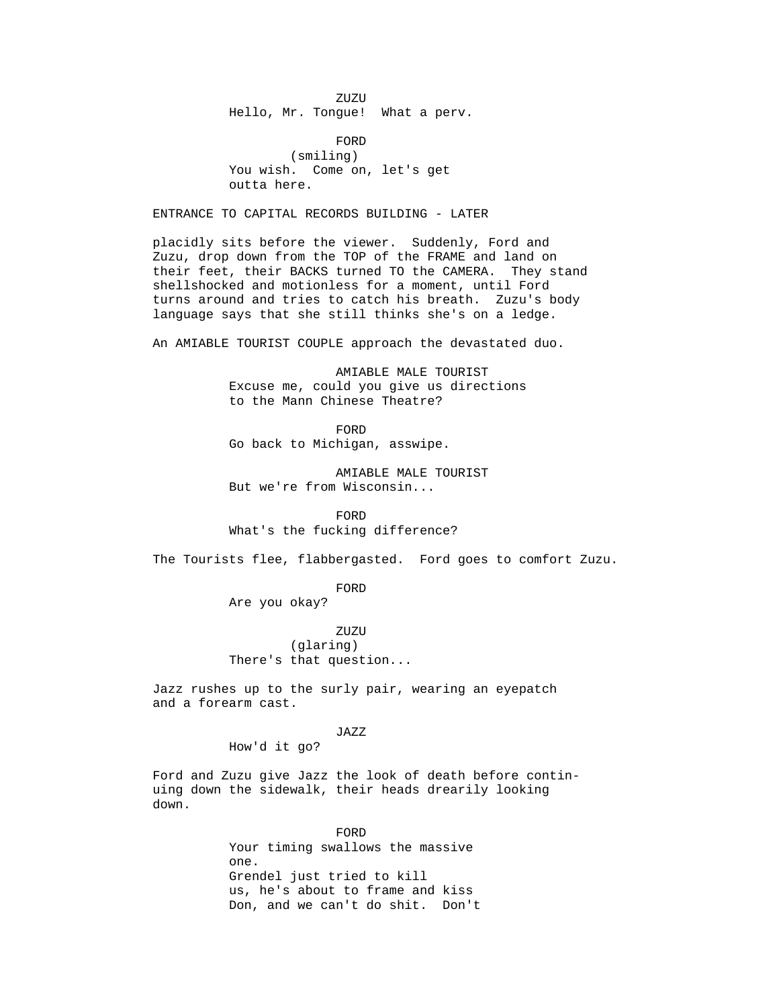**ZUZU** Hello, Mr. Tongue! What a perv.

> FORD (smiling) You wish. Come on, let's get outta here.

ENTRANCE TO CAPITAL RECORDS BUILDING - LATER

 placidly sits before the viewer. Suddenly, Ford and Zuzu, drop down from the TOP of the FRAME and land on their feet, their BACKS turned TO the CAMERA. They stand shellshocked and motionless for a moment, until Ford turns around and tries to catch his breath. Zuzu's body language says that she still thinks she's on a ledge.

An AMIABLE TOURIST COUPLE approach the devastated duo.

 AMIABLE MALE TOURIST Excuse me, could you give us directions to the Mann Chinese Theatre?

**FORD** Go back to Michigan, asswipe.

> AMIABLE MALE TOURIST But we're from Wisconsin...

 FORD What's the fucking difference?

The Tourists flee, flabbergasted. Ford goes to comfort Zuzu.

FORD

Are you okay?

 ZUZU (glaring) There's that question...

 Jazz rushes up to the surly pair, wearing an eyepatch and a forearm cast.

JAZZ

How'd it go?

 Ford and Zuzu give Jazz the look of death before contin uing down the sidewalk, their heads drearily looking down.

> FORD Your timing swallows the massive one. Grendel just tried to kill us, he's about to frame and kiss Don, and we can't do shit. Don't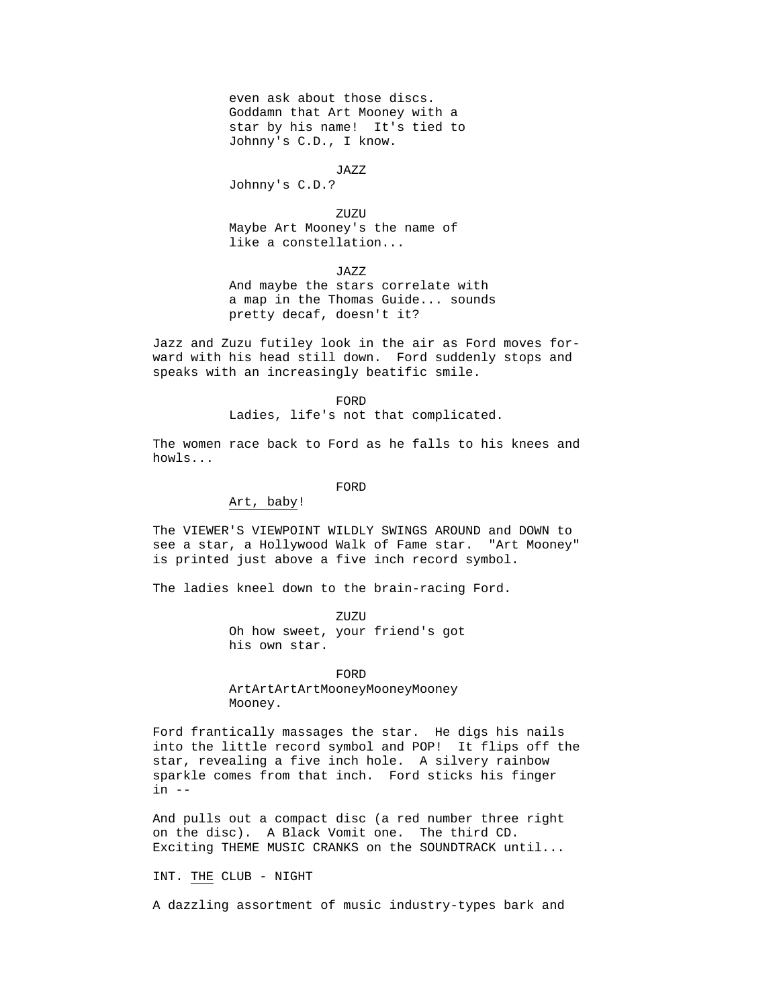even ask about those discs. Goddamn that Art Mooney with a star by his name! It's tied to Johnny's C.D., I know.

JAZZ

Johnny's C.D.?

zuzu za zamanje za zameni za zameni za zameni za zameni za zameni za zameni za zameni za zameni za zameni za z Maybe Art Mooney's the name of like a constellation...

> JAZZ And maybe the stars correlate with a map in the Thomas Guide... sounds pretty decaf, doesn't it?

 Jazz and Zuzu futiley look in the air as Ford moves for ward with his head still down. Ford suddenly stops and speaks with an increasingly beatific smile.

 FORD Ladies, life's not that complicated.

> The women race back to Ford as he falls to his knees and howls...

**FORD** 

Art, baby!

 The VIEWER'S VIEWPOINT WILDLY SWINGS AROUND and DOWN to see a star, a Hollywood Walk of Fame star. "Art Mooney" is printed just above a five inch record symbol.

The ladies kneel down to the brain-racing Ford.

 ZUZU Oh how sweet, your friend's got his own star.

 FORD ArtArtArtArtMooneyMooneyMooney Mooney.

 Ford frantically massages the star. He digs his nails into the little record symbol and POP! It flips off the star, revealing a five inch hole. A silvery rainbow sparkle comes from that inch. Ford sticks his finger in --

 And pulls out a compact disc (a red number three right on the disc). A Black Vomit one. The third CD. Exciting THEME MUSIC CRANKS on the SOUNDTRACK until...

INT. THE CLUB - NIGHT

A dazzling assortment of music industry-types bark and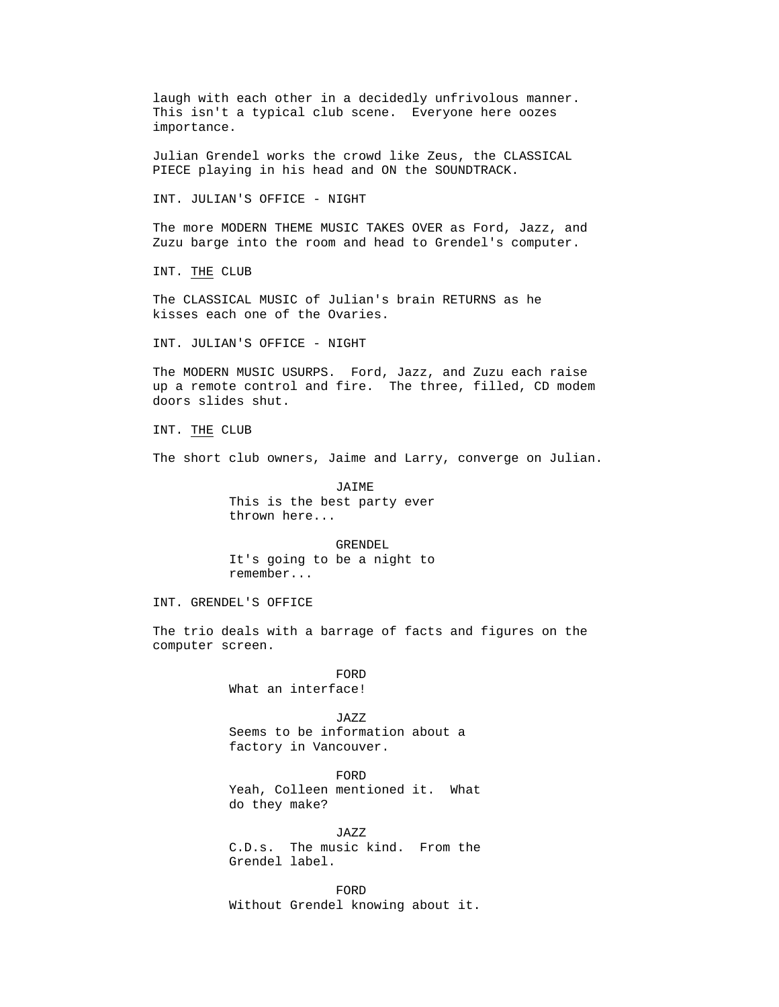laugh with each other in a decidedly unfrivolous manner. This isn't a typical club scene. Everyone here oozes importance.

 Julian Grendel works the crowd like Zeus, the CLASSICAL PIECE playing in his head and ON the SOUNDTRACK.

INT. JULIAN'S OFFICE - NIGHT

 The more MODERN THEME MUSIC TAKES OVER as Ford, Jazz, and Zuzu barge into the room and head to Grendel's computer.

INT. THE CLUB

 The CLASSICAL MUSIC of Julian's brain RETURNS as he kisses each one of the Ovaries.

INT. JULIAN'S OFFICE - NIGHT

 The MODERN MUSIC USURPS. Ford, Jazz, and Zuzu each raise up a remote control and fire. The three, filled, CD modem doors slides shut.

INT. THE CLUB

The short club owners, Jaime and Larry, converge on Julian.

 JAIME This is the best party ever thrown here...

 GRENDEL It's going to be a night to remember...

INT. GRENDEL'S OFFICE

 The trio deals with a barrage of facts and figures on the computer screen.

**FORD** What an interface!

 JAZZ Seems to be information about a factory in Vancouver.

 FORD Yeah, Colleen mentioned it. What do they make?

> JAZZ C.D.s. The music kind. From the Grendel label.

**FORD** Without Grendel knowing about it.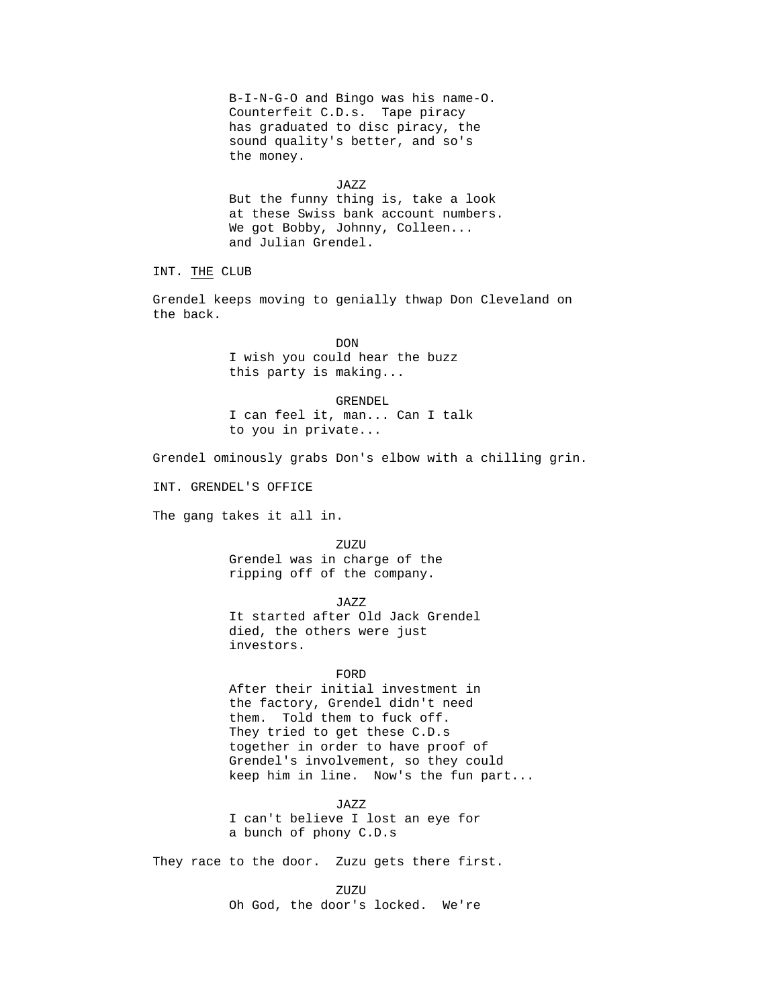B-I-N-G-O and Bingo was his name-O. Counterfeit C.D.s. Tape piracy has graduated to disc piracy, the sound quality's better, and so's the money. JAZZ But the funny thing is, take a look at these Swiss bank account numbers. We got Bobby, Johnny, Colleen... and Julian Grendel. INT. THE CLUB Grendel keeps moving to genially thwap Don Cleveland on the back. **DON**  I wish you could hear the buzz this party is making... GRENDEL I can feel it, man... Can I talk to you in private... Grendel ominously grabs Don's elbow with a chilling grin. INT. GRENDEL'S OFFICE The gang takes it all in. zuzu za zamanje za zameni za zameni za zameni za zameni za zameni za zameni za zameni za zameni za zameni za z Grendel was in charge of the ripping off of the company. JAZZ It started after Old Jack Grendel died, the others were just investors. FORD After their initial investment in the factory, Grendel didn't need them. Told them to fuck off. They tried to get these C.D.s together in order to have proof of Grendel's involvement, so they could keep him in line. Now's the fun part... JAZZ I can't believe I lost an eye for a bunch of phony C.D.s They race to the door. Zuzu gets there first. zuzu za zamanje za zameni za zameni za zameni za zameni za zameni za zameni za zameni za zameni za zameni za z Oh God, the door's locked. We're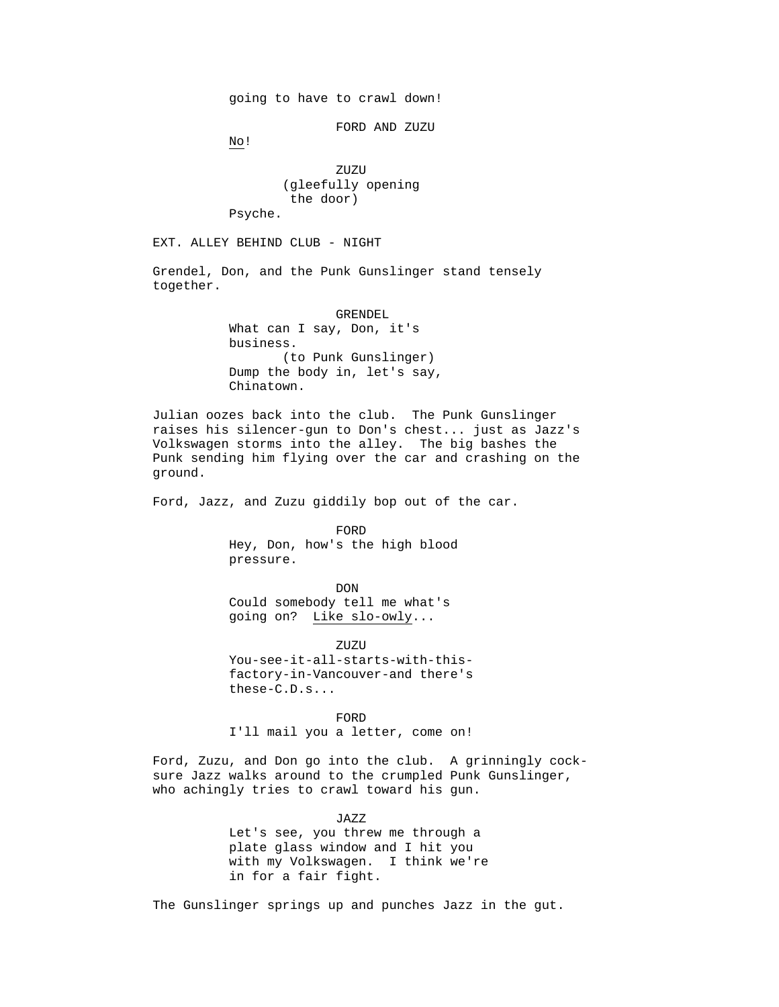going to have to crawl down!

FORD AND ZUZU

No!

**ZUZU**  (gleefully opening the door) Psyche.

EXT. ALLEY BEHIND CLUB - NIGHT

 Grendel, Don, and the Punk Gunslinger stand tensely together.

> GRENDEL What can I say, Don, it's business. (to Punk Gunslinger) Dump the body in, let's say, Chinatown.

 Julian oozes back into the club. The Punk Gunslinger raises his silencer-gun to Don's chest... just as Jazz's Volkswagen storms into the alley. The big bashes the Punk sending him flying over the car and crashing on the ground.

Ford, Jazz, and Zuzu giddily bop out of the car.

 FORD Hey, Don, how's the high blood pressure.

 DON Could somebody tell me what's going on? Like slo-owly...

**ZUZU**  You-see-it-all-starts-with-this factory-in-Vancouver-and there's these-C.D.s...

 FORD I'll mail you a letter, come on!

> Ford, Zuzu, and Don go into the club. A grinningly cock sure Jazz walks around to the crumpled Punk Gunslinger, who achingly tries to crawl toward his gun.

> > JAZZ Let's see, you threw me through a plate glass window and I hit you with my Volkswagen. I think we're in for a fair fight.

The Gunslinger springs up and punches Jazz in the gut.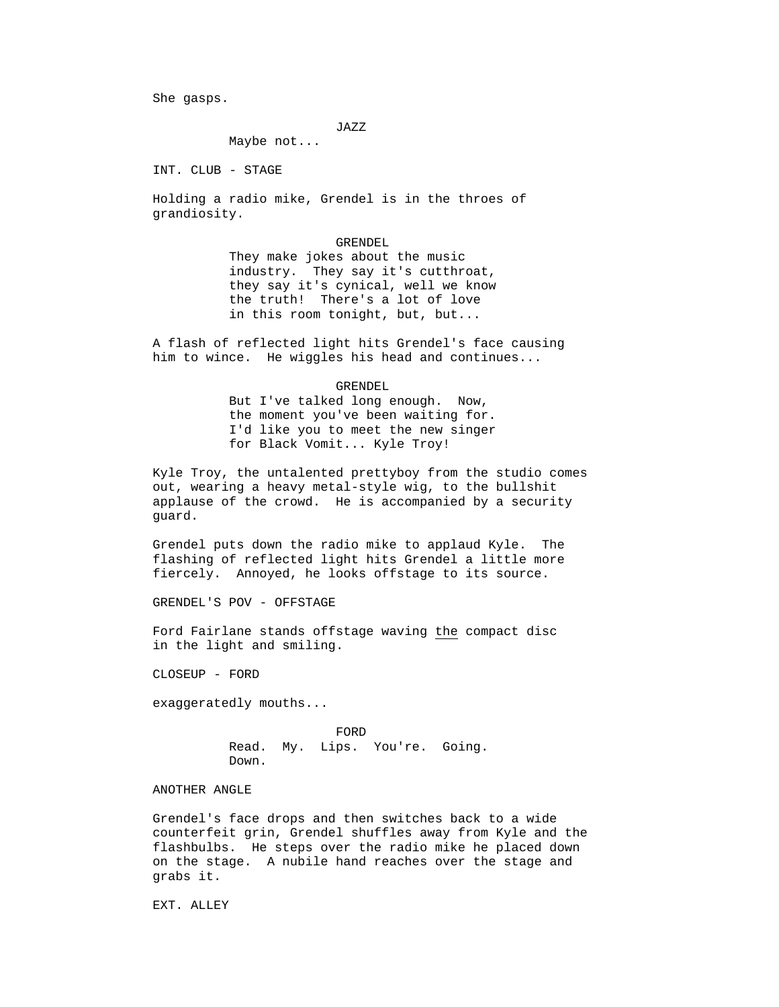She gasps.

#### JAZZ

Maybe not...

INT. CLUB - STAGE

 Holding a radio mike, Grendel is in the throes of grandiosity.

### GRENDEL

 They make jokes about the music industry. They say it's cutthroat, they say it's cynical, well we know the truth! There's a lot of love in this room tonight, but, but...

 A flash of reflected light hits Grendel's face causing him to wince. He wiggles his head and continues...

### GRENDEL

 But I've talked long enough. Now, the moment you've been waiting for. I'd like you to meet the new singer for Black Vomit... Kyle Troy!

 Kyle Troy, the untalented prettyboy from the studio comes out, wearing a heavy metal-style wig, to the bullshit applause of the crowd. He is accompanied by a security guard.

 Grendel puts down the radio mike to applaud Kyle. The flashing of reflected light hits Grendel a little more fiercely. Annoyed, he looks offstage to its source.

GRENDEL'S POV - OFFSTAGE

 Ford Fairlane stands offstage waving the compact disc in the light and smiling.

CLOSEUP - FORD

exaggeratedly mouths...

**FORD**  Read. My. Lips. You're. Going. Down.

ANOTHER ANGLE

 Grendel's face drops and then switches back to a wide counterfeit grin, Grendel shuffles away from Kyle and the flashbulbs. He steps over the radio mike he placed down on the stage. A nubile hand reaches over the stage and grabs it.

EXT. ALLEY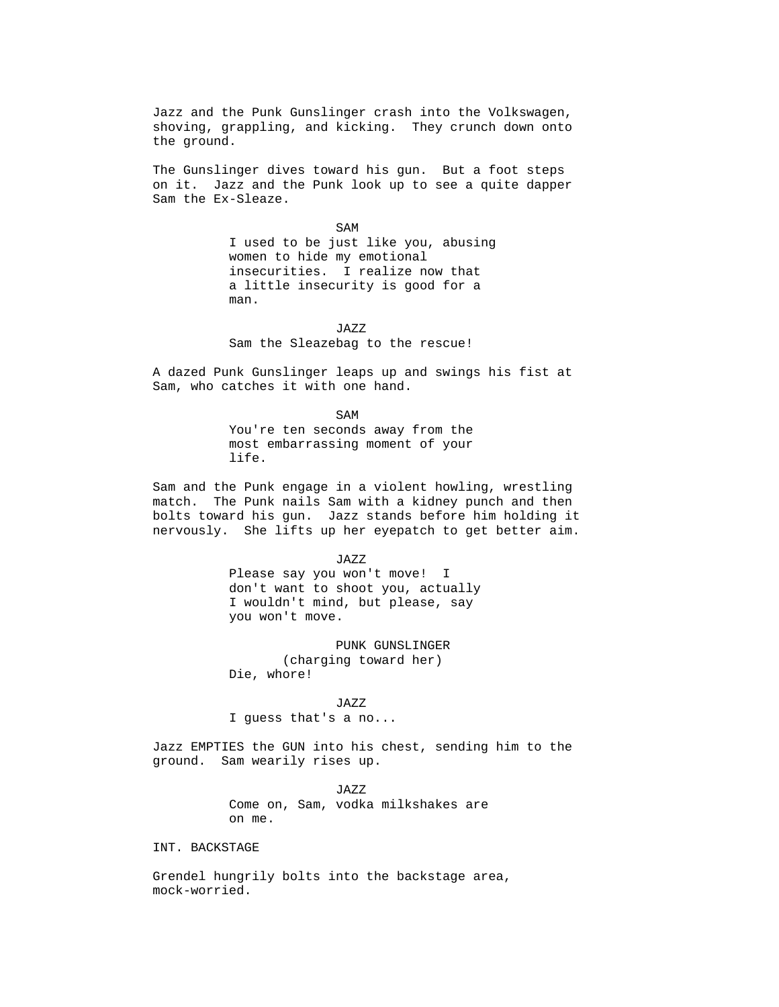Jazz and the Punk Gunslinger crash into the Volkswagen, shoving, grappling, and kicking. They crunch down onto the ground.

 The Gunslinger dives toward his gun. But a foot steps on it. Jazz and the Punk look up to see a quite dapper Sam the Ex-Sleaze.

SAM SAM I used to be just like you, abusing women to hide my emotional insecurities. I realize now that a little insecurity is good for a man.

> JAZZ Sam the Sleazebag to the rescue!

 A dazed Punk Gunslinger leaps up and swings his fist at Sam, who catches it with one hand.

SAM SAM

 You're ten seconds away from the most embarrassing moment of your life.

 Sam and the Punk engage in a violent howling, wrestling match. The Punk nails Sam with a kidney punch and then bolts toward his gun. Jazz stands before him holding it nervously. She lifts up her eyepatch to get better aim.

JAZZ

 Please say you won't move! I don't want to shoot you, actually I wouldn't mind, but please, say you won't move.

 PUNK GUNSLINGER (charging toward her) Die, whore!

 JAZZ I guess that's a no...

 Jazz EMPTIES the GUN into his chest, sending him to the ground. Sam wearily rises up.

 JAZZ Come on, Sam, vodka milkshakes are on me.

INT. BACKSTAGE

 Grendel hungrily bolts into the backstage area, mock-worried.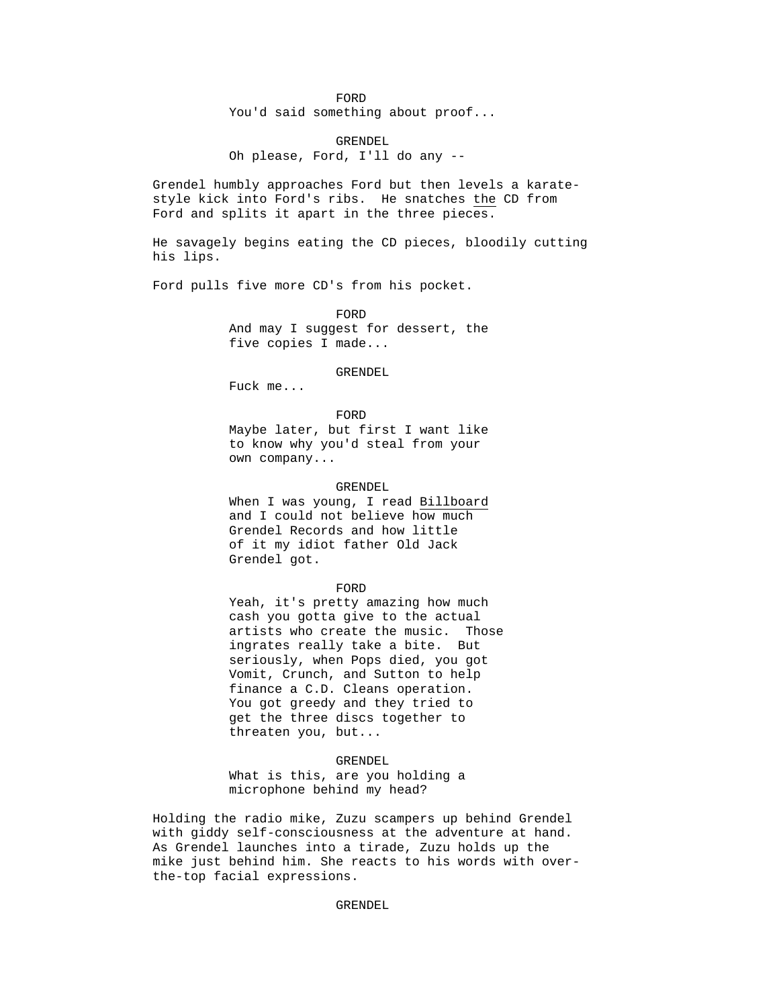# FORD

You'd said something about proof...

# GRENDEL Oh please, Ford, I'll do any --

 Grendel humbly approaches Ford but then levels a karate style kick into Ford's ribs. He snatches the CD from Ford and splits it apart in the three pieces.

 He savagely begins eating the CD pieces, bloodily cutting his lips.

Ford pulls five more CD's from his pocket.

 FORD And may I suggest for dessert, the five copies I made...

GRENDEL

Fuck me...

# **FORD**  Maybe later, but first I want like to know why you'd steal from your own company...

GRENDEL

 When I was young, I read Billboard and I could not believe how much Grendel Records and how little of it my idiot father Old Jack Grendel got.

# FORD

 Yeah, it's pretty amazing how much cash you gotta give to the actual artists who create the music. Those ingrates really take a bite. But seriously, when Pops died, you got Vomit, Crunch, and Sutton to help finance a C.D. Cleans operation. You got greedy and they tried to get the three discs together to threaten you, but...

#### GRENDEL

 What is this, are you holding a microphone behind my head?

 Holding the radio mike, Zuzu scampers up behind Grendel with giddy self-consciousness at the adventure at hand. As Grendel launches into a tirade, Zuzu holds up the mike just behind him. She reacts to his words with over the-top facial expressions.

## GRENDEL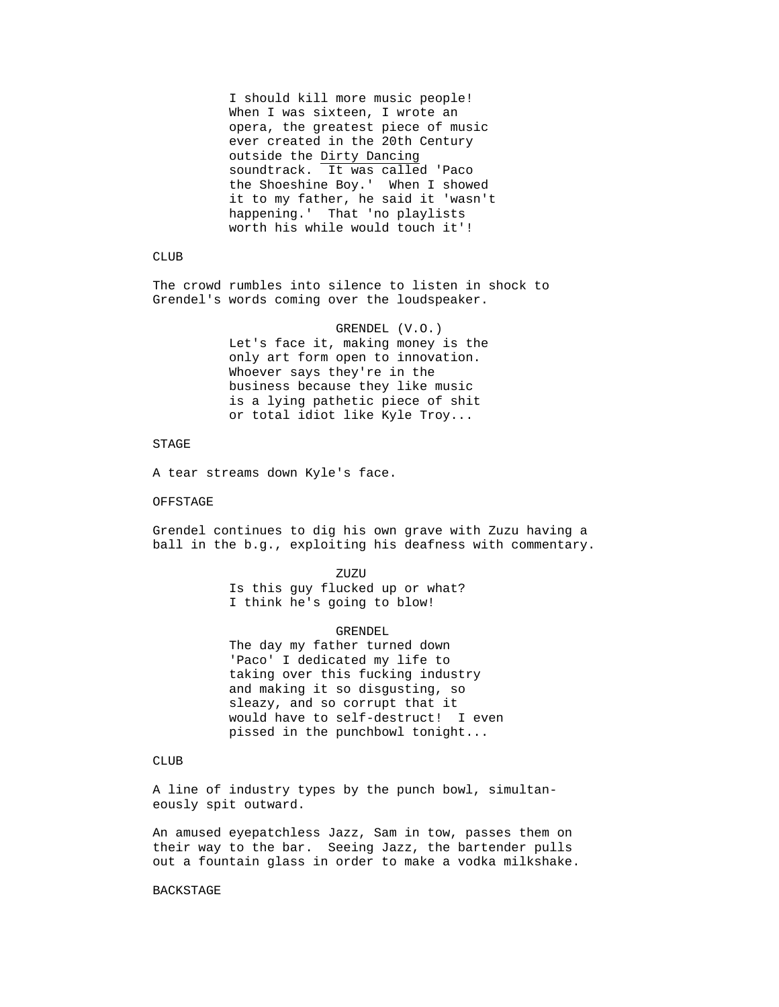I should kill more music people! When I was sixteen, I wrote an opera, the greatest piece of music ever created in the 20th Century outside the Dirty Dancing soundtrack. It was called 'Paco the Shoeshine Boy.' When I showed it to my father, he said it 'wasn't happening.' That 'no playlists worth his while would touch it'!

# CLUB

 The crowd rumbles into silence to listen in shock to Grendel's words coming over the loudspeaker.

> GRENDEL (V.O.) Let's face it, making money is the only art form open to innovation. Whoever says they're in the business because they like music is a lying pathetic piece of shit or total idiot like Kyle Troy...

# STAGE

A tear streams down Kyle's face.

OFFSTAGE

 Grendel continues to dig his own grave with Zuzu having a ball in the b.g., exploiting his deafness with commentary.

**ZUZU**  Is this guy flucked up or what? I think he's going to blow!

# GRENDEL

 The day my father turned down 'Paco' I dedicated my life to taking over this fucking industry and making it so disgusting, so sleazy, and so corrupt that it would have to self-destruct! I even pissed in the punchbowl tonight...

# CLUB

 A line of industry types by the punch bowl, simultan eously spit outward.

 An amused eyepatchless Jazz, Sam in tow, passes them on their way to the bar. Seeing Jazz, the bartender pulls out a fountain glass in order to make a vodka milkshake.

## BACKSTAGE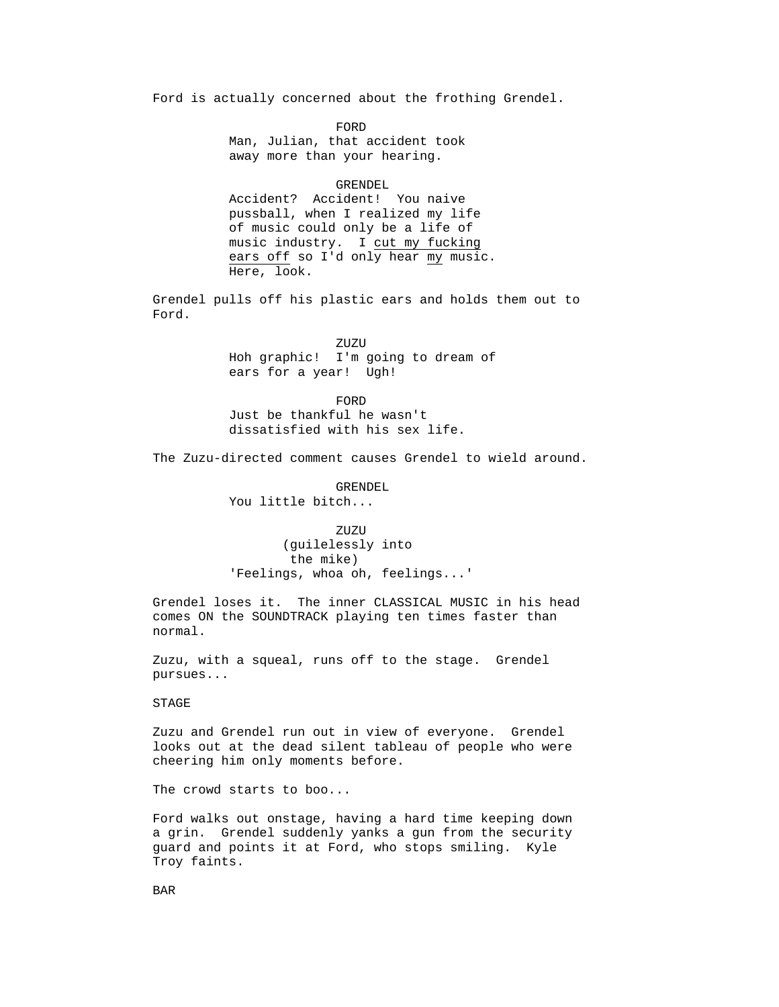Ford is actually concerned about the frothing Grendel.

FORD

 Man, Julian, that accident took away more than your hearing.

GRENDEL

 Accident? Accident! You naive pussball, when I realized my life of music could only be a life of music industry. I cut my fucking ears off so I'd only hear my music. Here, look.

 Grendel pulls off his plastic ears and holds them out to Ford.

> ZUZU Hoh graphic! I'm going to dream of ears for a year! Ugh!

 FORD Just be thankful he wasn't dissatisfied with his sex life.

The Zuzu-directed comment causes Grendel to wield around.

 GRENDEL You little bitch...

**ZUZU**  (guilelessly into the mike) 'Feelings, whoa oh, feelings...'

> Grendel loses it. The inner CLASSICAL MUSIC in his head comes ON the SOUNDTRACK playing ten times faster than normal.

 Zuzu, with a squeal, runs off to the stage. Grendel pursues...

STAGE

 Zuzu and Grendel run out in view of everyone. Grendel looks out at the dead silent tableau of people who were cheering him only moments before.

The crowd starts to boo...

 Ford walks out onstage, having a hard time keeping down a grin. Grendel suddenly yanks a gun from the security guard and points it at Ford, who stops smiling. Kyle Troy faints.

BAR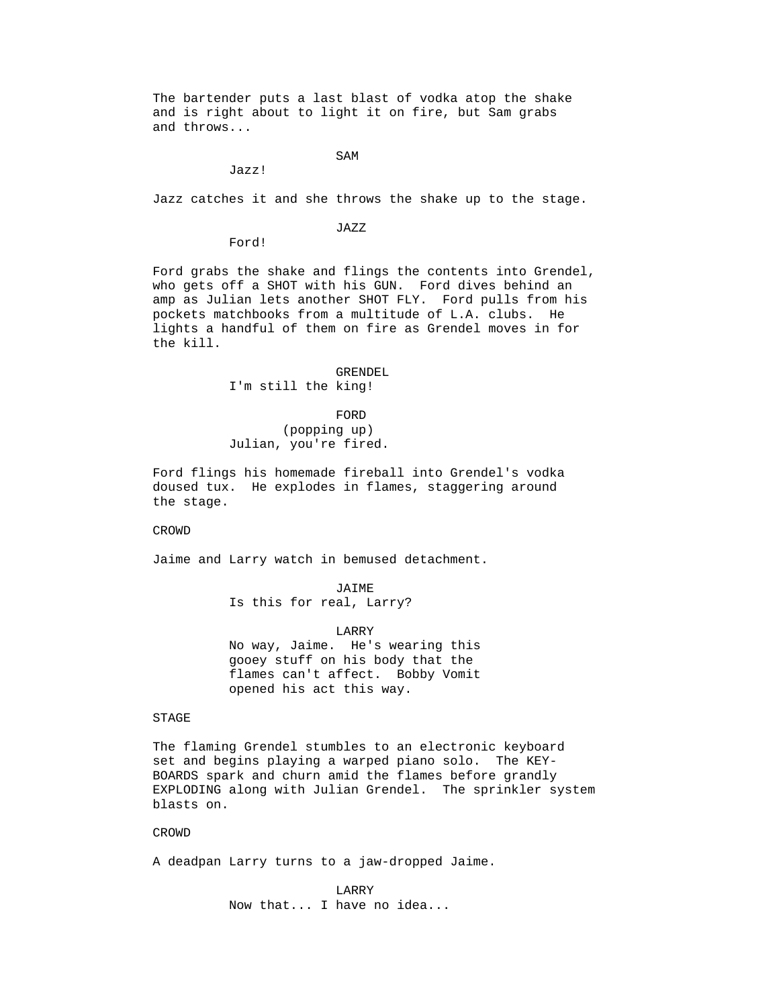The bartender puts a last blast of vodka atop the shake and is right about to light it on fire, but Sam grabs and throws...

SAM SAM

Jazz!

Jazz catches it and she throws the shake up to the stage.

JAZZ

Ford!

 Ford grabs the shake and flings the contents into Grendel, who gets off a SHOT with his GUN. Ford dives behind an amp as Julian lets another SHOT FLY. Ford pulls from his pockets matchbooks from a multitude of L.A. clubs. He lights a handful of them on fire as Grendel moves in for the kill.

GRENDEL

I'm still the king!

**FORD** 

 (popping up) Julian, you're fired.

 Ford flings his homemade fireball into Grendel's vodka doused tux. He explodes in flames, staggering around the stage.

CROWD

Jaime and Larry watch in bemused detachment.

 JAIME Is this for real, Larry?

 LARRY No way, Jaime. He's wearing this gooey stuff on his body that the flames can't affect. Bobby Vomit opened his act this way.

# STAGE

 The flaming Grendel stumbles to an electronic keyboard set and begins playing a warped piano solo. The KEY- BOARDS spark and churn amid the flames before grandly EXPLODING along with Julian Grendel. The sprinkler system blasts on.

CROWD

A deadpan Larry turns to a jaw-dropped Jaime.

 LARRY Now that... I have no idea...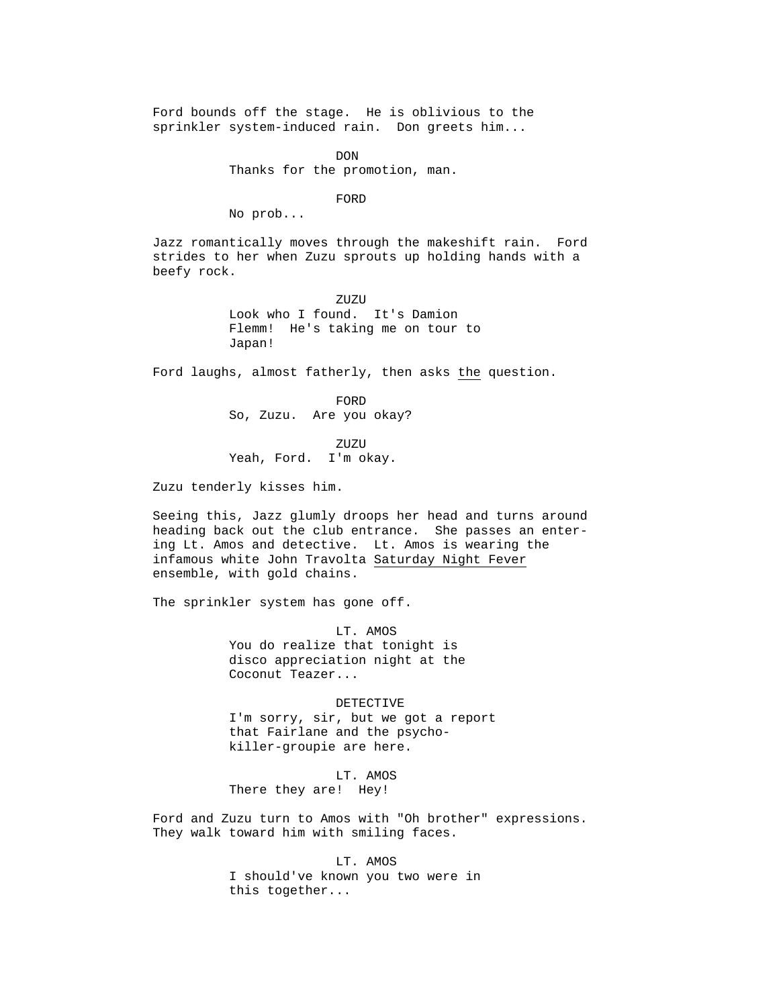Ford bounds off the stage. He is oblivious to the sprinkler system-induced rain. Don greets him...

 DON Thanks for the promotion, man.

**FORD** 

No prob...

 Jazz romantically moves through the makeshift rain. Ford strides to her when Zuzu sprouts up holding hands with a beefy rock.

**ZUZU**  Look who I found. It's Damion Flemm! He's taking me on tour to Japan!

Ford laughs, almost fatherly, then asks the question.

 FORD So, Zuzu. Are you okay?

**ZUZU** Yeah, Ford. I'm okay.

Zuzu tenderly kisses him.

 Seeing this, Jazz glumly droops her head and turns around heading back out the club entrance. She passes an enter ing Lt. Amos and detective. Lt. Amos is wearing the infamous white John Travolta Saturday Night Fever ensemble, with gold chains.

The sprinkler system has gone off.

 LT. AMOS You do realize that tonight is disco appreciation night at the Coconut Teazer...

 DETECTIVE I'm sorry, sir, but we got a report that Fairlane and the psychokiller-groupie are here.

 LT. AMOS There they are! Hey!

 Ford and Zuzu turn to Amos with "Oh brother" expressions. They walk toward him with smiling faces.

> LT. AMOS I should've known you two were in this together...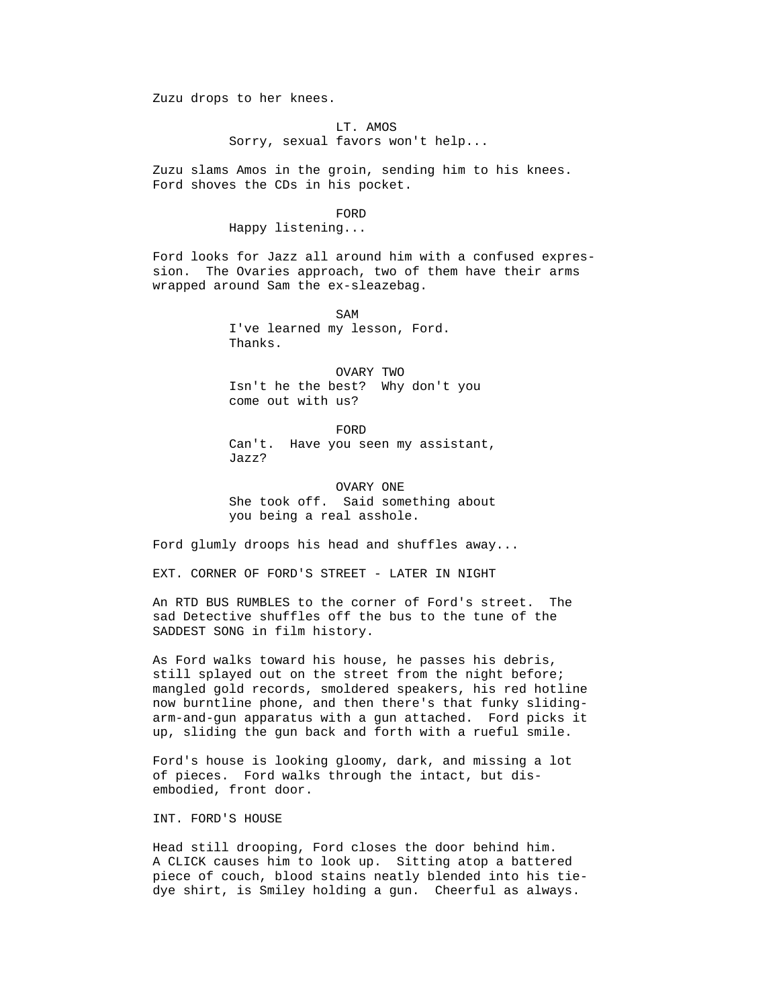Zuzu drops to her knees.

 LT. AMOS Sorry, sexual favors won't help...

 Zuzu slams Amos in the groin, sending him to his knees. Ford shoves the CDs in his pocket.

# **FORD**

Happy listening...

 Ford looks for Jazz all around him with a confused expres sion. The Ovaries approach, two of them have their arms wrapped around Sam the ex-sleazebag.

SAM SAM I've learned my lesson, Ford. Thanks.

> OVARY TWO Isn't he the best? Why don't you come out with us?

**FORD**  Can't. Have you seen my assistant, Jazz?

> OVARY ONE She took off. Said something about you being a real asshole.

Ford glumly droops his head and shuffles away...

EXT. CORNER OF FORD'S STREET - LATER IN NIGHT

 An RTD BUS RUMBLES to the corner of Ford's street. The sad Detective shuffles off the bus to the tune of the SADDEST SONG in film history.

 As Ford walks toward his house, he passes his debris, still splayed out on the street from the night before; mangled gold records, smoldered speakers, his red hotline now burntline phone, and then there's that funky sliding arm-and-gun apparatus with a gun attached. Ford picks it up, sliding the gun back and forth with a rueful smile.

 Ford's house is looking gloomy, dark, and missing a lot of pieces. Ford walks through the intact, but dis embodied, front door.

INT. FORD'S HOUSE

 Head still drooping, Ford closes the door behind him. A CLICK causes him to look up. Sitting atop a battered piece of couch, blood stains neatly blended into his tie dye shirt, is Smiley holding a gun. Cheerful as always.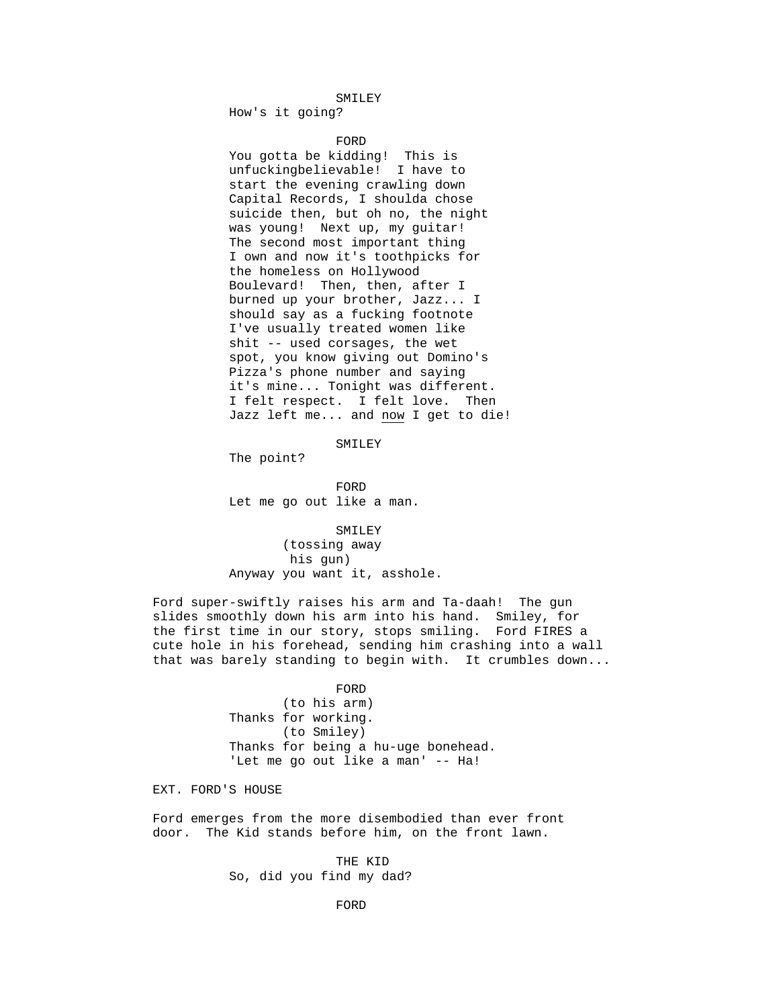# SMILEY

How's it going?

# **FORD**

 You gotta be kidding! This is unfuckingbelievable! I have to start the evening crawling down Capital Records, I shoulda chose suicide then, but oh no, the night was young! Next up, my guitar! The second most important thing I own and now it's toothpicks for the homeless on Hollywood Boulevard! Then, then, after I burned up your brother, Jazz... I should say as a fucking footnote I've usually treated women like shit -- used corsages, the wet spot, you know giving out Domino's Pizza's phone number and saying it's mine... Tonight was different. I felt respect. I felt love. Then Jazz left me... and now I get to die!

SMILEY

The point?

**FORD** Let me go out like a man.

> SMILEY (tossing away his gun) Anyway you want it, asshole.

 Ford super-swiftly raises his arm and Ta-daah! The gun slides smoothly down his arm into his hand. Smiley, for the first time in our story, stops smiling. Ford FIRES a cute hole in his forehead, sending him crashing into a wall that was barely standing to begin with. It crumbles down...

**FORD**  (to his arm) Thanks for working. (to Smiley) Thanks for being a hu-uge bonehead. 'Let me go out like a man' -- Ha!

EXT. FORD'S HOUSE

 Ford emerges from the more disembodied than ever front door. The Kid stands before him, on the front lawn.

> THE KID So, did you find my dad?

**FORD**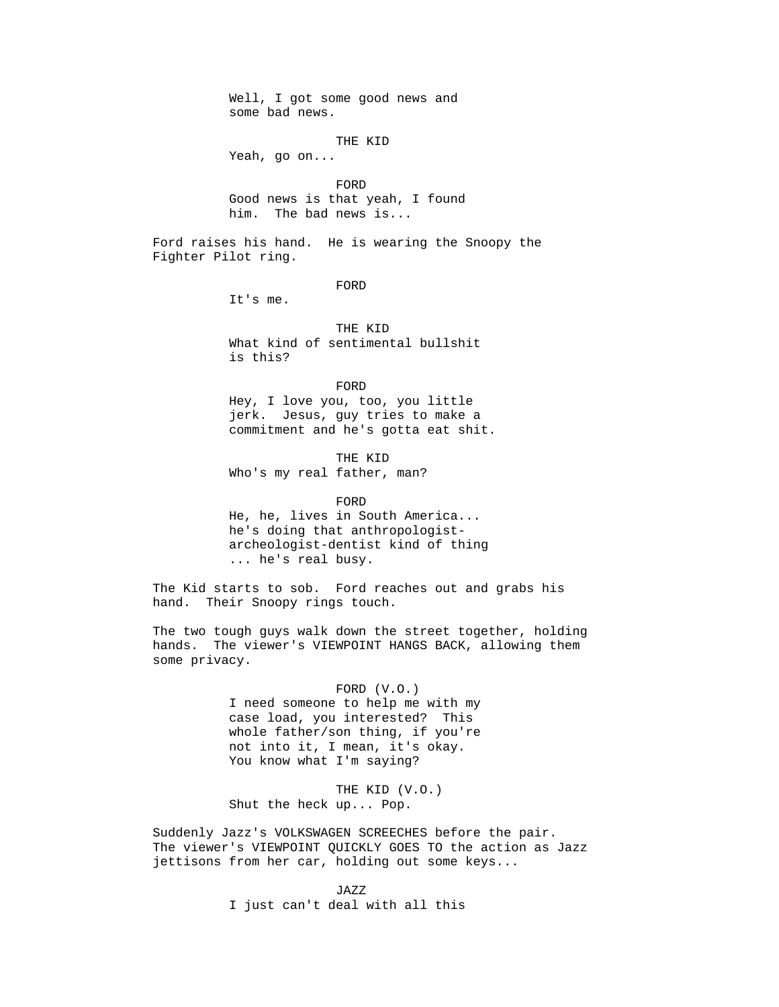Well, I got some good news and some bad news.

THE KID

Yeah, go on...

 FORD Good news is that yeah, I found him. The bad news is...

> Ford raises his hand. He is wearing the Snoopy the Fighter Pilot ring.

**FORD** 

It's me.

 THE KID What kind of sentimental bullshit is this?

FORD

 Hey, I love you, too, you little jerk. Jesus, guy tries to make a commitment and he's gotta eat shit.

 THE KID Who's my real father, man?

**FORD** 

 He, he, lives in South America... he's doing that anthropologistarcheologist-dentist kind of thing ... he's real busy.

 The Kid starts to sob. Ford reaches out and grabs his hand. Their Snoopy rings touch.

 The two tough guys walk down the street together, holding hands. The viewer's VIEWPOINT HANGS BACK, allowing them some privacy.

> FORD (V.O.) I need someone to help me with my case load, you interested? This whole father/son thing, if you're not into it, I mean, it's okay. You know what I'm saying?

 THE KID (V.O.) Shut the heck up... Pop.

 Suddenly Jazz's VOLKSWAGEN SCREECHES before the pair. The viewer's VIEWPOINT QUICKLY GOES TO the action as Jazz jettisons from her car, holding out some keys...

 JAZZ I just can't deal with all this